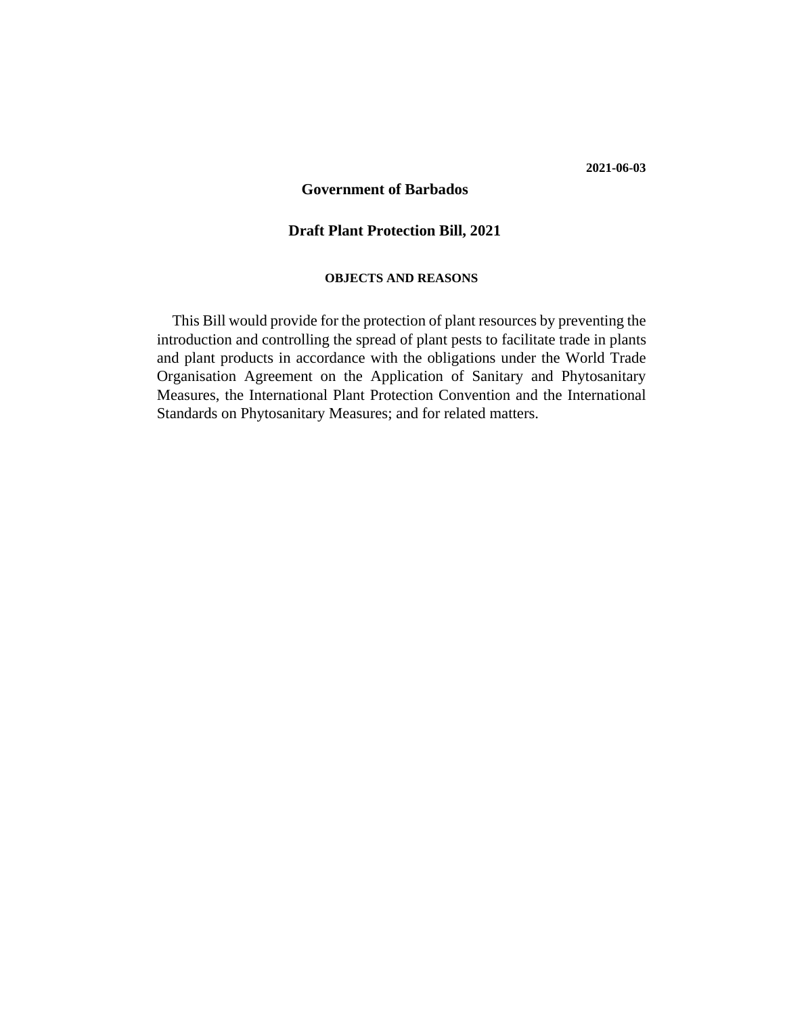#### **2021-06-03**

# **Government of Barbados**<br>Draft Plant Protection Bill, 2021

#### **OBJECTS AND REASONS**

This Bill would provide for the protection of plant resources by preventing the introduction and controlling the spread of plant pests to facilitate trade in plants and plant products in accordance with the obligations under the World Trade Organisation Agreement on the Application of Sanitary and Phytosanitary Measures, the International Plant Protection Convention and the International Standards on Phytosanitary Measures; and for related matters.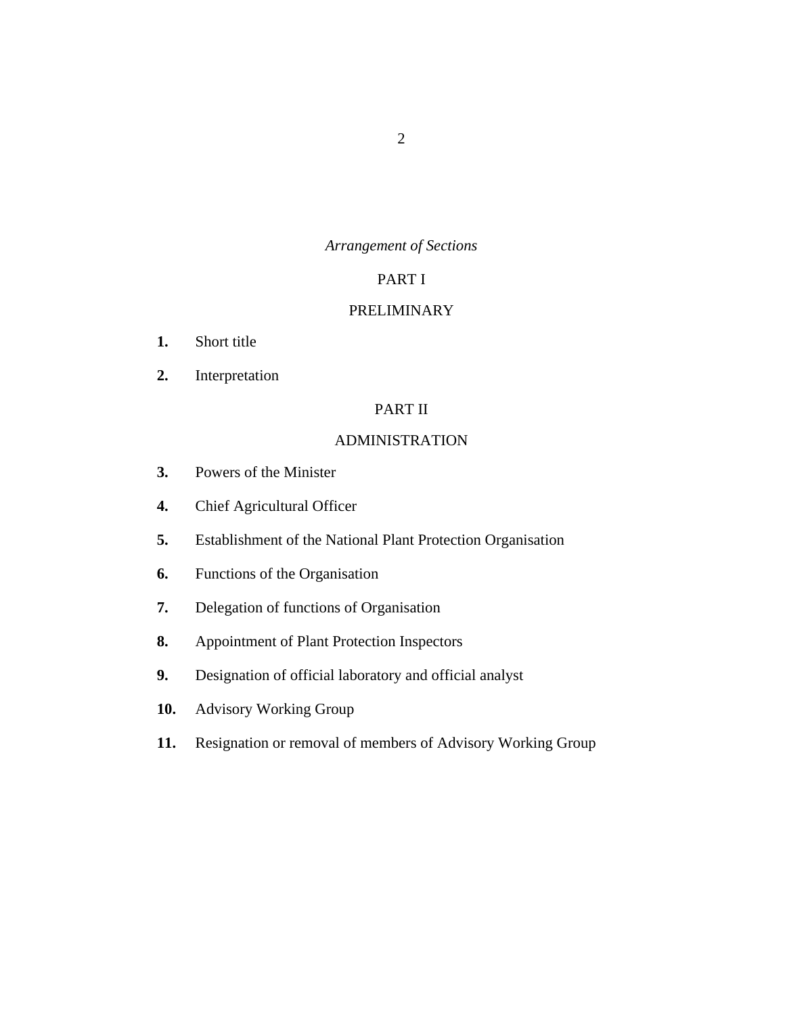# *Arrangement of Sections*

# PART I

# [PRELIMINARY](#page-7-0)

- [Short title](#page-7-0) **1.**
- [Interpretation](#page-7-0) **2.**

# PART II

# [ADMINISTRATION](#page-14-0)

- [Powers of the Minister](#page-14-0) **3.**
- [Chief Agricultural Officer](#page-14-0) **4.**
- [Establishment of the National Plant Protection Organisation](#page-15-0) **5.**
- [Functions of the Organisation](#page-15-0) **6.**
- [Delegation of functions of Organisation](#page-19-0) **7.**
- [Appointment of Plant Protection Inspectors](#page-19-0) **8.**
- [Designation of official laboratory and official analyst](#page-20-0) **9.**
- [Advisory Working Group](#page-20-0) **10.**
- [Resignation or removal of members of Advisory Working Group](#page-22-0) **11.**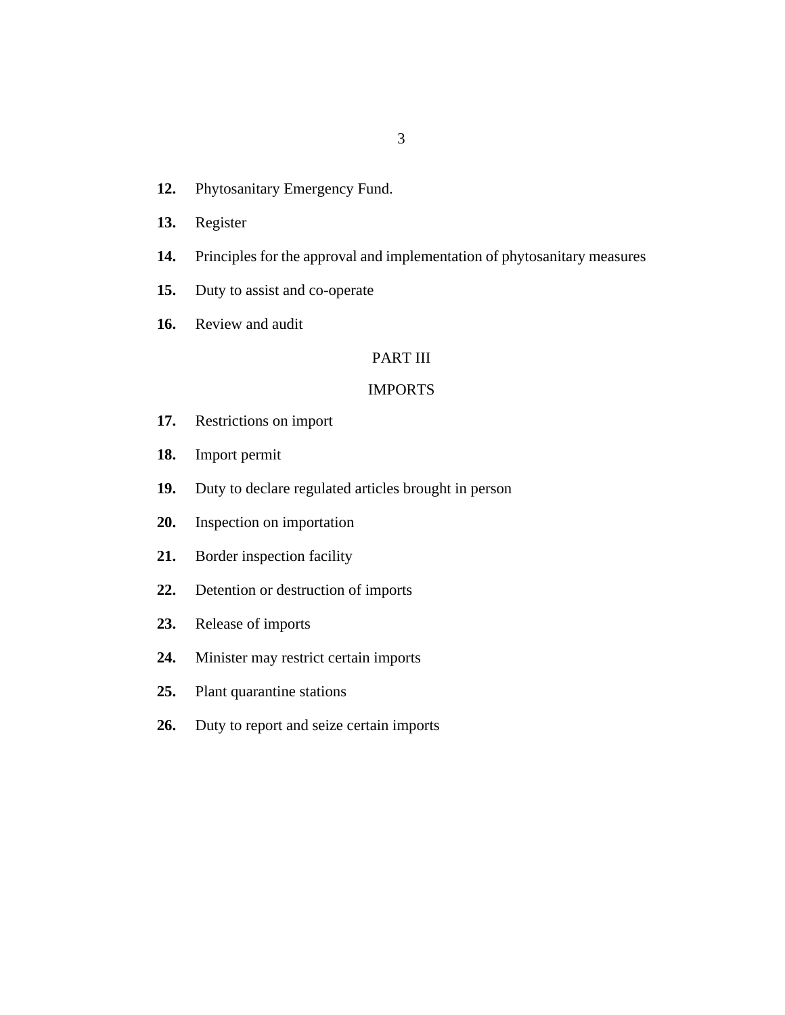- [Phytosanitary Emergency Fund.](#page-22-0) **12.**
- [Register](#page-22-0) **13.**
- [Principles for the approval and implementation of phytosanitary measures](#page-23-0) **14.**
- [Duty to assist and co-operate](#page-23-0) **15.**
- [Review and audit](#page-23-0) **16.**

# PART III

#### [IMPORTS](#page-24-0)

- [Restrictions on import](#page-24-0) **17.**
- [Import permit](#page-25-0) **18.**
- [Duty to declare regulated articles brought in person](#page-26-0) **19.**
- [Inspection on importation](#page-27-0) **20.**
- [Border inspection facility](#page-28-0) **21.**
- [Detention or destruction of imports](#page-28-0) **22.**
- [Release of imports](#page-30-0) **23.**
- [Minister may restrict certain imports](#page-30-0) **24.**
- [Plant quarantine stations](#page-30-0) **25.**
- [Duty to report and seize certain imports](#page-31-0) **26.**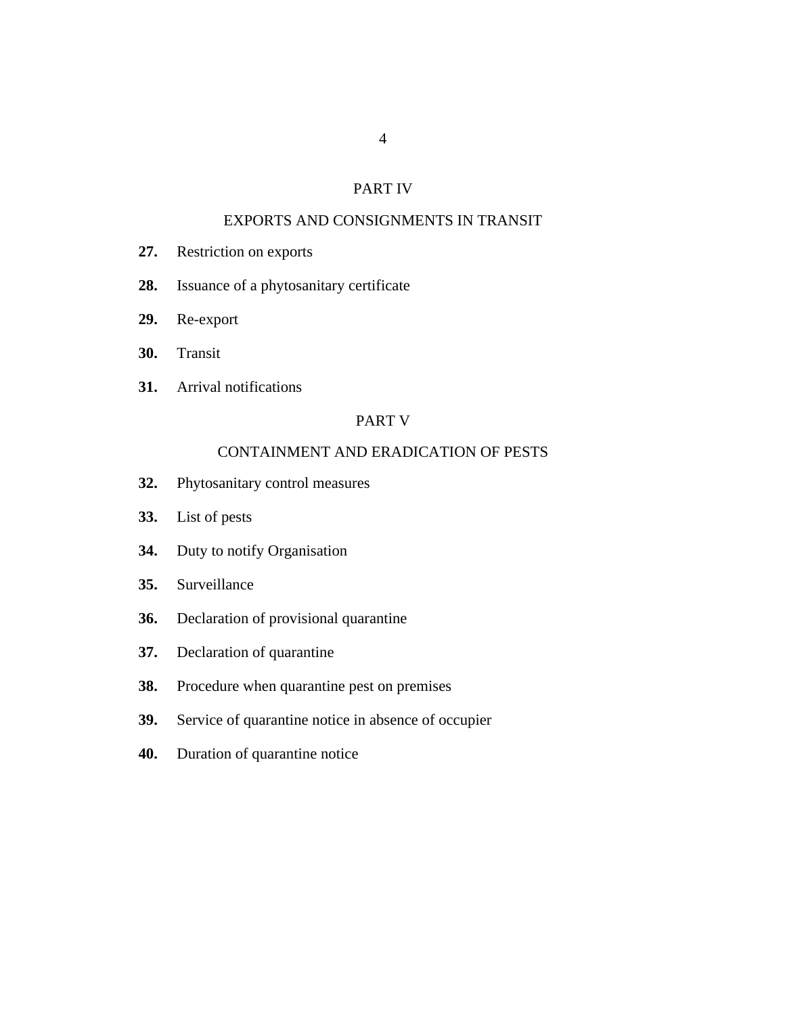## PART IV

# [EXPORTS AND CONSIGNMENTS IN TRANSIT](#page-31-0)

- [Restriction on exports](#page-31-0) **27.**
- [Issuance of a phytosanitary certificate](#page-32-0) **28.**
- [Re-export](#page-33-0) **29.**
- [Transit](#page-34-0) **30.**
- [Arrival notifications](#page-35-0) **31.**

#### PART V

# [CONTAINMENT AND ERADICATION OF PESTS](#page-35-0)

- [Phytosanitary control measures](#page-35-0) **32.**
- [List of pests](#page-36-0) **33.**
- [Duty to notify Organisation](#page-36-0) **34.**
- [Surveillance](#page-37-0) **35.**
- [Declaration of provisional quarantine](#page-37-0) **36.**
- [Declaration of quarantine](#page-38-0) **37.**
- [Procedure when quarantine pest on premises](#page-38-0) **38.**
- [Service of quarantine notice in absence of occupier](#page-39-0) **39.**
- [Duration of quarantine notice](#page-40-0) **40.**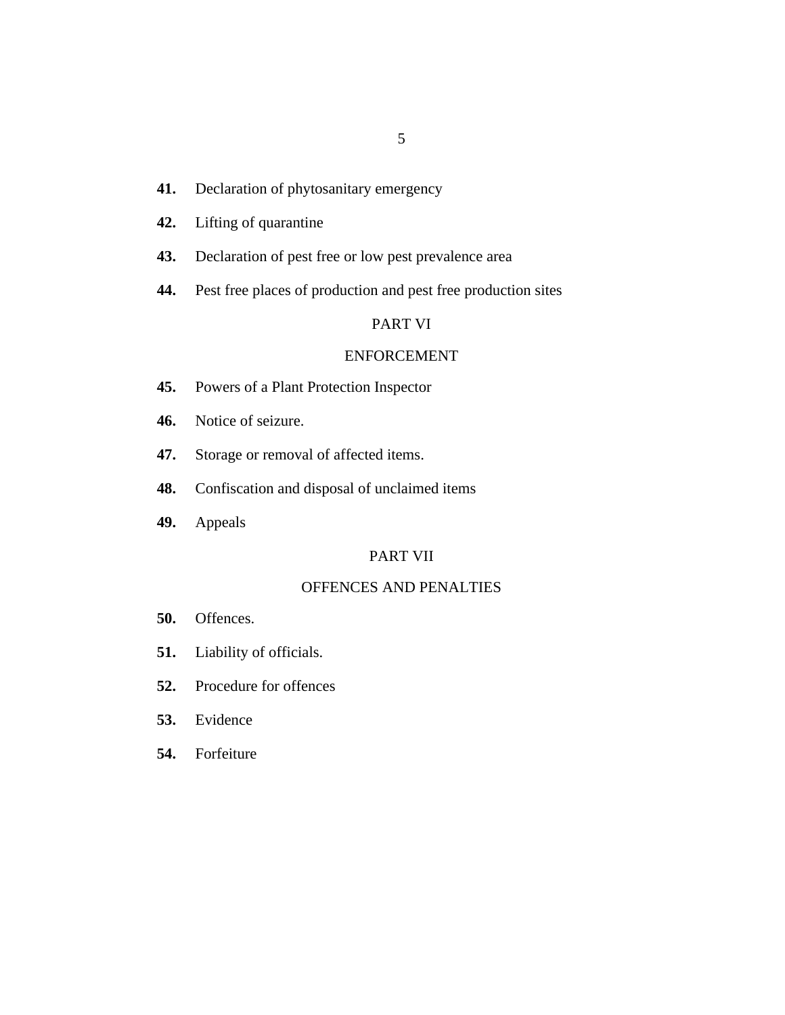- 5
- [Declaration of phytosanitary emergency](#page-40-0) **41.**
- [Lifting of quarantine](#page-41-0) **42.**
- [Declaration of pest free or low pest prevalence area](#page-41-0) **43.**
- [Pest free places of production and pest free production sites](#page-42-0) **44.**

# PART VI

# [ENFORCEMENT](#page-42-0)

- [Powers of a Plant Protection Inspector](#page-42-0) **45.**
- [Notice of seizure.](#page-46-0) **46.**
- [Storage or removal of affected items.](#page-46-0) **47.**
- [Confiscation and disposal of unclaimed items](#page-46-0) **48.**
- [Appeals](#page-47-0) **49.**

#### PART VII

#### [OFFENCES AND PENALTIES](#page-48-0)

- [Offences.](#page-48-0) **50.**
- [Liability of officials.](#page-49-0) **51.**
- [Procedure for offences](#page-50-0) **52.**
- [Evidence](#page-50-0) **53.**
- [Forfeiture](#page-51-0) **54.**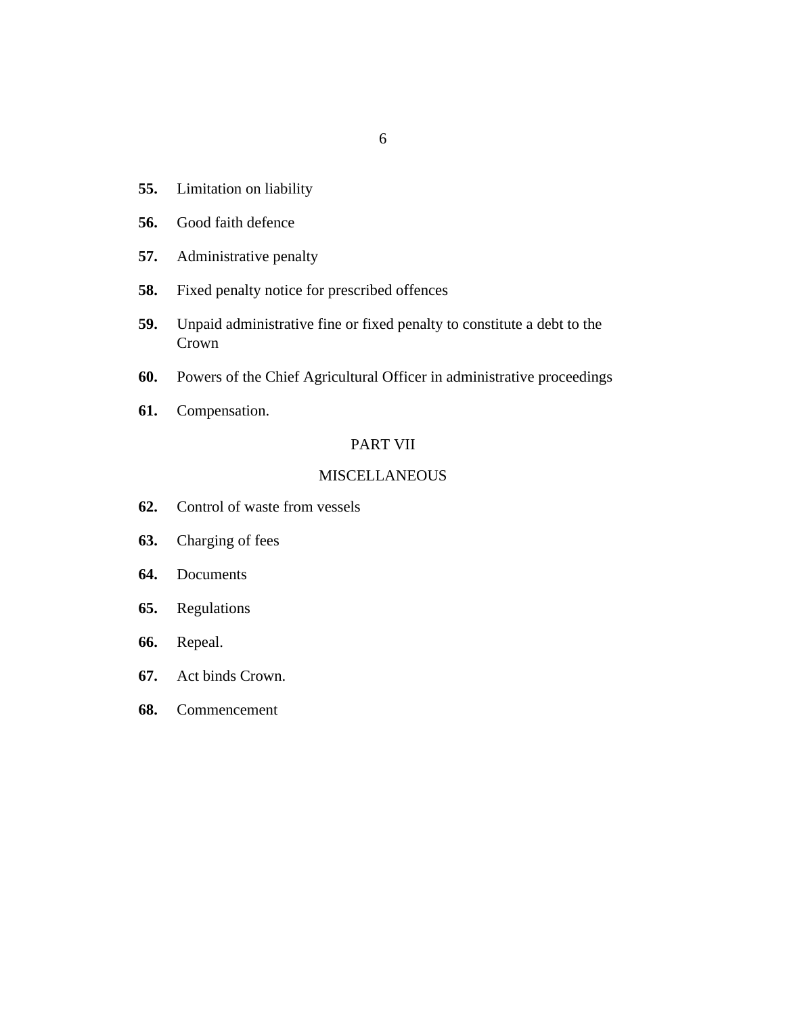- [Limitation on liability](#page-51-0) **55.**
- [Good faith defence](#page-52-0) **56.**
- [Administrative penalty](#page-52-0) **57.**
- [Fixed penalty notice for prescribed offences](#page-53-0) **58.**
- [Unpaid administrative fine or fixed penalty to constitute a debt to the](#page-55-0) Crown **59.**
- [Powers of the Chief Agricultural Officer in administrative proceedings](#page-55-0) **60.**
- [Compensation.](#page-56-0) **61.**

# PART VII

## [MISCELLANEOUS](#page-56-0)

- [Control of waste from vessels](#page-56-0) **62.**
- [Charging of fees](#page-56-0) **63.**
- [Documents](#page-57-0) **64.**
- [Regulations](#page-57-0) **65.**
- [Repeal.](#page-59-0) **66.**
- [Act binds Crown.](#page-60-0) **67.**
- [Commencement](#page-60-0) **68.**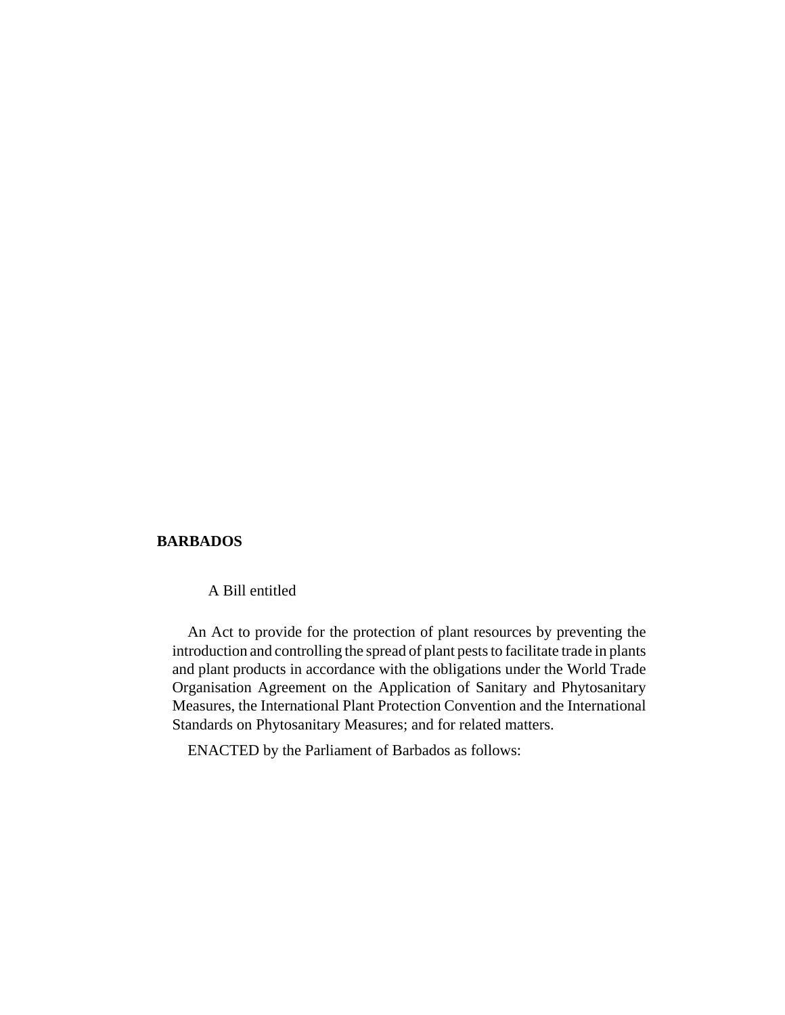#### **BARBADOS**

A Bill entitled

An Act to provide for the protection of plant resources by preventing the introduction and controlling the spread of plant pests to facilitate trade in plants and plant products in accordance with the obligations under the World Trade Organisation Agreement on the Application of Sanitary and Phytosanitary Measures, the International Plant Protection Convention and the International Standards on Phytosanitary Measures; and for related matters.

ENACTED by the Parliament of Barbados as follows: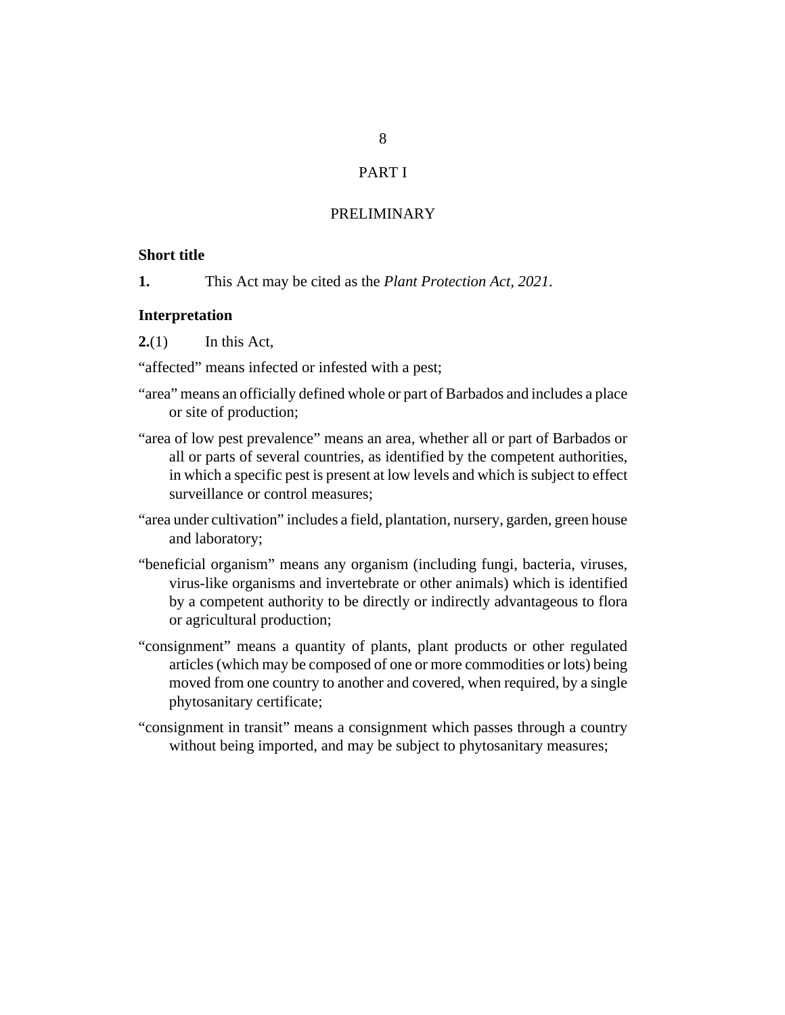# PART I

# PRELIMINARY

#### <span id="page-7-0"></span>**Short title**

This Act may be cited as the *Plant Protection Act, 2021*. **1.**

#### **Interpretation**

In this Act, **2.**(1)

"affected" means infected or infested with a pest;

- "area" means an officially defined whole or part of Barbados and includes a place or site of production;
- "area of low pest prevalence" means an area, whether all or part of Barbados or all or parts of several countries, as identified by the competent authorities, in which a specific pest is present at low levels and which is subject to effect surveillance or control measures;
- "area under cultivation" includes a field, plantation, nursery, garden, green house and laboratory;
- "beneficial organism" means any organism (including fungi, bacteria, viruses, virus-like organisms and invertebrate or other animals) which is identified by a competent authority to be directly or indirectly advantageous to flora or agricultural production;
- "consignment" means a quantity of plants, plant products or other regulated articles (which may be composed of one or more commodities or lots) being moved from one country to another and covered, when required, by a single phytosanitary certificate;
- "consignment in transit" means a consignment which passes through a country without being imported, and may be subject to phytosanitary measures;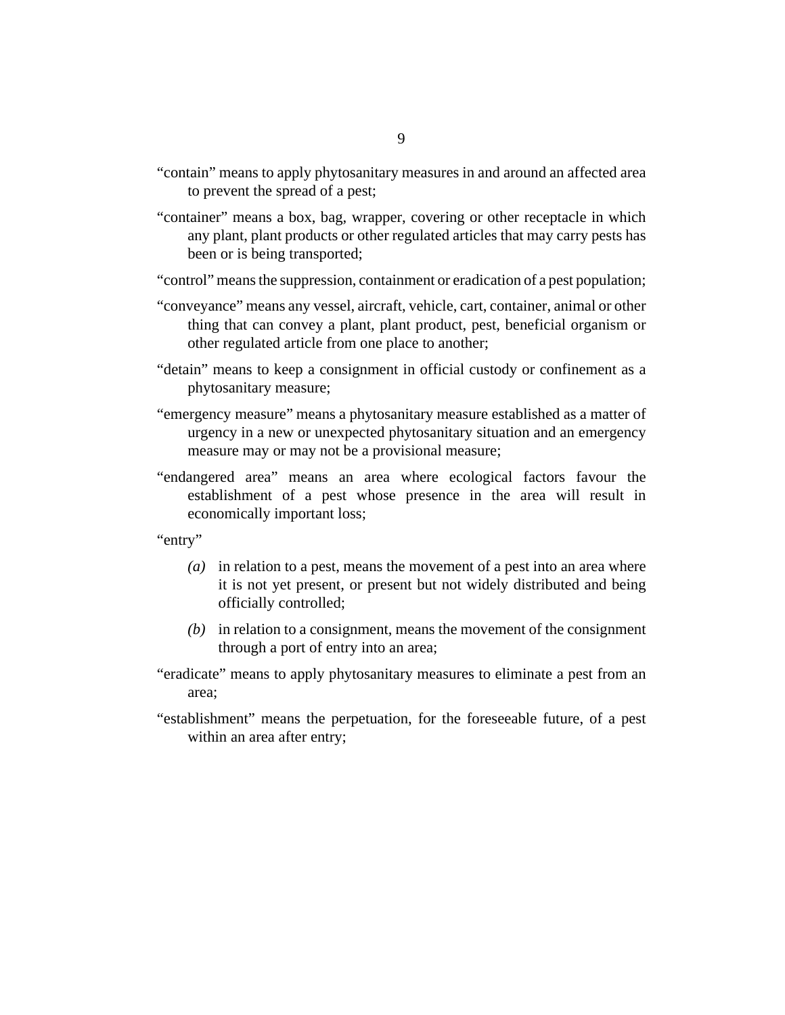- "contain" means to apply phytosanitary measures in and around an affected area to prevent the spread of a pest;
- "container" means a box, bag, wrapper, covering or other receptacle in which any plant, plant products or other regulated articles that may carry pests has been or is being transported;
- "control" means the suppression, containment or eradication of a pest population;
- "conveyance" means any vessel, aircraft, vehicle, cart, container, animal or other thing that can convey a plant, plant product, pest, beneficial organism or other regulated article from one place to another;
- "detain" means to keep a consignment in official custody or confinement as a phytosanitary measure;
- "emergency measure" means a phytosanitary measure established as a matter of urgency in a new or unexpected phytosanitary situation and an emergency measure may or may not be a provisional measure;
- "endangered area" means an area where ecological factors favour the establishment of a pest whose presence in the area will result in economically important loss;

"entry"

- in relation to a pest, means the movement of a pest into an area where *(a)* it is not yet present, or present but not widely distributed and being officially controlled;
- (b) in relation to a consignment, means the movement of the consignment through a port of entry into an area;
- "eradicate" means to apply phytosanitary measures to eliminate a pest from an area;
- "establishment" means the perpetuation, for the foreseeable future, of a pest within an area after entry;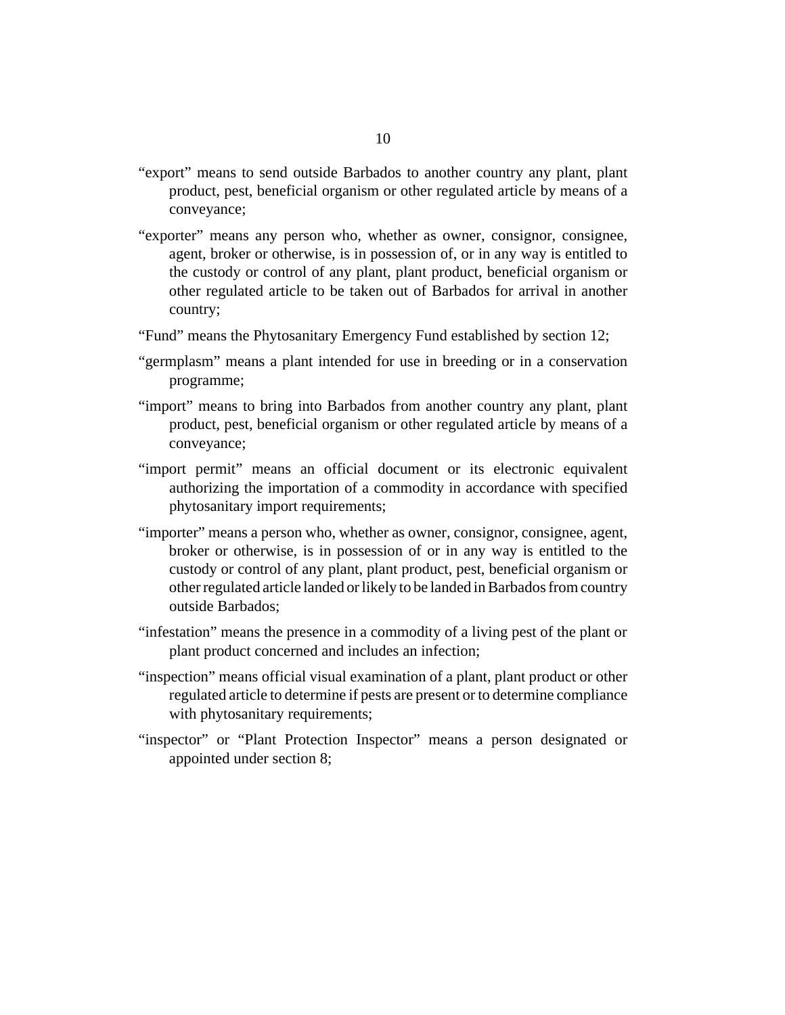- "export" means to send outside Barbados to another country any plant, plant product, pest, beneficial organism or other regulated article by means of a conveyance;
- "exporter" means any person who, whether as owner, consignor, consignee, agent, broker or otherwise, is in possession of, or in any way is entitled to the custody or control of any plant, plant product, beneficial organism or other regulated article to be taken out of Barbados for arrival in another country;
- "Fund" means the Phytosanitary Emergency Fund established by section 12;
- "germplasm" means a plant intended for use in breeding or in a conservation programme;
- "import" means to bring into Barbados from another country any plant, plant product, pest, beneficial organism or other regulated article by means of a conveyance;
- "import permit" means an official document or its electronic equivalent authorizing the importation of a commodity in accordance with specified phytosanitary import requirements;
- "importer" means a person who, whether as owner, consignor, consignee, agent, broker or otherwise, is in possession of or in any way is entitled to the custody or control of any plant, plant product, pest, beneficial organism or other regulated article landed or likely to be landed in Barbados from country outside Barbados;
- "infestation" means the presence in a commodity of a living pest of the plant or plant product concerned and includes an infection;
- "inspection" means official visual examination of a plant, plant product or other regulated article to determine if pests are present or to determine compliance with phytosanitary requirements;
- "inspector" or "Plant Protection Inspector" means a person designated or appointed under section 8;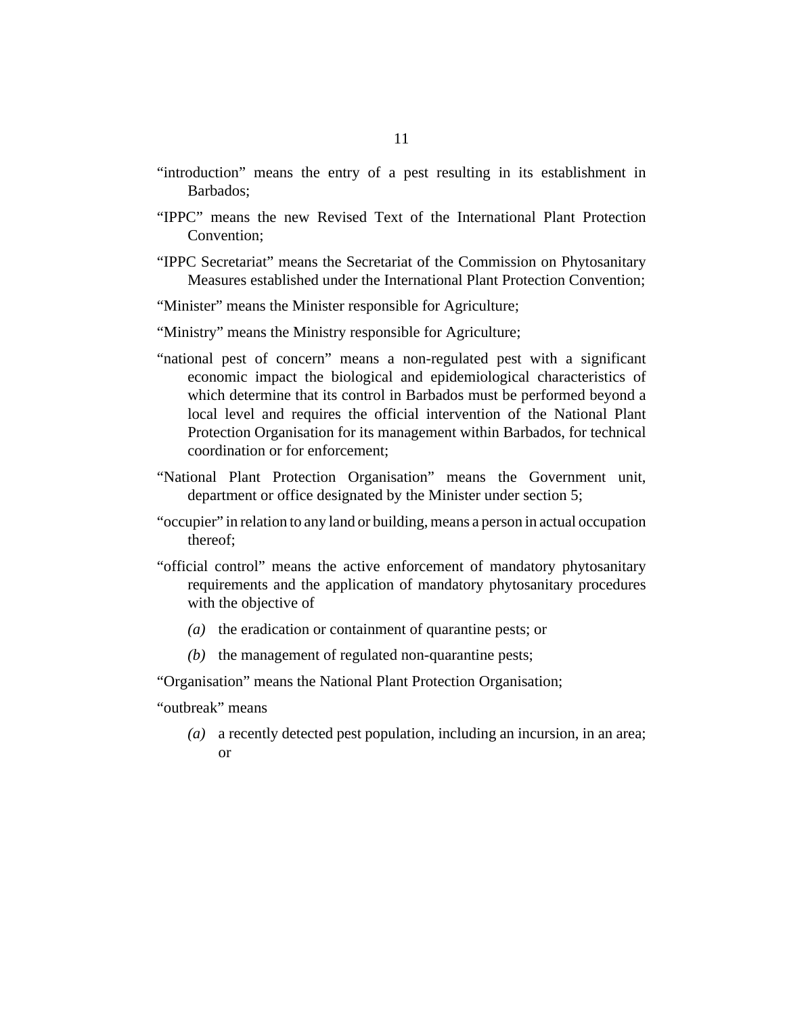- "introduction" means the entry of a pest resulting in its establishment in Barbados;
- "IPPC" means the new Revised Text of the International Plant Protection Convention;
- "IPPC Secretariat" means the Secretariat of the Commission on Phytosanitary Measures established under the International Plant Protection Convention;
- "Minister" means the Minister responsible for Agriculture;
- "Ministry" means the Ministry responsible for Agriculture;
- "national pest of concern" means a non-regulated pest with a significant economic impact the biological and epidemiological characteristics of which determine that its control in Barbados must be performed beyond a local level and requires the official intervention of the National Plant Protection Organisation for its management within Barbados, for technical coordination or for enforcement;
- "National Plant Protection Organisation" means the Government unit, department or office designated by the Minister under section 5;
- "occupier" in relation to any land or building, means a person in actual occupation thereof;
- "official control" means the active enforcement of mandatory phytosanitary requirements and the application of mandatory phytosanitary procedures with the objective of
	- ( $a)$ ) the eradication or containment of quarantine pests; or
	- $(b)$  the management of regulated non-quarantine pests;

"Organisation" means the National Plant Protection Organisation;

"outbreak" means

a recently detected pest population, including an incursion, in an area; *(a)* or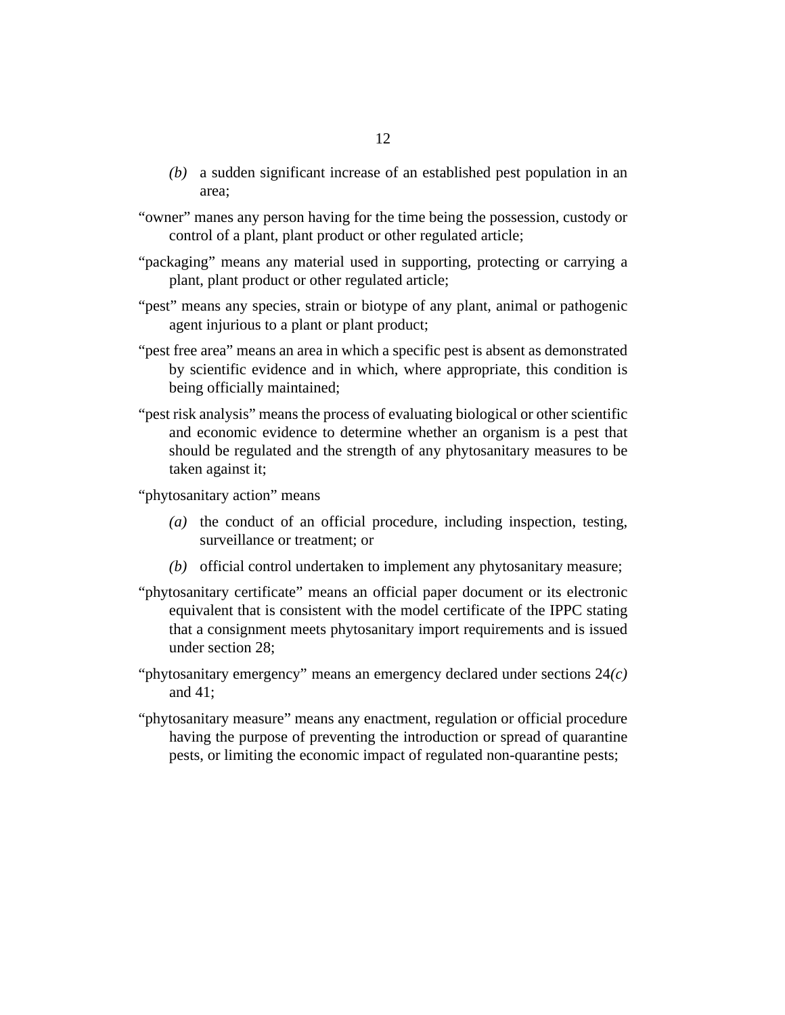- a sudden significant increase of an established pest population in an *(b)* area;
- "owner" manes any person having for the time being the possession, custody or control of a plant, plant product or other regulated article;
- "packaging" means any material used in supporting, protecting or carrying a plant, plant product or other regulated article;
- "pest" means any species, strain or biotype of any plant, animal or pathogenic agent injurious to a plant or plant product;
- "pest free area" means an area in which a specific pest is absent as demonstrated by scientific evidence and in which, where appropriate, this condition is being officially maintained;
- "pest risk analysis" means the process of evaluating biological or other scientific and economic evidence to determine whether an organism is a pest that should be regulated and the strength of any phytosanitary measures to be taken against it;

"phytosanitary action" means

- (a) the conduct of an official procedure, including inspection, testing, surveillance or treatment; or
- (b) official control undertaken to implement any phytosanitary measure;
- "phytosanitary certificate" means an official paper document or its electronic equivalent that is consistent with the model certificate of the IPPC stating that a consignment meets phytosanitary import requirements and is issued under section 28;
- "phytosanitary emergency" means an emergency declared under sections 24*(c)* and 41;
- "phytosanitary measure" means any enactment, regulation or official procedure having the purpose of preventing the introduction or spread of quarantine pests, or limiting the economic impact of regulated non-quarantine pests;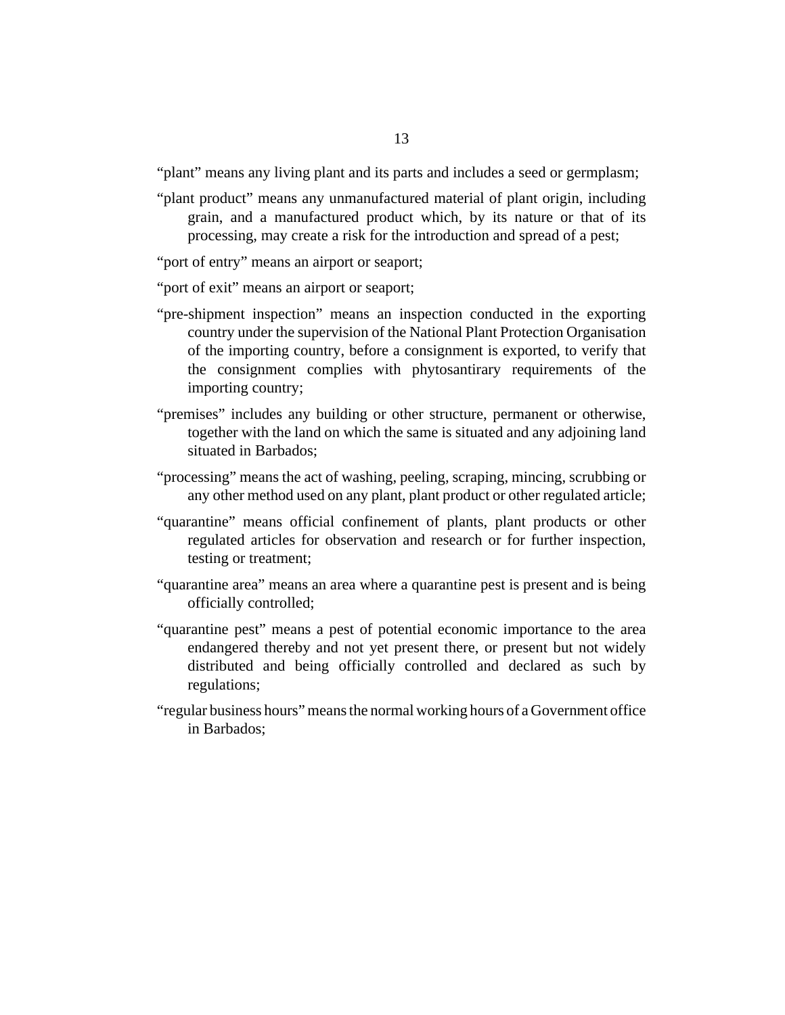"plant" means any living plant and its parts and includes a seed or germplasm;

"plant product" means any unmanufactured material of plant origin, including grain, and a manufactured product which, by its nature or that of its processing, may create a risk for the introduction and spread of a pest;

"port of entry" means an airport or seaport;

"port of exit" means an airport or seaport;

- "pre-shipment inspection" means an inspection conducted in the exporting country under the supervision of the National Plant Protection Organisation of the importing country, before a consignment is exported, to verify that the consignment complies with phytosantirary requirements of the importing country;
- "premises" includes any building or other structure, permanent or otherwise, together with the land on which the same is situated and any adjoining land situated in Barbados;
- "processing" means the act of washing, peeling, scraping, mincing, scrubbing or any other method used on any plant, plant product or other regulated article;
- "quarantine" means official confinement of plants, plant products or other regulated articles for observation and research or for further inspection, testing or treatment;
- "quarantine area" means an area where a quarantine pest is present and is being officially controlled;
- "quarantine pest" means a pest of potential economic importance to the area endangered thereby and not yet present there, or present but not widely distributed and being officially controlled and declared as such by regulations;
- "regular business hours" means the normal working hours of a Government office in Barbados;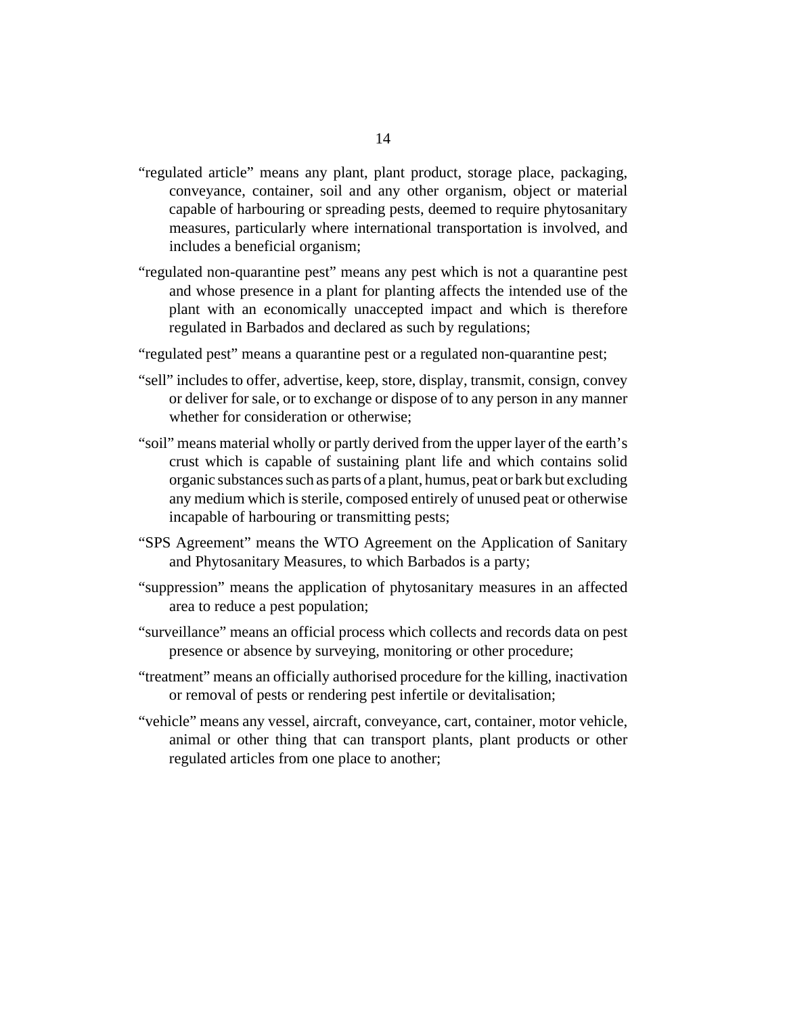- "regulated article" means any plant, plant product, storage place, packaging, conveyance, container, soil and any other organism, object or material capable of harbouring or spreading pests, deemed to require phytosanitary measures, particularly where international transportation is involved, and includes a beneficial organism;
- "regulated non-quarantine pest" means any pest which is not a quarantine pest and whose presence in a plant for planting affects the intended use of the plant with an economically unaccepted impact and which is therefore regulated in Barbados and declared as such by regulations;
- "regulated pest" means a quarantine pest or a regulated non-quarantine pest;
- "sell" includes to offer, advertise, keep, store, display, transmit, consign, convey or deliver for sale, or to exchange or dispose of to any person in any manner whether for consideration or otherwise;
- "soil" means material wholly or partly derived from the upper layer of the earth's crust which is capable of sustaining plant life and which contains solid organic substances such as parts of a plant, humus, peat or bark but excluding any medium which is sterile, composed entirely of unused peat or otherwise incapable of harbouring or transmitting pests;
- "SPS Agreement" means the WTO Agreement on the Application of Sanitary and Phytosanitary Measures, to which Barbados is a party;
- "suppression" means the application of phytosanitary measures in an affected area to reduce a pest population;
- "surveillance" means an official process which collects and records data on pest presence or absence by surveying, monitoring or other procedure;
- "treatment" means an officially authorised procedure for the killing, inactivation or removal of pests or rendering pest infertile or devitalisation;
- "vehicle" means any vessel, aircraft, conveyance, cart, container, motor vehicle, animal or other thing that can transport plants, plant products or other regulated articles from one place to another;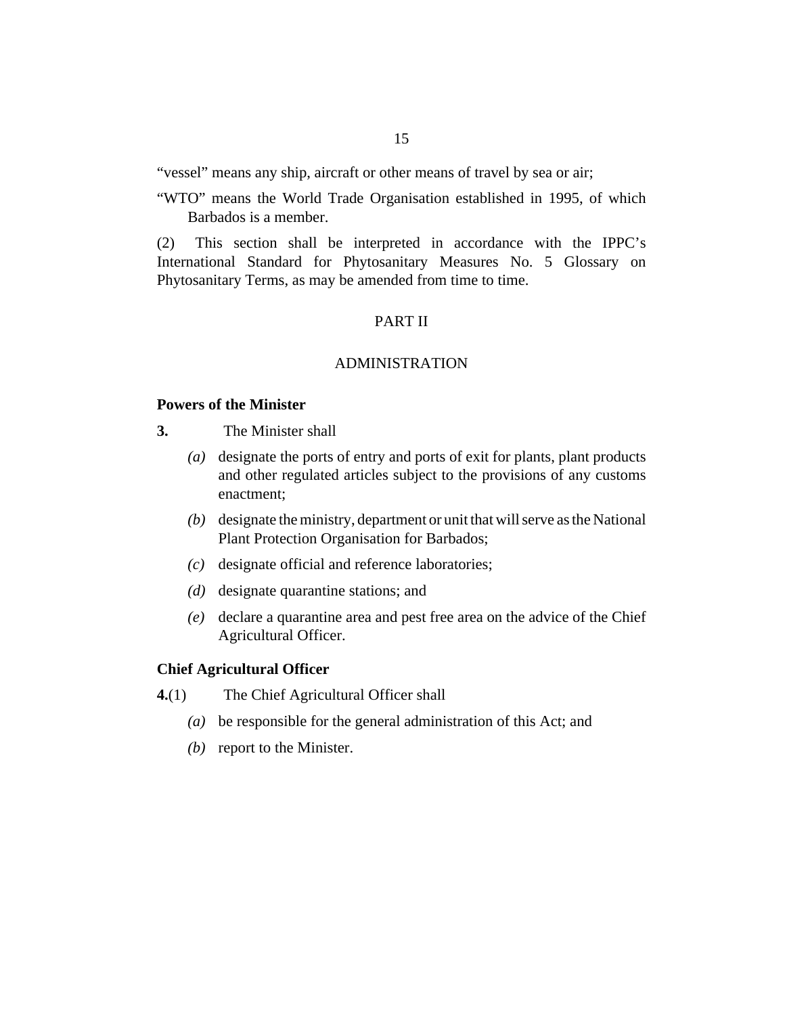<span id="page-14-0"></span>"vessel" means any ship, aircraft or other means of travel by sea or air;

"WTO" means the World Trade Organisation established in 1995, of which Barbados is a member.

This section shall be interpreted in accordance with the IPPC's International Standard for Phytosanitary Measures No. 5 Glossary on Phytosanitary Terms, as may be amended from time to time. (2)

#### PART II

#### ADMINISTRATION

## **Powers of the Minister**

- The Minister shall **3.**
	- (a) designate the ports of entry and ports of exit for plants, plant products and other regulated articles subject to the provisions of any customs enactment;
	- (b) designate the ministry, department or unit that will serve as the National Plant Protection Organisation for Barbados;
	- designate official and reference laboratories; *(c)*
	- (*d*) designate quarantine stations; and
	- declare a quarantine area and pest free area on the advice of the Chief *(e)* Agricultural Officer.

#### **Chief Agricultural Officer**

- The Chief Agricultural Officer shall **4.**(1)
	- be responsible for the general administration of this Act; and *(a)*
	- (b) report to the Minister.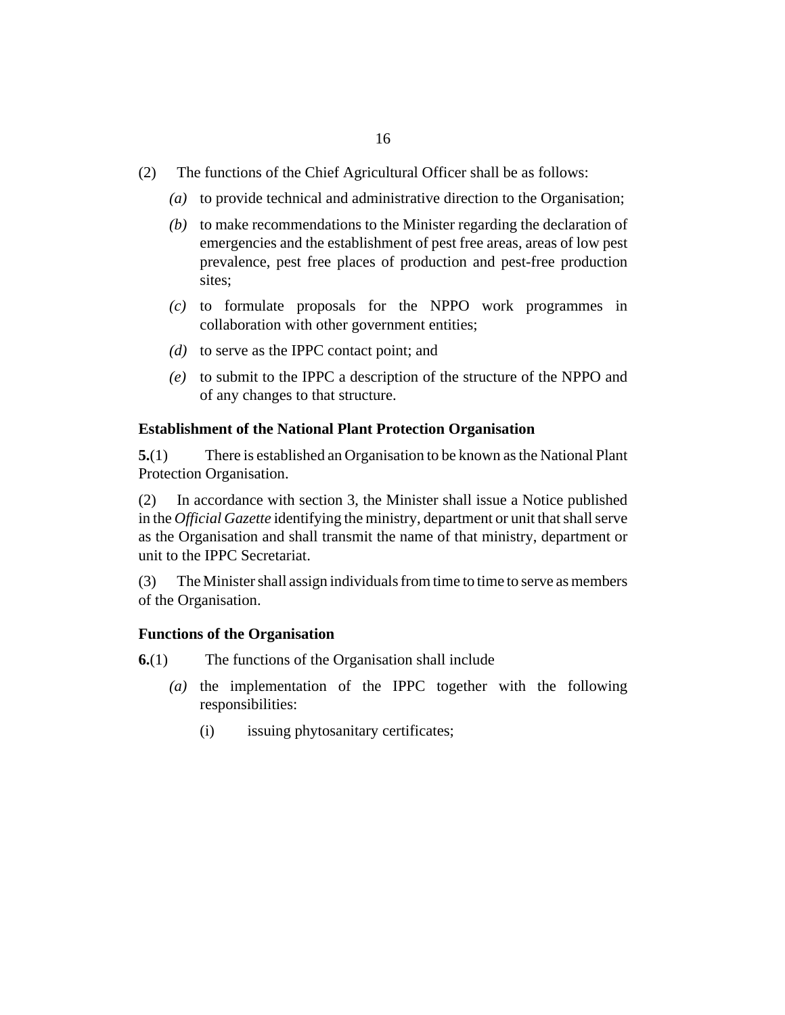- <span id="page-15-0"></span>The functions of the Chief Agricultural Officer shall be as follows: (2)
	- to provide technical and administrative direction to the Organisation; *(a)*
	- (b) to make recommendations to the Minister regarding the declaration of emergencies and the establishment of pest free areas, areas of low pest prevalence, pest free places of production and pest-free production sites;
	- to formulate proposals for the NPPO work programmes in *(c)* collaboration with other government entities;
	- (d) to serve as the IPPC contact point; and
	- to submit to the IPPC a description of the structure of the NPPO and *(e)* of any changes to that structure.

#### **Establishment of the National Plant Protection Organisation**

There is established an Organisation to be known as the National Plant Protection Organisation. **5.**(1)

In accordance with section 3, the Minister shall issue a Notice published in the *Official Gazette* identifying the ministry, department or unit that shall serve as the Organisation and shall transmit the name of that ministry, department or unit to the IPPC Secretariat. (2)

The Minister shall assign individuals from time to time to serve as members of the Organisation. (3)

#### **Functions of the Organisation**

The functions of the Organisation shall include **6.**(1)

- $(a)$  the implementation of the IPPC together with the following responsibilities:
	- issuing phytosanitary certificates; (i)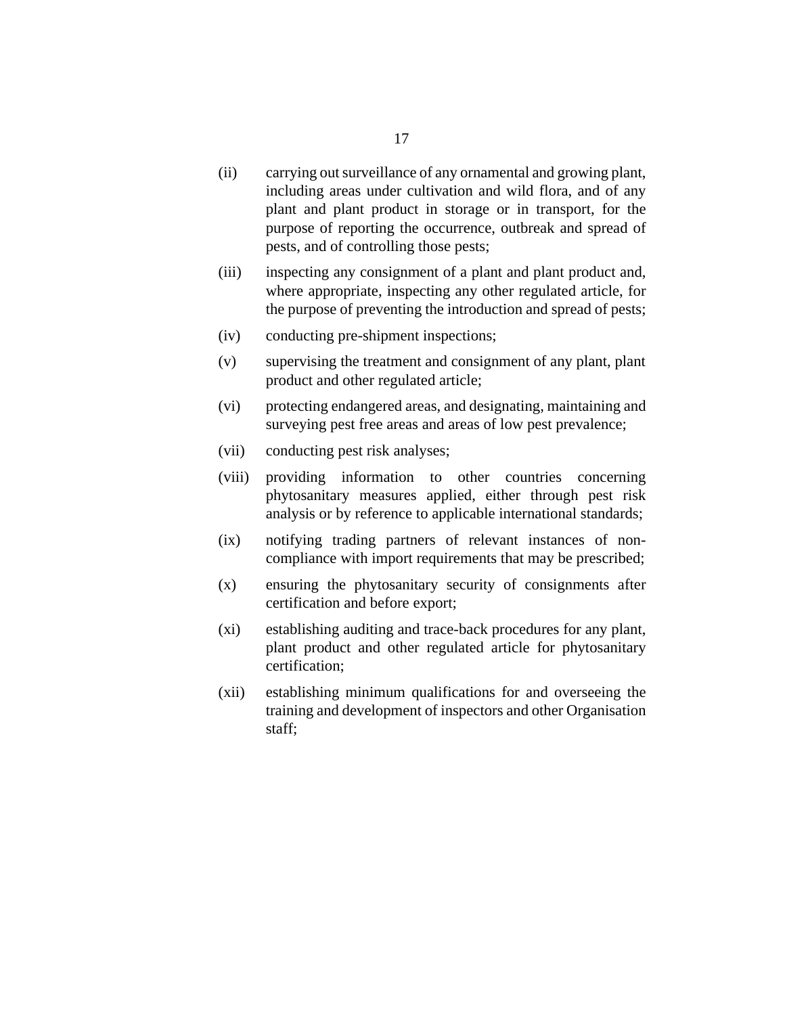- carrying out surveillance of any ornamental and growing plant, including areas under cultivation and wild flora, and of any plant and plant product in storage or in transport, for the purpose of reporting the occurrence, outbreak and spread of pests, and of controlling those pests; (ii)
- inspecting any consignment of a plant and plant product and, where appropriate, inspecting any other regulated article, for the purpose of preventing the introduction and spread of pests; (iii)
- conducting pre-shipment inspections;  $(iv)$
- supervising the treatment and consignment of any plant, plant product and other regulated article; (v)
- protecting endangered areas, and designating, maintaining and surveying pest free areas and areas of low pest prevalence; (vi)
- conducting pest risk analyses; (vii)
- providing information to other countries concerning phytosanitary measures applied, either through pest risk analysis or by reference to applicable international standards; (viii)
- notifying trading partners of relevant instances of noncompliance with import requirements that may be prescribed;  $(ix)$
- ensuring the phytosanitary security of consignments after certification and before export; (x)
- establishing auditing and trace-back procedures for any plant, plant product and other regulated article for phytosanitary certification;  $(xi)$
- establishing minimum qualifications for and overseeing the training and development of inspectors and other Organisation staff;  $(xii)$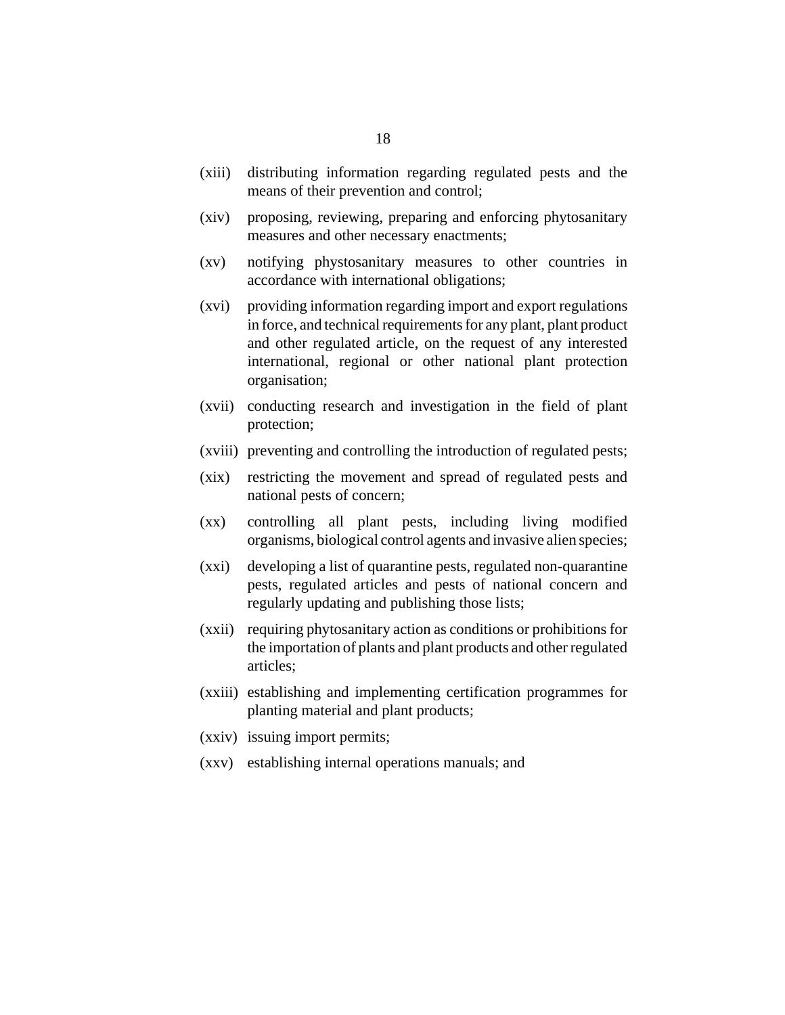- distributing information regarding regulated pests and the means of their prevention and control;  $(xiii)$
- proposing, reviewing, preparing and enforcing phytosanitary measures and other necessary enactments; (xiv)
- notifying phystosanitary measures to other countries in accordance with international obligations;  $(xy)$
- providing information regarding import and export regulations in force, and technical requirements for any plant, plant product and other regulated article, on the request of any interested international, regional or other national plant protection organisation; (xvi)
- (xvii) conducting research and investigation in the field of plant protection;
- (xviii) preventing and controlling the introduction of regulated pests;
- restricting the movement and spread of regulated pests and national pests of concern;  $(xix)$
- controlling all plant pests, including living modified organisms, biological control agents and invasive alien species;  $(xx)$
- developing a list of quarantine pests, regulated non-quarantine pests, regulated articles and pests of national concern and regularly updating and publishing those lists; (xxi)
- (xxii) requiring phytosanitary action as conditions or prohibitions for the importation of plants and plant products and other regulated articles;
- (xxiii) establishing and implementing certification programmes for planting material and plant products;
- (xxiv) issuing import permits;
- (xxv) establishing internal operations manuals; and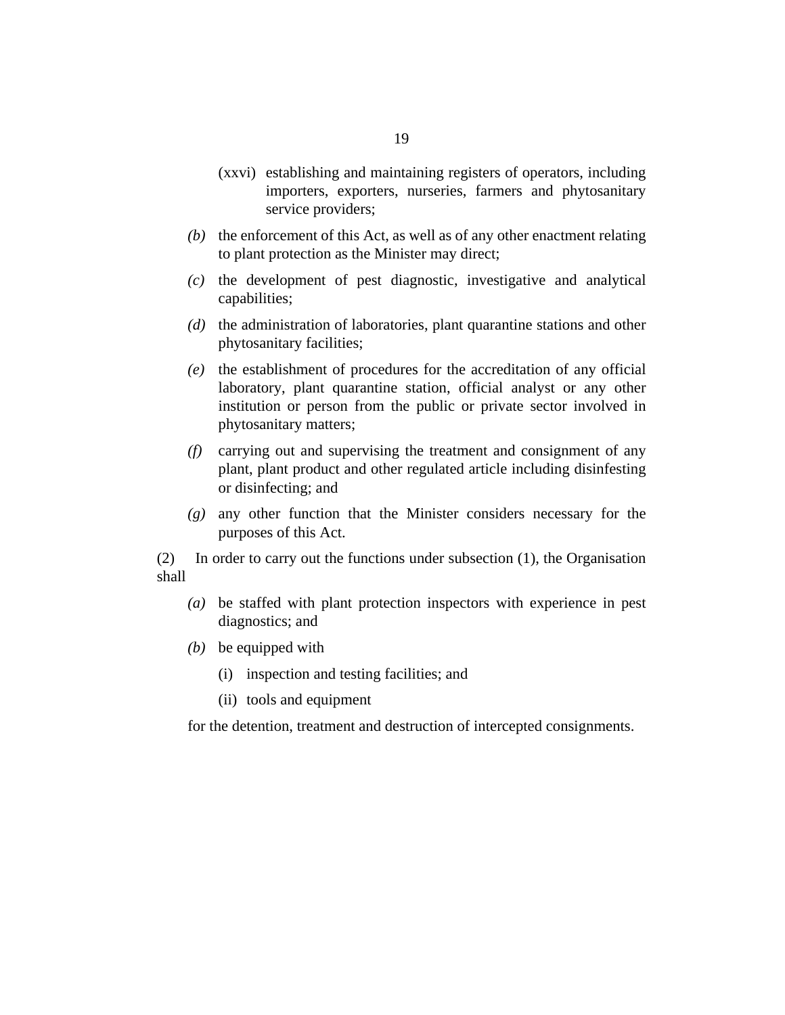- (xxvi) establishing and maintaining registers of operators, including importers, exporters, nurseries, farmers and phytosanitary service providers;
- $(b)$  the enforcement of this Act, as well as of any other enactment relating to plant protection as the Minister may direct;
- $(c)$  the development of pest diagnostic, investigative and analytical capabilities;
- (d) the administration of laboratories, plant quarantine stations and other phytosanitary facilities;
- (e) the establishment of procedures for the accreditation of any official laboratory, plant quarantine station, official analyst or any other institution or person from the public or private sector involved in phytosanitary matters;
- carrying out and supervising the treatment and consignment of any *(f)* plant, plant product and other regulated article including disinfesting or disinfecting; and
- any other function that the Minister considers necessary for the *(g)* purposes of this Act.

In order to carry out the functions under subsection (1), the Organisation shall (2)

- be staffed with plant protection inspectors with experience in pest *(a)* diagnostics; and
- (b) be equipped with
	- (i) inspection and testing facilities; and
	- (ii) tools and equipment

for the detention, treatment and destruction of intercepted consignments.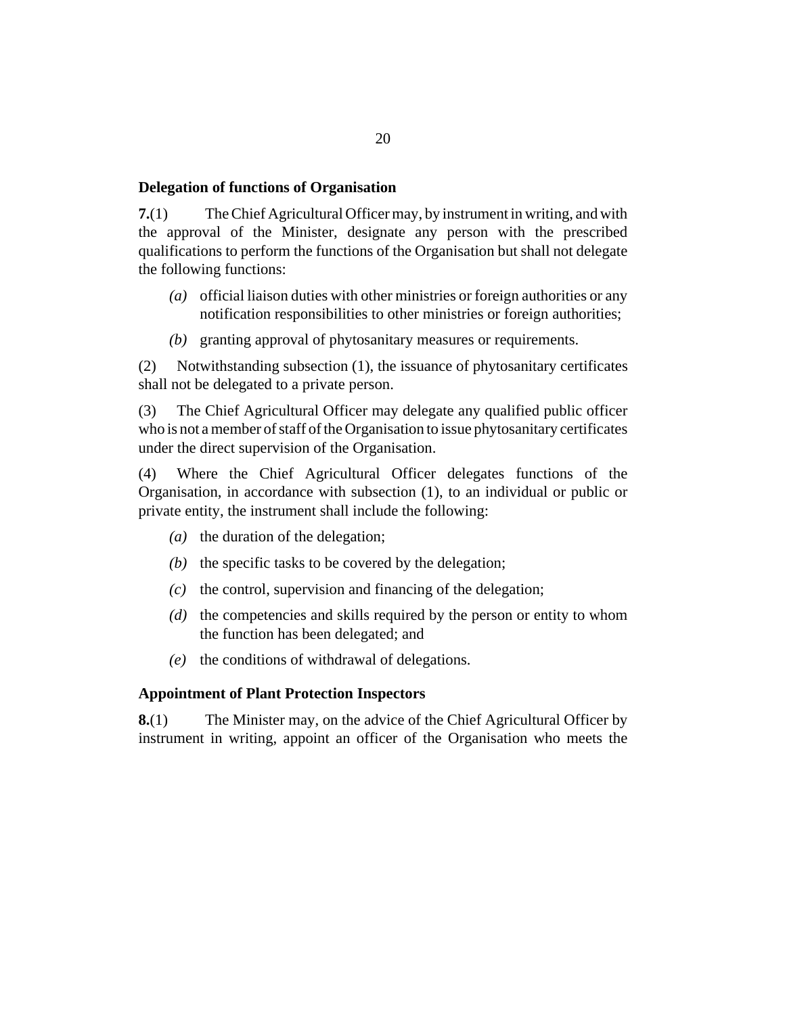#### <span id="page-19-0"></span>**Delegation of functions of Organisation**

The Chief Agricultural Officer may, by instrument in writing, and with the approval of the Minister, designate any person with the prescribed qualifications to perform the functions of the Organisation but shall not delegate the following functions: **7.**(1)

- official liaison duties with other ministries or foreign authorities or any *(a)* notification responsibilities to other ministries or foreign authorities;
- (b) granting approval of phytosanitary measures or requirements.

Notwithstanding subsection (1), the issuance of phytosanitary certificates shall not be delegated to a private person. (2)

The Chief Agricultural Officer may delegate any qualified public officer who is not a member of staff of the Organisation to issue phytosanitary certificates under the direct supervision of the Organisation. (3)

Where the Chief Agricultural Officer delegates functions of the Organisation, in accordance with subsection (1), to an individual or public or private entity, the instrument shall include the following: (4)

- (a) the duration of the delegation;
- $(b)$  the specific tasks to be covered by the delegation;
- $\alpha$  the control, supervision and financing of the delegation;
- (d) the competencies and skills required by the person or entity to whom the function has been delegated; and
- (e) the conditions of withdrawal of delegations.

#### **Appointment of Plant Protection Inspectors**

The Minister may, on the advice of the Chief Agricultural Officer by instrument in writing, appoint an officer of the Organisation who meets the **8.**(1)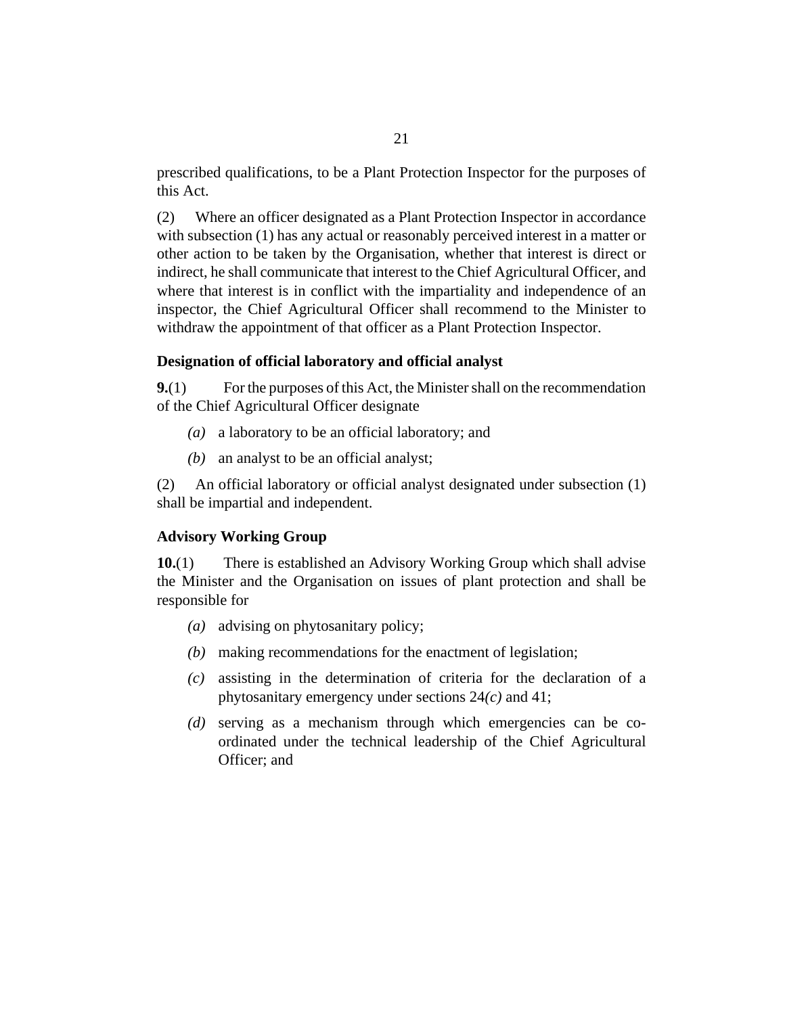<span id="page-20-0"></span>prescribed qualifications, to be a Plant Protection Inspector for the purposes of this Act.

Where an officer designated as a Plant Protection Inspector in accordance with subsection (1) has any actual or reasonably perceived interest in a matter or other action to be taken by the Organisation, whether that interest is direct or indirect, he shall communicate that interest to the Chief Agricultural Officer, and where that interest is in conflict with the impartiality and independence of an inspector, the Chief Agricultural Officer shall recommend to the Minister to withdraw the appointment of that officer as a Plant Protection Inspector. (2)

#### **Designation of official laboratory and official analyst**

For the purposes of this Act, the Minister shall on the recommendation of the Chief Agricultural Officer designate **9.**(1)

- (a) a laboratory to be an official laboratory; and
- an analyst to be an official analyst; *(b)*

An official laboratory or official analyst designated under subsection (1) shall be impartial and independent. (2)

#### **Advisory Working Group**

There is established an Advisory Working Group which shall advise the Minister and the Organisation on issues of plant protection and shall be responsible for **10.**(1)

- advising on phytosanitary policy; *(a)*
- making recommendations for the enactment of legislation; *(b)*
- assisting in the determination of criteria for the declaration of a *(c)* phytosanitary emergency under sections 24*(c)* and 41;
- serving as a mechanism through which emergencies can be co-*(d)* ordinated under the technical leadership of the Chief Agricultural Officer; and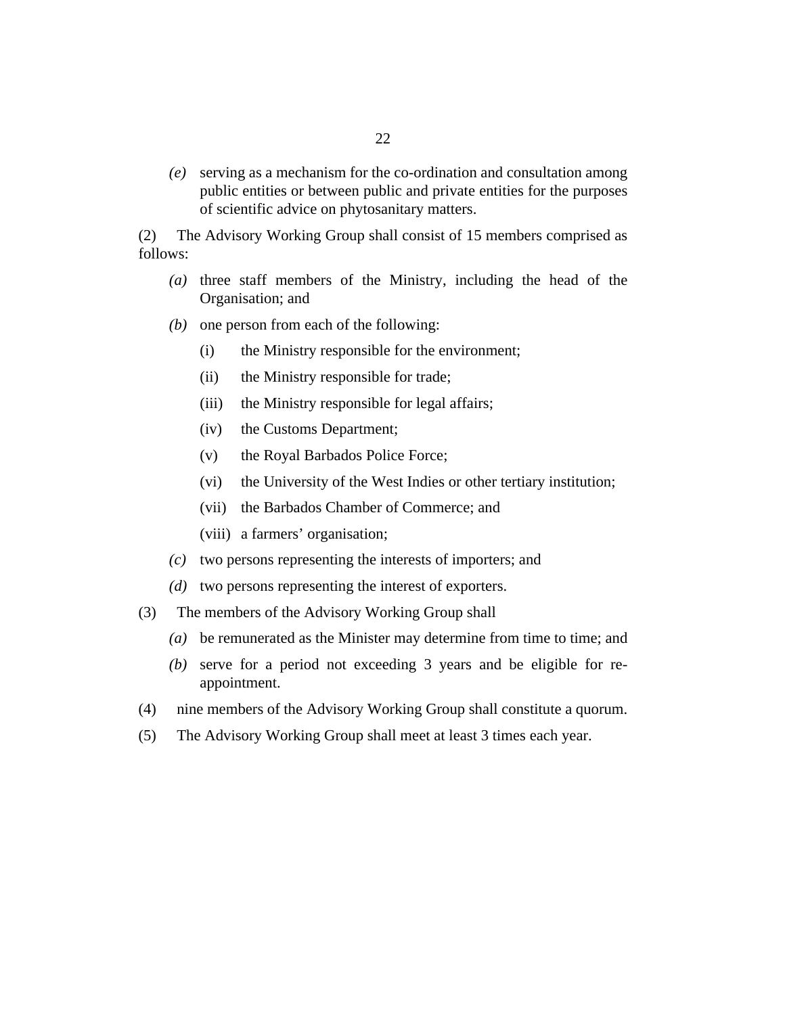serving as a mechanism for the co-ordination and consultation among *(e)* public entities or between public and private entities for the purposes of scientific advice on phytosanitary matters.

The Advisory Working Group shall consist of 15 members comprised as follows: (2)

- $(a)$  three staff members of the Ministry, including the head of the Organisation; and
- $(b)$  one person from each of the following:
	- the Ministry responsible for the environment; (i)
	- the Ministry responsible for trade;  $(ii)$
	- the Ministry responsible for legal affairs;  $(iii)$
	- the Customs Department; (iv)
	- the Royal Barbados Police Force; (v)
	- the University of the West Indies or other tertiary institution; (vi)
	- (vii) the Barbados Chamber of Commerce; and
	- (viii) a farmers' organisation;
- two persons representing the interests of importers; and *(c)*
- (d) two persons representing the interest of exporters.
- The members of the Advisory Working Group shall (3)
	- be remunerated as the Minister may determine from time to time; and *(a)*
	- serve for a period not exceeding 3 years and be eligible for re-*(b)* appointment.
- nine members of the Advisory Working Group shall constitute a quorum. (4)
- The Advisory Working Group shall meet at least 3 times each year. (5)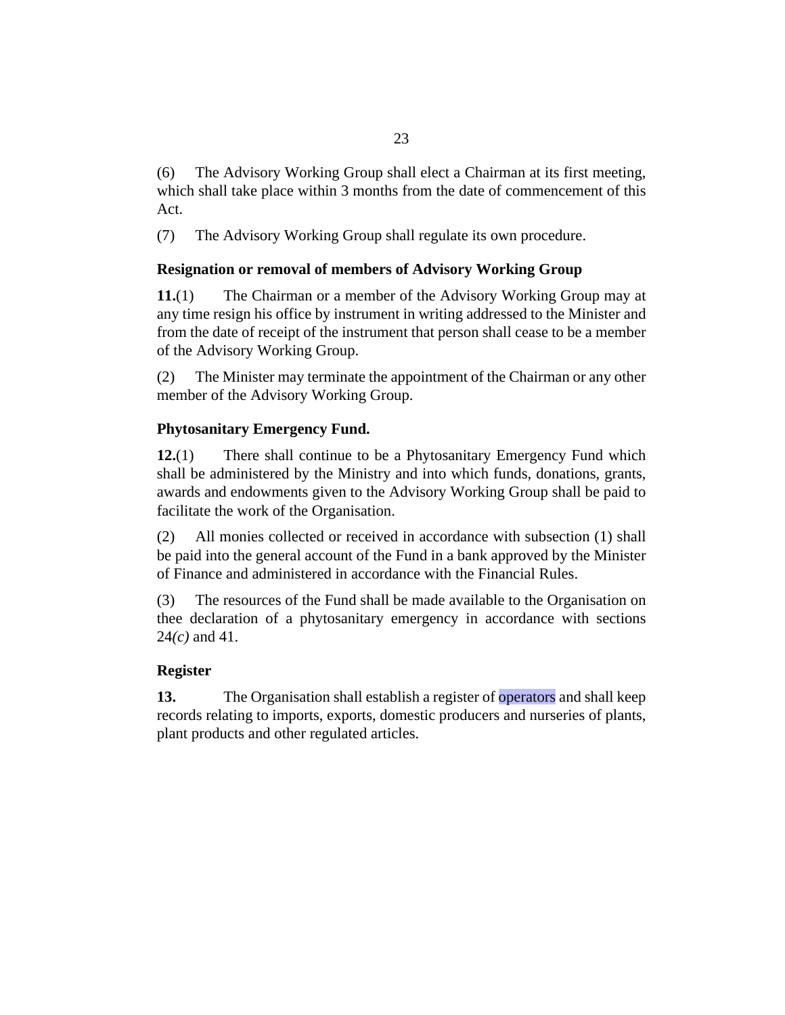<span id="page-22-0"></span>The Advisory Working Group shall elect a Chairman at its first meeting, which shall take place within 3 months from the date of commencement of this Act. (6)

The Advisory Working Group shall regulate its own procedure. (7)

# **Resignation or removal of members of Advisory Working Group**

The Chairman or a member of the Advisory Working Group may at any time resign his office by instrument in writing addressed to the Minister and from the date of receipt of the instrument that person shall cease to be a member of the Advisory Working Group. **11.**(1)

The Minister may terminate the appointment of the Chairman or any other member of the Advisory Working Group. (2)

# **Phytosanitary Emergency Fund.**

There shall continue to be a Phytosanitary Emergency Fund which shall be administered by the Ministry and into which funds, donations, grants, awards and endowments given to the Advisory Working Group shall be paid to facilitate the work of the Organisation. **12.**(1)

All monies collected or received in accordance with subsection (1) shall be paid into the general account of the Fund in a bank approved by the Minister of Finance and administered in accordance with the Financial Rules. (2)

The resources of the Fund shall be made available to the Organisation on thee declaration of a phytosanitary emergency in accordance with sections 24*(c)* and 41. (3)

# **Register**

The Organisation shall establish a register of operators and shall keep records relating to imports, exports, domestic producers and nurseries of plants, plant products and other regulated articles. **13.**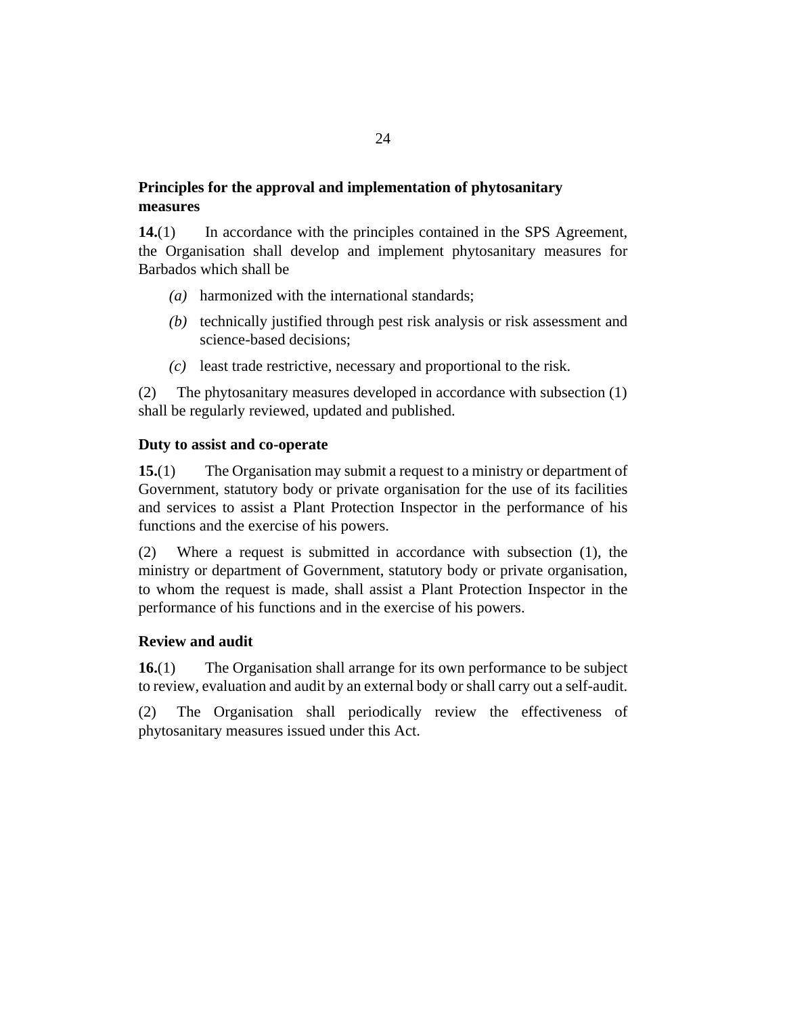# <span id="page-23-0"></span>**Principles for the approval and implementation of phytosanitary measures**

In accordance with the principles contained in the SPS Agreement, the Organisation shall develop and implement phytosanitary measures for Barbados which shall be **14.**(1)

- harmonized with the international standards; *(a)*
- (b) technically justified through pest risk analysis or risk assessment and science-based decisions;
- least trade restrictive, necessary and proportional to the risk. *(c)*

The phytosanitary measures developed in accordance with subsection (1) shall be regularly reviewed, updated and published. (2)

#### **Duty to assist and co-operate**

The Organisation may submit a request to a ministry or department of Government, statutory body or private organisation for the use of its facilities and services to assist a Plant Protection Inspector in the performance of his functions and the exercise of his powers. **15.**(1)

Where a request is submitted in accordance with subsection (1), the ministry or department of Government, statutory body or private organisation, to whom the request is made, shall assist a Plant Protection Inspector in the performance of his functions and in the exercise of his powers. (2)

## **Review and audit**

The Organisation shall arrange for its own performance to be subject to review, evaluation and audit by an external body or shall carry out a self-audit. **16.**(1)

The Organisation shall periodically review the effectiveness of phytosanitary measures issued under this Act. (2)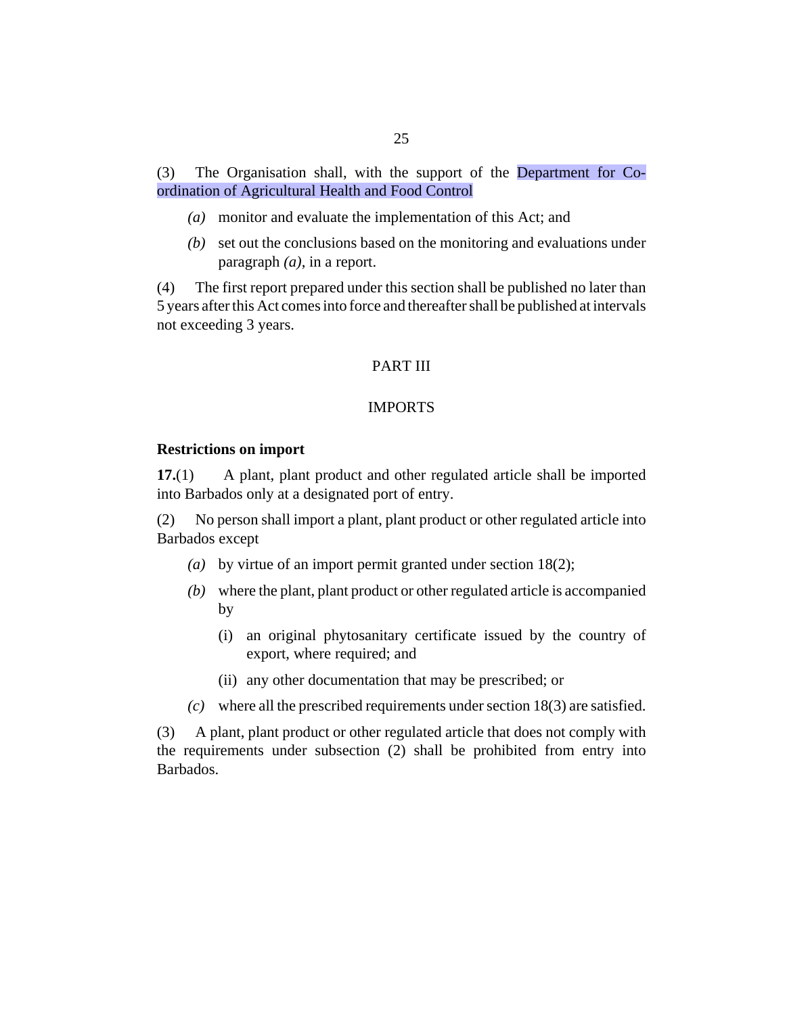<span id="page-24-0"></span>The Organisation shall, with the support of the Department for Coordination of Agricultural Health and Food Control (3)

- monitor and evaluate the implementation of this Act; and *(a)*
- (b) set out the conclusions based on the monitoring and evaluations under paragraph *(a)*, in a report.

The first report prepared under this section shall be published no later than 5 years after this Act comes into force and thereafter shall be published at intervals not exceeding 3 years. (4)

#### PART III

#### IMPORTS

#### **Restrictions on import**

A plant, plant product and other regulated article shall be imported into Barbados only at a designated port of entry. **17.**(1)

No person shall import a plant, plant product or other regulated article into Barbados except (2)

- by virtue of an import permit granted under section 18(2); *(a)*
- where the plant, plant product or other regulated article is accompanied *(b)* by
	- (i) an original phytosanitary certificate issued by the country of export, where required; and
	- (ii) any other documentation that may be prescribed; or
- where all the prescribed requirements under section 18(3) are satisfied. *(c)*

A plant, plant product or other regulated article that does not comply with the requirements under subsection (2) shall be prohibited from entry into Barbados. (3)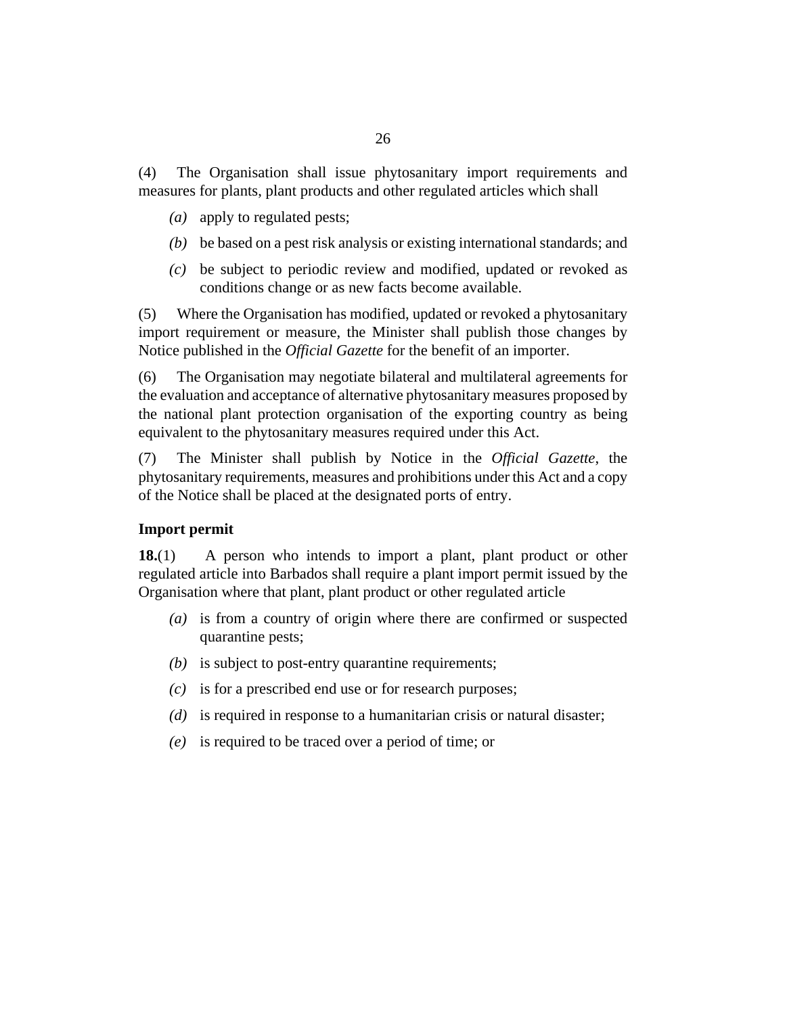<span id="page-25-0"></span>The Organisation shall issue phytosanitary import requirements and measures for plants, plant products and other regulated articles which shall (4)

- (a) apply to regulated pests;
- be based on a pest risk analysis or existing international standards; and *(b)*
- be subject to periodic review and modified, updated or revoked as *(c)* conditions change or as new facts become available.

Where the Organisation has modified, updated or revoked a phytosanitary import requirement or measure, the Minister shall publish those changes by Notice published in the *Official Gazette* for the benefit of an importer. (5)

The Organisation may negotiate bilateral and multilateral agreements for the evaluation and acceptance of alternative phytosanitary measures proposed by the national plant protection organisation of the exporting country as being equivalent to the phytosanitary measures required under this Act. (6)

The Minister shall publish by Notice in the *Official Gazette*, the phytosanitary requirements, measures and prohibitions under this Act and a copy of the Notice shall be placed at the designated ports of entry. (7)

#### **Import permit**

A person who intends to import a plant, plant product or other regulated article into Barbados shall require a plant import permit issued by the Organisation where that plant, plant product or other regulated article **18.**(1)

- (a) is from a country of origin where there are confirmed or suspected quarantine pests;
- (b) is subject to post-entry quarantine requirements;
- is for a prescribed end use or for research purposes; *(c)*
- (d) is required in response to a humanitarian crisis or natural disaster;
- is required to be traced over a period of time; or *(e)*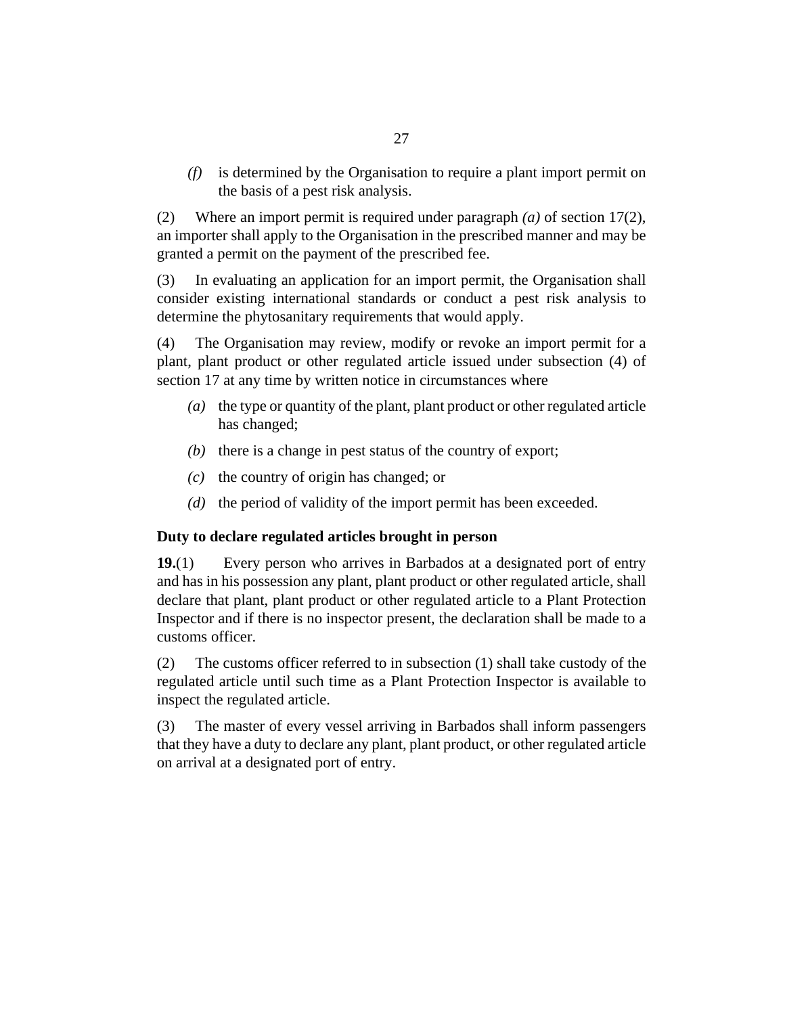<span id="page-26-0"></span>is determined by the Organisation to require a plant import permit on *(f)* the basis of a pest risk analysis.

Where an import permit is required under paragraph *(a)* of section 17(2), an importer shall apply to the Organisation in the prescribed manner and may be granted a permit on the payment of the prescribed fee. (2)

In evaluating an application for an import permit, the Organisation shall consider existing international standards or conduct a pest risk analysis to determine the phytosanitary requirements that would apply. (3)

The Organisation may review, modify or revoke an import permit for a plant, plant product or other regulated article issued under subsection (4) of section 17 at any time by written notice in circumstances where (4)

- (a) the type or quantity of the plant, plant product or other regulated article has changed;
- $(b)$  there is a change in pest status of the country of export;
- $(c)$  the country of origin has changed; or
- $(d)$  the period of validity of the import permit has been exceeded.

#### **Duty to declare regulated articles brought in person**

Every person who arrives in Barbados at a designated port of entry and has in his possession any plant, plant product or other regulated article, shall declare that plant, plant product or other regulated article to a Plant Protection Inspector and if there is no inspector present, the declaration shall be made to a customs officer. **19.**(1)

The customs officer referred to in subsection (1) shall take custody of the regulated article until such time as a Plant Protection Inspector is available to inspect the regulated article. (2)

The master of every vessel arriving in Barbados shall inform passengers that they have a duty to declare any plant, plant product, or other regulated article on arrival at a designated port of entry. (3)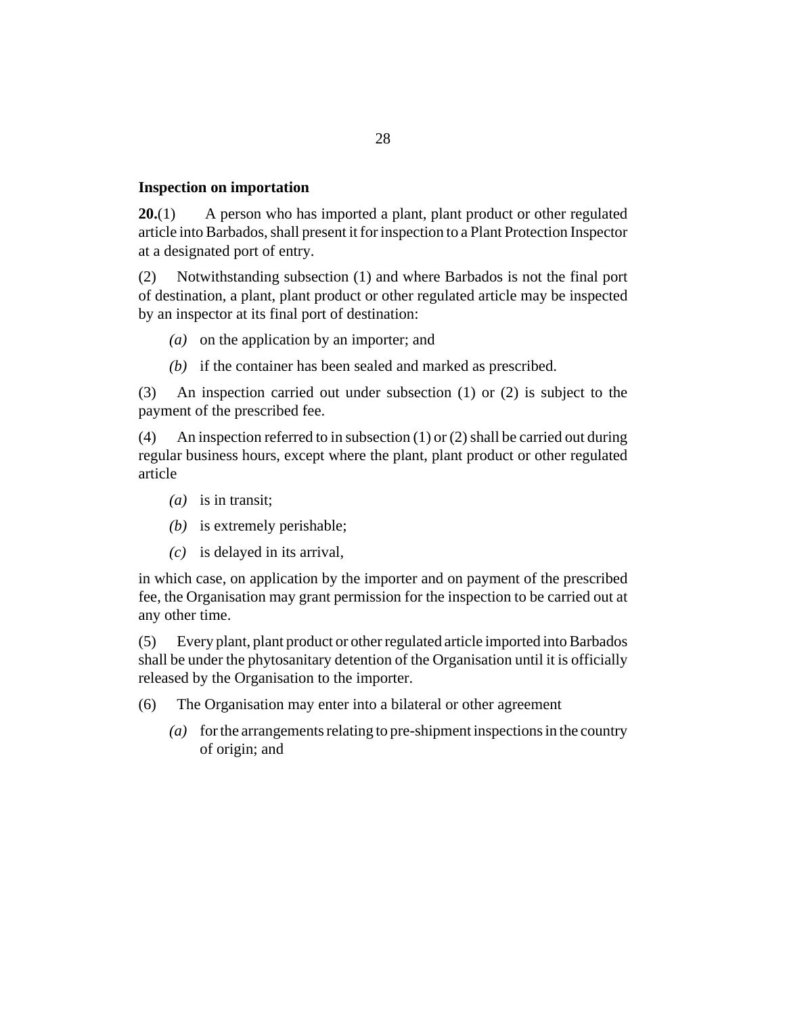#### <span id="page-27-0"></span>**Inspection on importation**

A person who has imported a plant, plant product or other regulated article into Barbados, shall present it for inspection to a Plant Protection Inspector at a designated port of entry. **20.**(1)

Notwithstanding subsection (1) and where Barbados is not the final port of destination, a plant, plant product or other regulated article may be inspected by an inspector at its final port of destination: (2)

- (a) on the application by an importer; and
- (b) if the container has been sealed and marked as prescribed.

An inspection carried out under subsection (1) or (2) is subject to the payment of the prescribed fee. (3)

An inspection referred to in subsection (1) or (2) shall be carried out during regular business hours, except where the plant, plant product or other regulated article (4)

- (*a*) is in transit;
- (b) is extremely perishable;
- is delayed in its arrival, *(c)*

in which case, on application by the importer and on payment of the prescribed fee, the Organisation may grant permission for the inspection to be carried out at any other time.

Every plant, plant product or other regulated article imported into Barbados shall be under the phytosanitary detention of the Organisation until it is officially released by the Organisation to the importer. (5)

- The Organisation may enter into a bilateral or other agreement (6)
	- for the arrangements relating to pre-shipment inspections in the country *(a)* of origin; and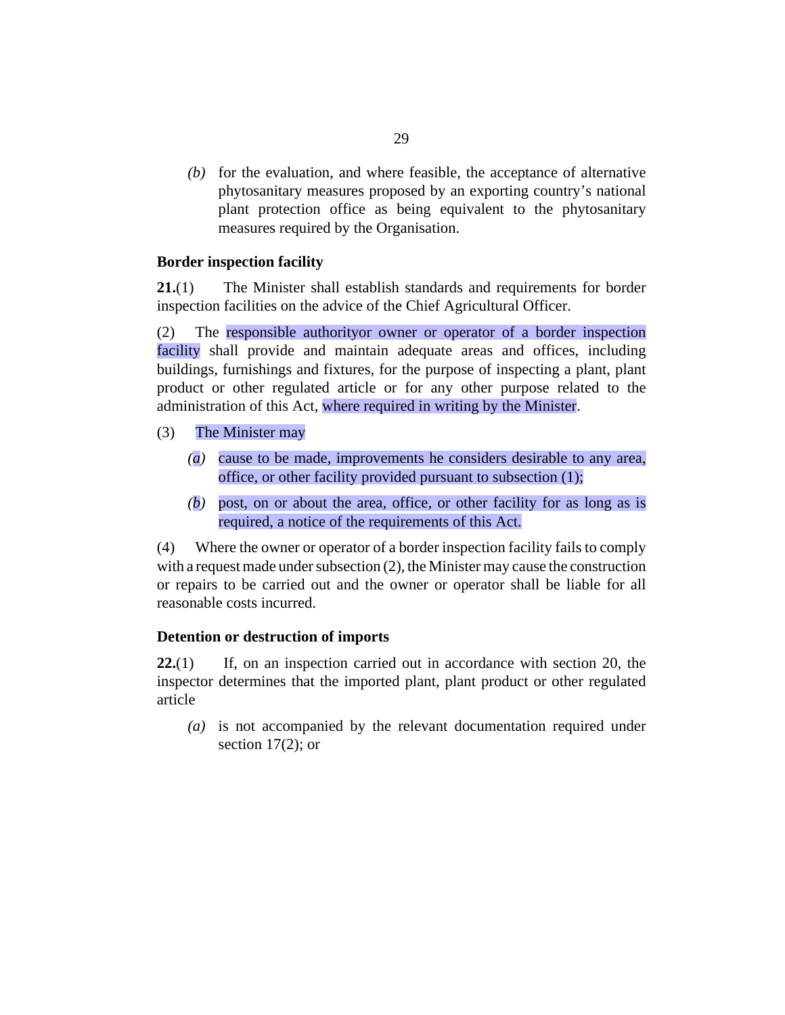<span id="page-28-0"></span> $f(b)$  for the evaluation, and where feasible, the acceptance of alternative phytosanitary measures proposed by an exporting country's national plant protection office as being equivalent to the phytosanitary measures required by the Organisation.

## **Border inspection facility**

The Minister shall establish standards and requirements for border inspection facilities on the advice of the Chief Agricultural Officer. **21.**(1)

The responsible authorityor owner or operator of a border inspection facility shall provide and maintain adequate areas and offices, including buildings, furnishings and fixtures, for the purpose of inspecting a plant, plant product or other regulated article or for any other purpose related to the administration of this Act, where required in writing by the Minister. (2)

- The Minister may (3)
	- cause to be made, improvements he considers desirable to any area, *(a)* office, or other facility provided pursuant to subsection (1);
	- post, on or about the area, office, or other facility for as long as is *(b)* required, a notice of the requirements of this Act.

Where the owner or operator of a border inspection facility fails to comply with a request made under subsection  $(2)$ , the Minister may cause the construction or repairs to be carried out and the owner or operator shall be liable for all reasonable costs incurred. (4)

#### **Detention or destruction of imports**

If, on an inspection carried out in accordance with section 20, the inspector determines that the imported plant, plant product or other regulated article **22.**(1)

(a) is not accompanied by the relevant documentation required under section 17(2); or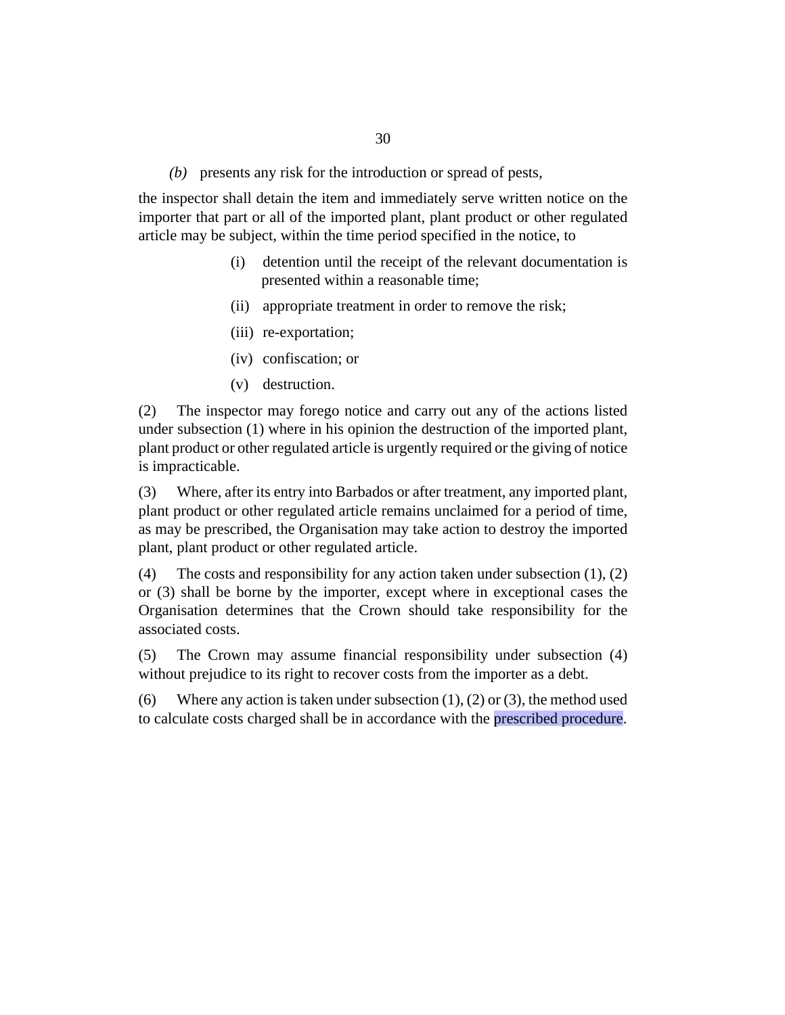presents any risk for the introduction or spread of pests, *(b)*

the inspector shall detain the item and immediately serve written notice on the importer that part or all of the imported plant, plant product or other regulated article may be subject, within the time period specified in the notice, to

- (i) detention until the receipt of the relevant documentation is presented within a reasonable time;
- (ii) appropriate treatment in order to remove the risk;
- (iii) re-exportation;
- (iv) confiscation; or
- (v) destruction.

The inspector may forego notice and carry out any of the actions listed under subsection (1) where in his opinion the destruction of the imported plant, plant product or other regulated article is urgently required or the giving of notice is impracticable. (2)

Where, after its entry into Barbados or after treatment, any imported plant, plant product or other regulated article remains unclaimed for a period of time, as may be prescribed, the Organisation may take action to destroy the imported plant, plant product or other regulated article. (3)

The costs and responsibility for any action taken under subsection (1), (2) or (3) shall be borne by the importer, except where in exceptional cases the Organisation determines that the Crown should take responsibility for the associated costs. (4)

The Crown may assume financial responsibility under subsection (4) without prejudice to its right to recover costs from the importer as a debt. (5)

Where any action is taken under subsection  $(1)$ ,  $(2)$  or  $(3)$ , the method used to calculate costs charged shall be in accordance with the prescribed procedure. (6)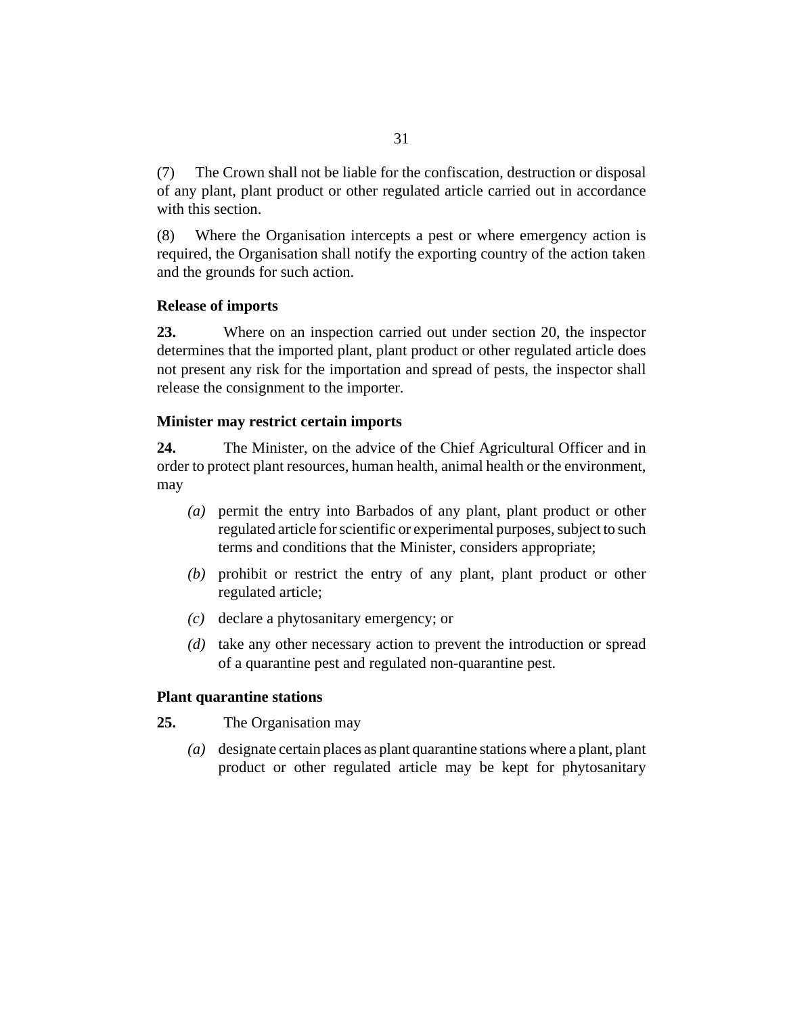<span id="page-30-0"></span>The Crown shall not be liable for the confiscation, destruction or disposal of any plant, plant product or other regulated article carried out in accordance with this section. (7)

Where the Organisation intercepts a pest or where emergency action is required, the Organisation shall notify the exporting country of the action taken and the grounds for such action. (8)

## **Release of imports**

Where on an inspection carried out under section 20, the inspector determines that the imported plant, plant product or other regulated article does not present any risk for the importation and spread of pests, the inspector shall release the consignment to the importer. **23.**

#### **Minister may restrict certain imports**

The Minister, on the advice of the Chief Agricultural Officer and in order to protect plant resources, human health, animal health or the environment, may **24.**

- permit the entry into Barbados of any plant, plant product or other *(a)* regulated article for scientific or experimental purposes, subject to such terms and conditions that the Minister, considers appropriate;
- (b) prohibit or restrict the entry of any plant, plant product or other regulated article;
- declare a phytosanitary emergency; or *(c)*
- (d) take any other necessary action to prevent the introduction or spread of a quarantine pest and regulated non-quarantine pest.

#### **Plant quarantine stations**

- The Organisation may **25.**
	- designate certain places as plant quarantine stations where a plant, plant *(a)* product or other regulated article may be kept for phytosanitary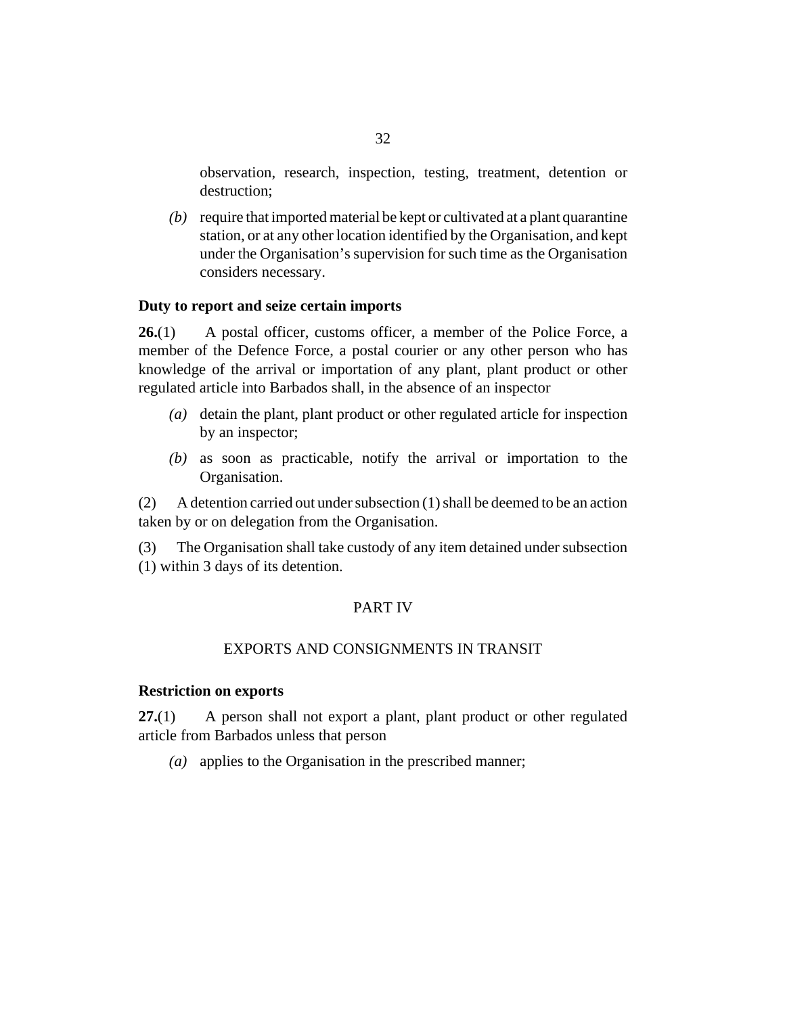<span id="page-31-0"></span>observation, research, inspection, testing, treatment, detention or destruction;

(b) require that imported material be kept or cultivated at a plant quarantine station, or at any other location identified by the Organisation, and kept under the Organisation's supervision for such time as the Organisation considers necessary.

#### **Duty to report and seize certain imports**

A postal officer, customs officer, a member of the Police Force, a member of the Defence Force, a postal courier or any other person who has knowledge of the arrival or importation of any plant, plant product or other regulated article into Barbados shall, in the absence of an inspector **26.**(1)

- (a) detain the plant, plant product or other regulated article for inspection by an inspector;
- as soon as practicable, notify the arrival or importation to the *(b)* Organisation.

A detention carried out under subsection (1) shall be deemed to be an action taken by or on delegation from the Organisation. (2)

The Organisation shall take custody of any item detained under subsection (1) within 3 days of its detention. (3)

#### PART IV

#### EXPORTS AND CONSIGNMENTS IN TRANSIT

#### **Restriction on exports**

A person shall not export a plant, plant product or other regulated article from Barbados unless that person **27.**(1)

(a) applies to the Organisation in the prescribed manner;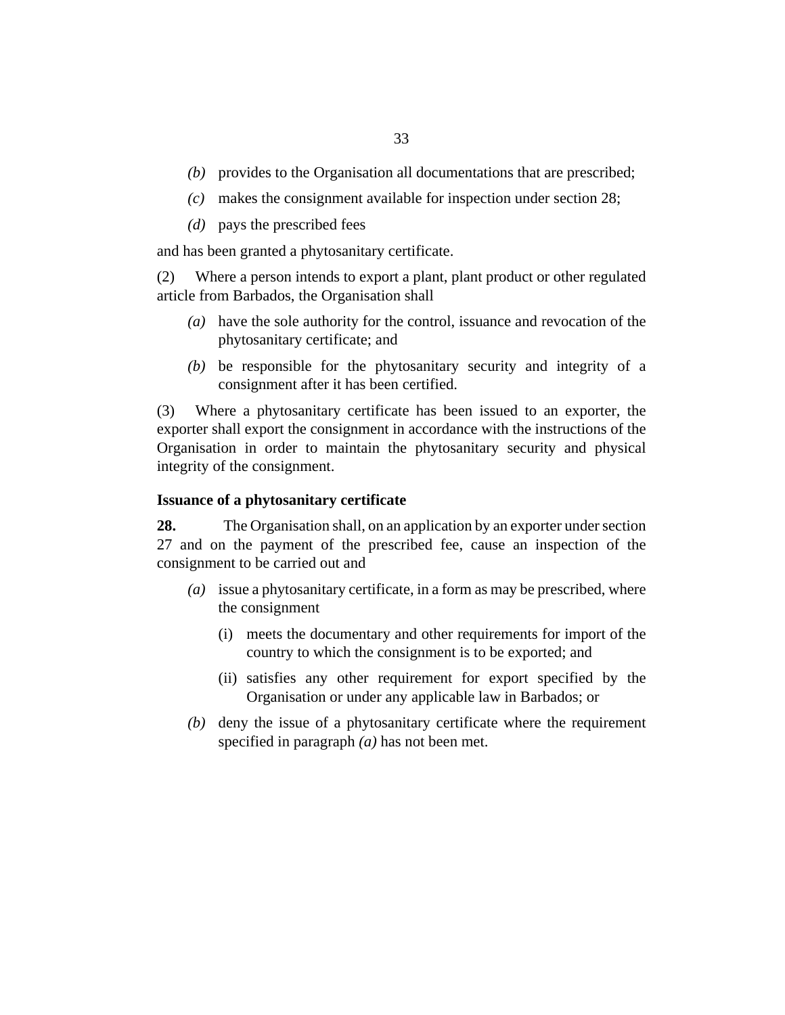- <span id="page-32-0"></span>(b) provides to the Organisation all documentations that are prescribed;
- makes the consignment available for inspection under section 28; *(c)*
- (*d*) pays the prescribed fees

and has been granted a phytosanitary certificate.

Where a person intends to export a plant, plant product or other regulated article from Barbados, the Organisation shall (2)

- have the sole authority for the control, issuance and revocation of the *(a)* phytosanitary certificate; and
- $(b)$  be responsible for the phytosanitary security and integrity of a consignment after it has been certified.

Where a phytosanitary certificate has been issued to an exporter, the exporter shall export the consignment in accordance with the instructions of the Organisation in order to maintain the phytosanitary security and physical integrity of the consignment. (3)

#### **Issuance of a phytosanitary certificate**

The Organisation shall, on an application by an exporter under section 27 and on the payment of the prescribed fee, cause an inspection of the consignment to be carried out and **28.**

- issue a phytosanitary certificate, in a form as may be prescribed, where *(a)* the consignment
	- meets the documentary and other requirements for import of the (i) country to which the consignment is to be exported; and
	- (ii) satisfies any other requirement for export specified by the Organisation or under any applicable law in Barbados; or
- (b) deny the issue of a phytosanitary certificate where the requirement specified in paragraph *(a)* has not been met.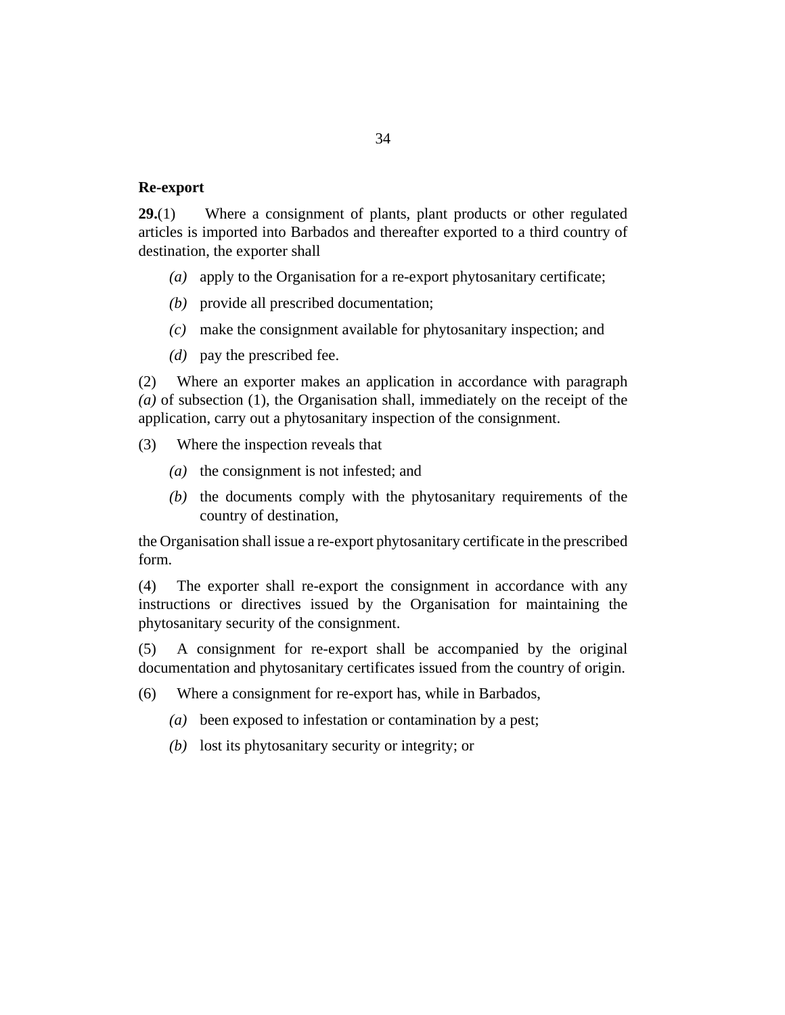#### <span id="page-33-0"></span>**Re-export**

Where a consignment of plants, plant products or other regulated articles is imported into Barbados and thereafter exported to a third country of destination, the exporter shall **29.**(1)

- apply to the Organisation for a re-export phytosanitary certificate; *(a)*
- provide all prescribed documentation; *(b)*
- make the consignment available for phytosanitary inspection; and *(c)*
- (*d*) pay the prescribed fee.

Where an exporter makes an application in accordance with paragraph *(a)* of subsection (1), the Organisation shall, immediately on the receipt of the application, carry out a phytosanitary inspection of the consignment. (2)

- Where the inspection reveals that (3)
	- (a) the consignment is not infested; and
	- $(t)$  the documents comply with the phytosanitary requirements of the country of destination,

the Organisation shall issue a re-export phytosanitary certificate in the prescribed form.

The exporter shall re-export the consignment in accordance with any instructions or directives issued by the Organisation for maintaining the phytosanitary security of the consignment. (4)

A consignment for re-export shall be accompanied by the original documentation and phytosanitary certificates issued from the country of origin. (5)

- Where a consignment for re-export has, while in Barbados, (6)
	- been exposed to infestation or contamination by a pest; *(a)*
	- (b) lost its phytosanitary security or integrity; or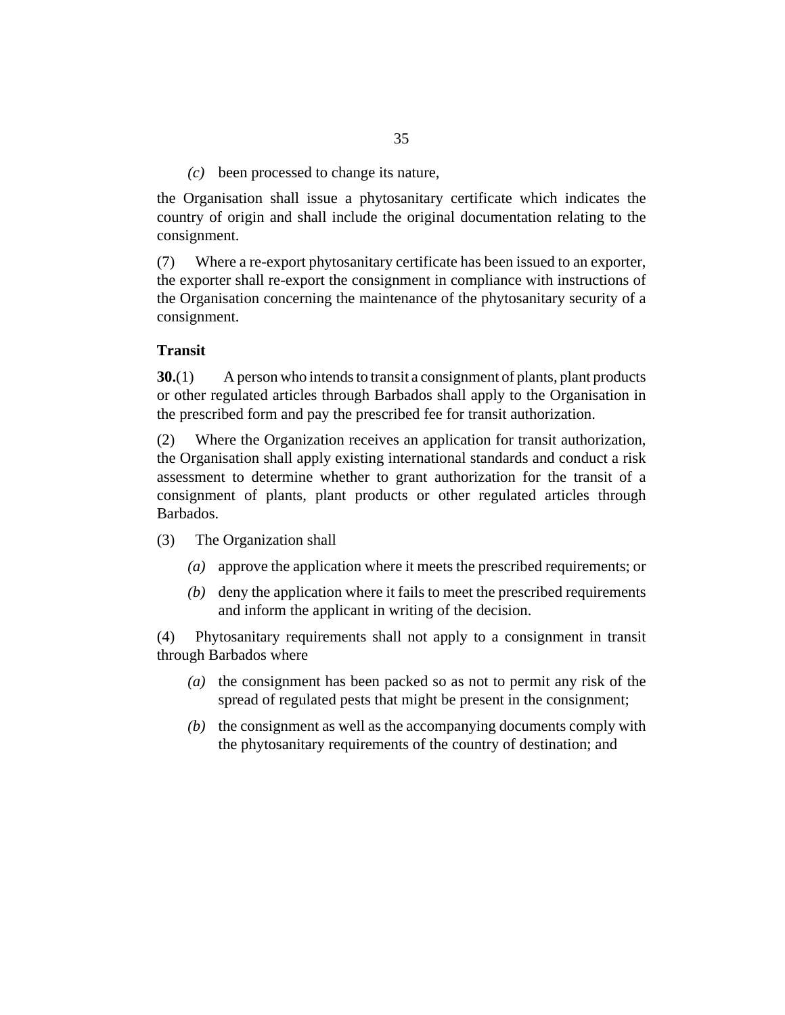been processed to change its nature, *(c)*

<span id="page-34-0"></span>the Organisation shall issue a phytosanitary certificate which indicates the country of origin and shall include the original documentation relating to the consignment.

Where a re-export phytosanitary certificate has been issued to an exporter, the exporter shall re-export the consignment in compliance with instructions of the Organisation concerning the maintenance of the phytosanitary security of a consignment. (7)

#### **Transit**

A person who intends to transit a consignment of plants, plant products or other regulated articles through Barbados shall apply to the Organisation in the prescribed form and pay the prescribed fee for transit authorization. **30.**(1)

Where the Organization receives an application for transit authorization, the Organisation shall apply existing international standards and conduct a risk assessment to determine whether to grant authorization for the transit of a consignment of plants, plant products or other regulated articles through Barbados. (2)

- The Organization shall (3)
	- approve the application where it meets the prescribed requirements; or *(a)*
	- (b) deny the application where it fails to meet the prescribed requirements and inform the applicant in writing of the decision.

Phytosanitary requirements shall not apply to a consignment in transit through Barbados where (4)

- (a) the consignment has been packed so as not to permit any risk of the spread of regulated pests that might be present in the consignment;
- $(b)$  the consignment as well as the accompanying documents comply with the phytosanitary requirements of the country of destination; and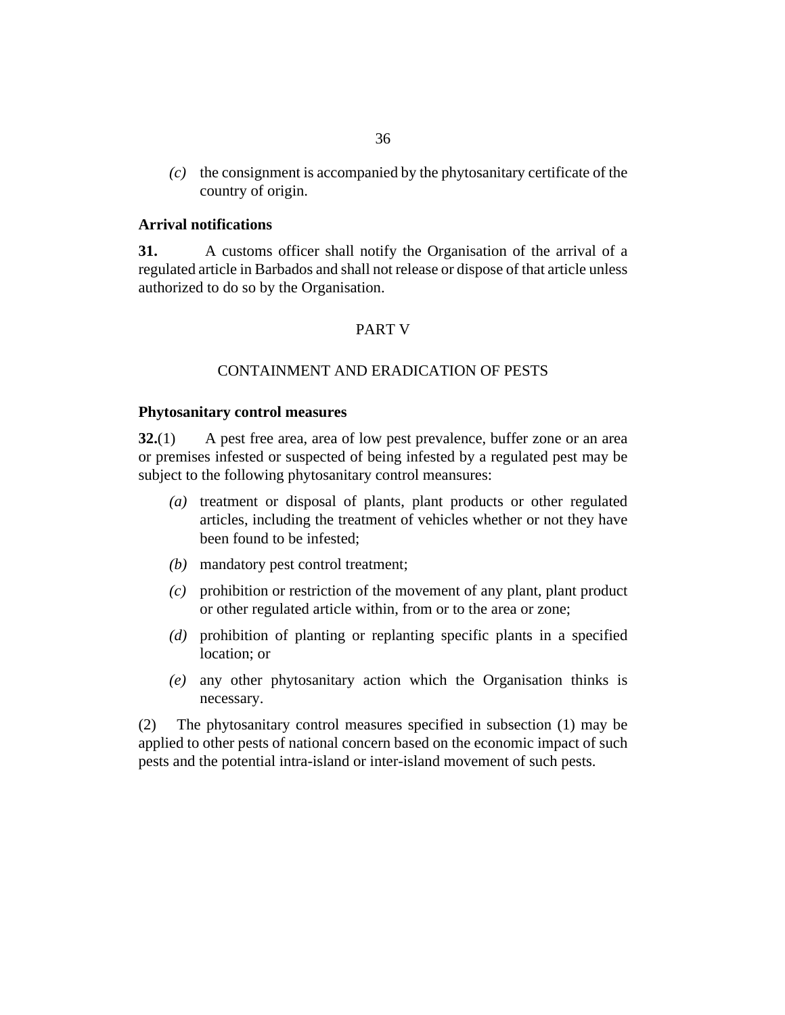<span id="page-35-0"></span> $(c)$  the consignment is accompanied by the phytosanitary certificate of the country of origin.

#### **Arrival notifications**

A customs officer shall notify the Organisation of the arrival of a regulated article in Barbados and shall not release or dispose of that article unless authorized to do so by the Organisation. **31.**

#### PART V

#### CONTAINMENT AND ERADICATION OF PESTS

#### **Phytosanitary control measures**

A pest free area, area of low pest prevalence, buffer zone or an area or premises infested or suspected of being infested by a regulated pest may be subject to the following phytosanitary control meansures: **32.**(1)

- (a) treatment or disposal of plants, plant products or other regulated articles, including the treatment of vehicles whether or not they have been found to be infested;
- mandatory pest control treatment; *(b)*
- prohibition or restriction of the movement of any plant, plant product *(c)* or other regulated article within, from or to the area or zone;
- prohibition of planting or replanting specific plants in a specified *(d)* location; or
- any other phytosanitary action which the Organisation thinks is *(e)* necessary.

The phytosanitary control measures specified in subsection (1) may be applied to other pests of national concern based on the economic impact of such pests and the potential intra-island or inter-island movement of such pests. (2)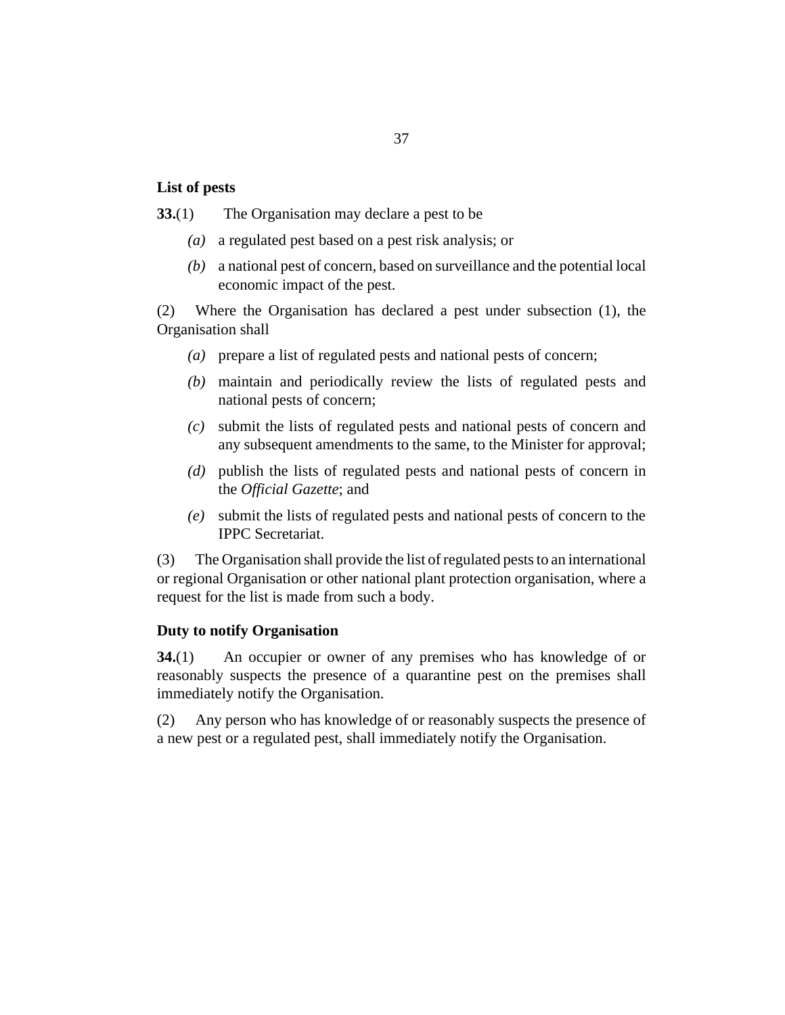#### <span id="page-36-0"></span>**List of pests**

The Organisation may declare a pest to be **33.**(1)

- a regulated pest based on a pest risk analysis; or *(a)*
- a national pest of concern, based on surveillance and the potential local *(b)* economic impact of the pest.

Where the Organisation has declared a pest under subsection (1), the Organisation shall (2)

- prepare a list of regulated pests and national pests of concern; *(a)*
- maintain and periodically review the lists of regulated pests and *(b)* national pests of concern;
- submit the lists of regulated pests and national pests of concern and *(c)* any subsequent amendments to the same, to the Minister for approval;
- publish the lists of regulated pests and national pests of concern in *(d)* the *Official Gazette*; and
- submit the lists of regulated pests and national pests of concern to the *(e)* IPPC Secretariat.

The Organisation shall provide the list of regulated pests to an international or regional Organisation or other national plant protection organisation, where a request for the list is made from such a body. (3)

#### **Duty to notify Organisation**

An occupier or owner of any premises who has knowledge of or reasonably suspects the presence of a quarantine pest on the premises shall immediately notify the Organisation. **34.**(1)

Any person who has knowledge of or reasonably suspects the presence of a new pest or a regulated pest, shall immediately notify the Organisation. (2)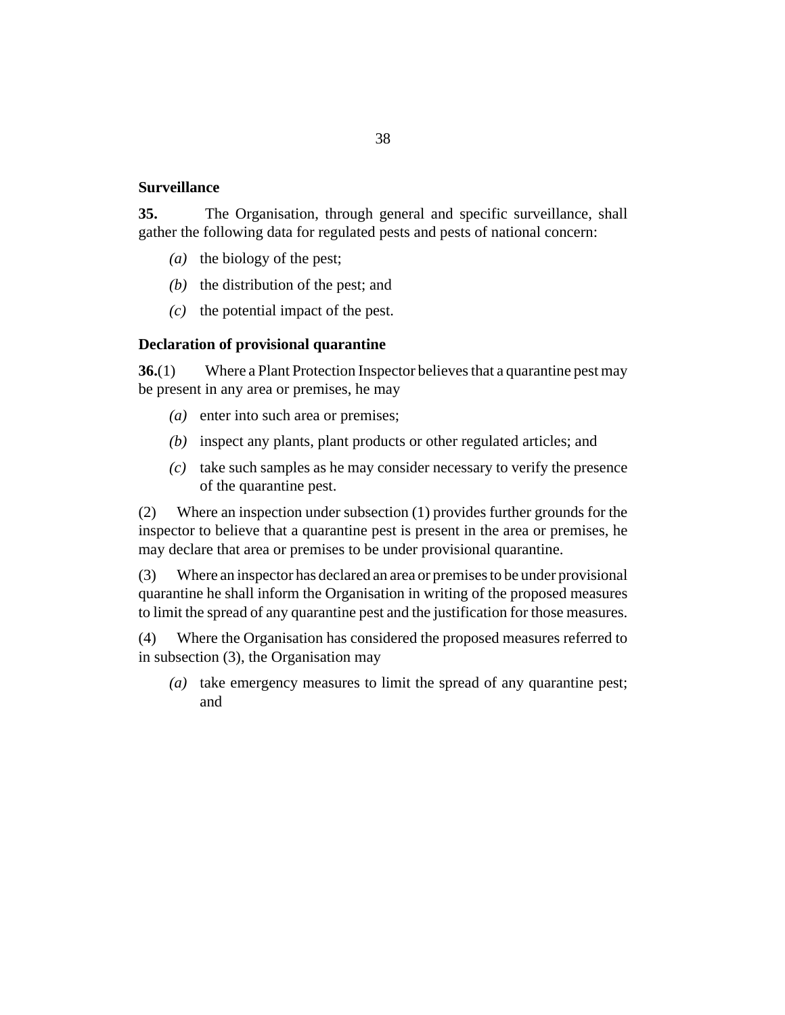#### <span id="page-37-0"></span>**Surveillance**

The Organisation, through general and specific surveillance, shall gather the following data for regulated pests and pests of national concern: **35.**

- (a) the biology of the pest;
- $(b)$  the distribution of the pest; and
- $(c)$  the potential impact of the pest.

#### **Declaration of provisional quarantine**

Where a Plant Protection Inspector believes that a quarantine pest may be present in any area or premises, he may **36.**(1)

- (a) enter into such area or premises;
- (b) inspect any plants, plant products or other regulated articles; and
- take such samples as he may consider necessary to verify the presence *(c)* of the quarantine pest.

Where an inspection under subsection (1) provides further grounds for the inspector to believe that a quarantine pest is present in the area or premises, he may declare that area or premises to be under provisional quarantine. (2)

Where an inspector has declared an area or premises to be under provisional quarantine he shall inform the Organisation in writing of the proposed measures to limit the spread of any quarantine pest and the justification for those measures. (3)

Where the Organisation has considered the proposed measures referred to in subsection (3), the Organisation may (4)

(a) take emergency measures to limit the spread of any quarantine pest; and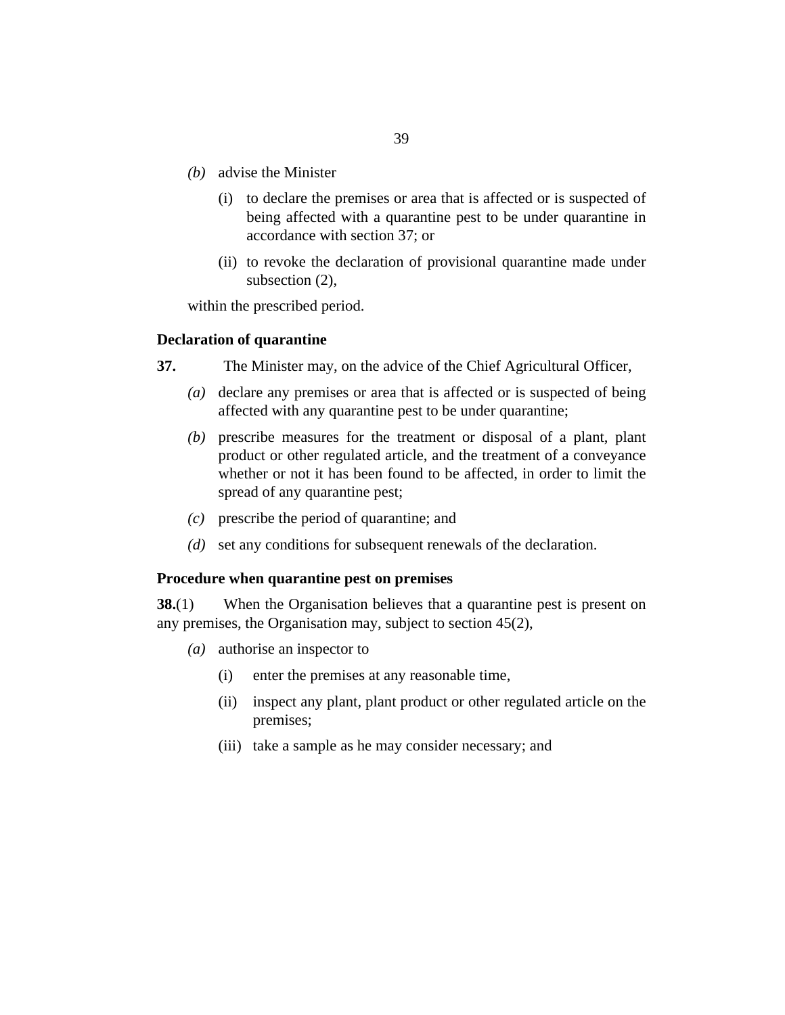- <span id="page-38-0"></span>advise the Minister *(b)*
	- (i) to declare the premises or area that is affected or is suspected of being affected with a quarantine pest to be under quarantine in accordance with section 37; or
	- (ii) to revoke the declaration of provisional quarantine made under subsection (2),

within the prescribed period.

#### **Declaration of quarantine**

- The Minister may, on the advice of the Chief Agricultural Officer, **37.**
	- (a) declare any premises or area that is affected or is suspected of being affected with any quarantine pest to be under quarantine;
	- (b) prescribe measures for the treatment or disposal of a plant, plant product or other regulated article, and the treatment of a conveyance whether or not it has been found to be affected, in order to limit the spread of any quarantine pest;
	- prescribe the period of quarantine; and *(c)*
	- (d) set any conditions for subsequent renewals of the declaration.

#### **Procedure when quarantine pest on premises**

When the Organisation believes that a quarantine pest is present on any premises, the Organisation may, subject to section 45(2), **38.**(1)

- authorise an inspector to *(a)*
	- enter the premises at any reasonable time, (i)
	- (ii) inspect any plant, plant product or other regulated article on the premises;
	- (iii) take a sample as he may consider necessary; and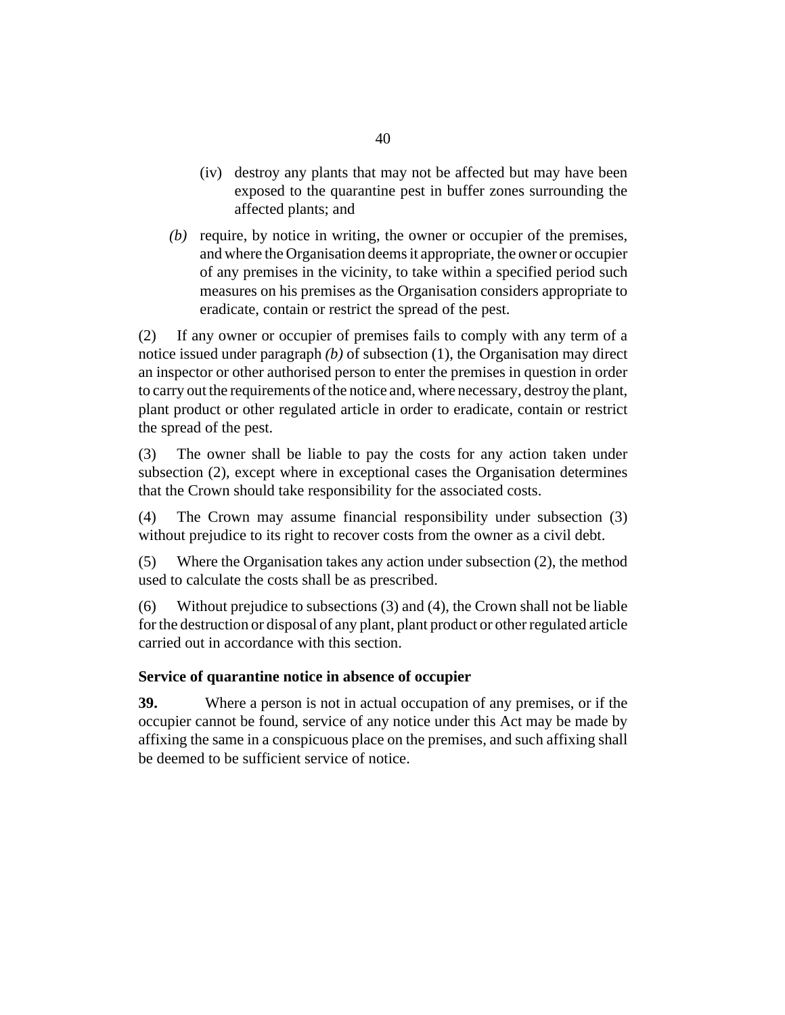- <span id="page-39-0"></span>(iv) destroy any plants that may not be affected but may have been exposed to the quarantine pest in buffer zones surrounding the affected plants; and
- $(b)$  require, by notice in writing, the owner or occupier of the premises, and where the Organisation deems it appropriate, the owner or occupier of any premises in the vicinity, to take within a specified period such measures on his premises as the Organisation considers appropriate to eradicate, contain or restrict the spread of the pest.

If any owner or occupier of premises fails to comply with any term of a notice issued under paragraph *(b)* of subsection (1), the Organisation may direct an inspector or other authorised person to enter the premises in question in order to carry out the requirements of the notice and, where necessary, destroy the plant, plant product or other regulated article in order to eradicate, contain or restrict the spread of the pest. (2)

The owner shall be liable to pay the costs for any action taken under subsection (2), except where in exceptional cases the Organisation determines that the Crown should take responsibility for the associated costs. (3)

The Crown may assume financial responsibility under subsection (3) without prejudice to its right to recover costs from the owner as a civil debt. (4)

Where the Organisation takes any action under subsection (2), the method used to calculate the costs shall be as prescribed. (5)

Without prejudice to subsections (3) and (4), the Crown shall not be liable for the destruction or disposal of any plant, plant product or other regulated article carried out in accordance with this section. (6)

# **Service of quarantine notice in absence of occupier**

Where a person is not in actual occupation of any premises, or if the occupier cannot be found, service of any notice under this Act may be made by affixing the same in a conspicuous place on the premises, and such affixing shall be deemed to be sufficient service of notice. **39.**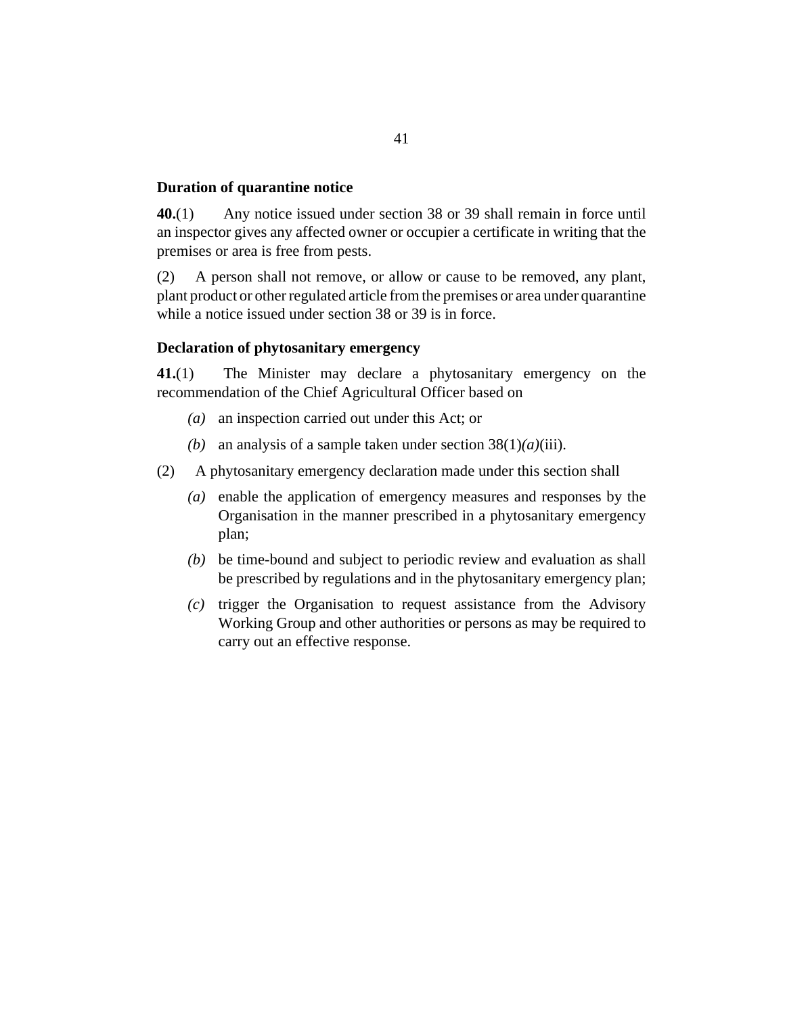#### <span id="page-40-0"></span>**Duration of quarantine notice**

Any notice issued under section 38 or 39 shall remain in force until an inspector gives any affected owner or occupier a certificate in writing that the premises or area is free from pests. **40.**(1)

A person shall not remove, or allow or cause to be removed, any plant, plant product or other regulated article from the premises or area under quarantine while a notice issued under section 38 or 39 is in force. (2)

#### **Declaration of phytosanitary emergency**

The Minister may declare a phytosanitary emergency on the recommendation of the Chief Agricultural Officer based on **41.**(1)

- an inspection carried out under this Act; or *(a)*
- (b) an analysis of a sample taken under section  $38(1)(a)(iii)$ .
- A phytosanitary emergency declaration made under this section shall (2)
	- enable the application of emergency measures and responses by the *(a)* Organisation in the manner prescribed in a phytosanitary emergency plan;
	- be time-bound and subject to periodic review and evaluation as shall *(b)* be prescribed by regulations and in the phytosanitary emergency plan;
	- $(c)$  trigger the Organisation to request assistance from the Advisory Working Group and other authorities or persons as may be required to carry out an effective response.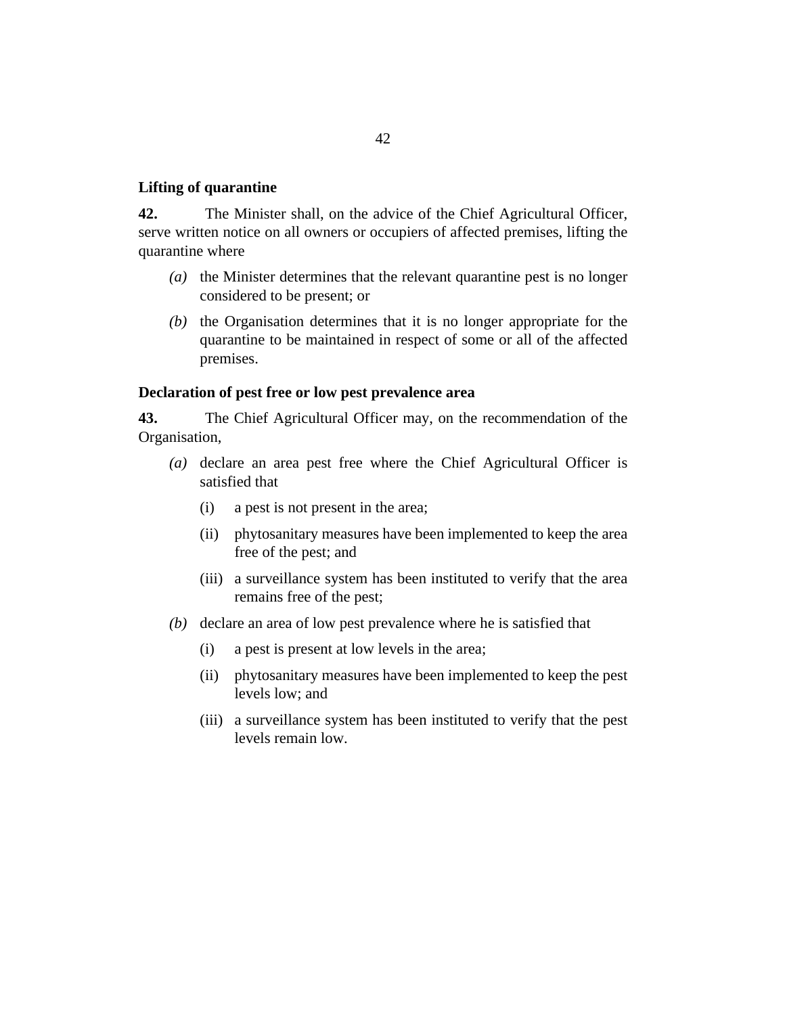#### <span id="page-41-0"></span>**Lifting of quarantine**

The Minister shall, on the advice of the Chief Agricultural Officer, serve written notice on all owners or occupiers of affected premises, lifting the quarantine where **42.**

- (a) the Minister determines that the relevant quarantine pest is no longer considered to be present; or
- $(b)$  the Organisation determines that it is no longer appropriate for the quarantine to be maintained in respect of some or all of the affected premises.

#### **Declaration of pest free or low pest prevalence area**

The Chief Agricultural Officer may, on the recommendation of the Organisation, **43.**

- (a) declare an area pest free where the Chief Agricultural Officer is satisfied that
	- a pest is not present in the area; (i)
	- (ii) phytosanitary measures have been implemented to keep the area free of the pest; and
	- (iii) a surveillance system has been instituted to verify that the area remains free of the pest;
- (b) declare an area of low pest prevalence where he is satisfied that
	- a pest is present at low levels in the area; (i)
	- (ii) phytosanitary measures have been implemented to keep the pest levels low; and
	- (iii) a surveillance system has been instituted to verify that the pest levels remain low.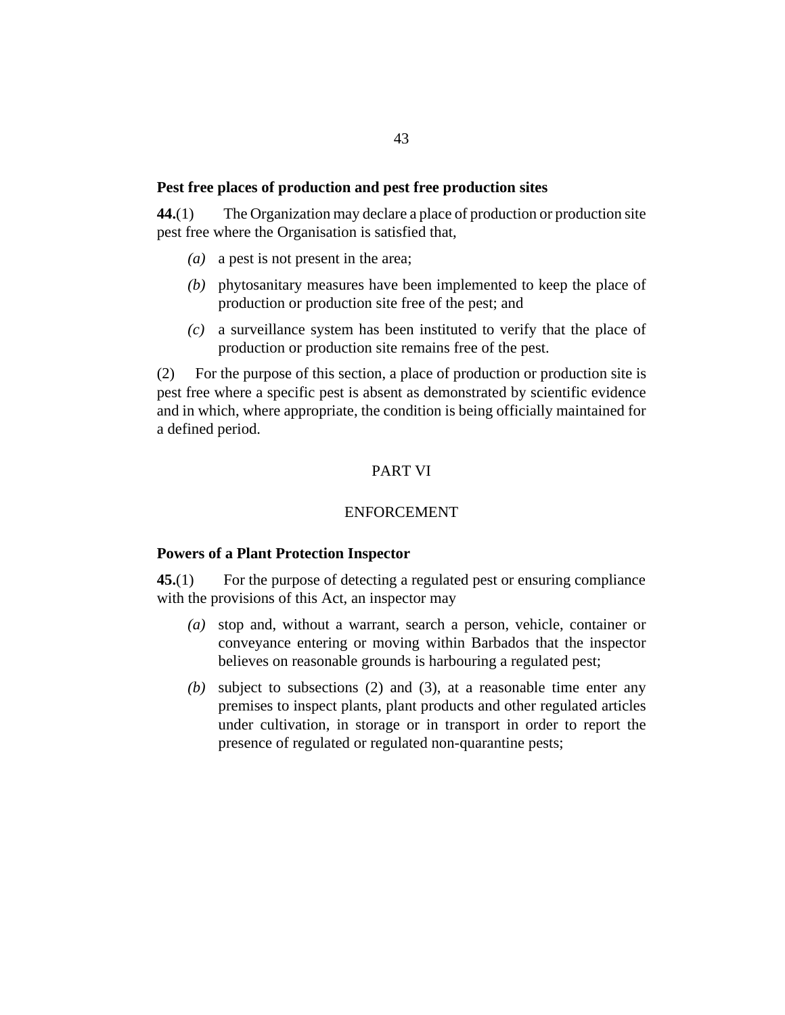#### <span id="page-42-0"></span>**Pest free places of production and pest free production sites**

The Organization may declare a place of production or production site pest free where the Organisation is satisfied that, **44.**(1)

- (a) a pest is not present in the area;
- (b) phytosanitary measures have been implemented to keep the place of production or production site free of the pest; and
- a surveillance system has been instituted to verify that the place of *(c)* production or production site remains free of the pest.

For the purpose of this section, a place of production or production site is pest free where a specific pest is absent as demonstrated by scientific evidence and in which, where appropriate, the condition is being officially maintained for a defined period. (2)

#### PART VI

#### ENFORCEMENT

#### **Powers of a Plant Protection Inspector**

For the purpose of detecting a regulated pest or ensuring compliance with the provisions of this Act, an inspector may **45.**(1)

- stop and, without a warrant, search a person, vehicle, container or *(a)* conveyance entering or moving within Barbados that the inspector believes on reasonable grounds is harbouring a regulated pest;
- subject to subsections (2) and (3), at a reasonable time enter any *(b)* premises to inspect plants, plant products and other regulated articles under cultivation, in storage or in transport in order to report the presence of regulated or regulated non-quarantine pests;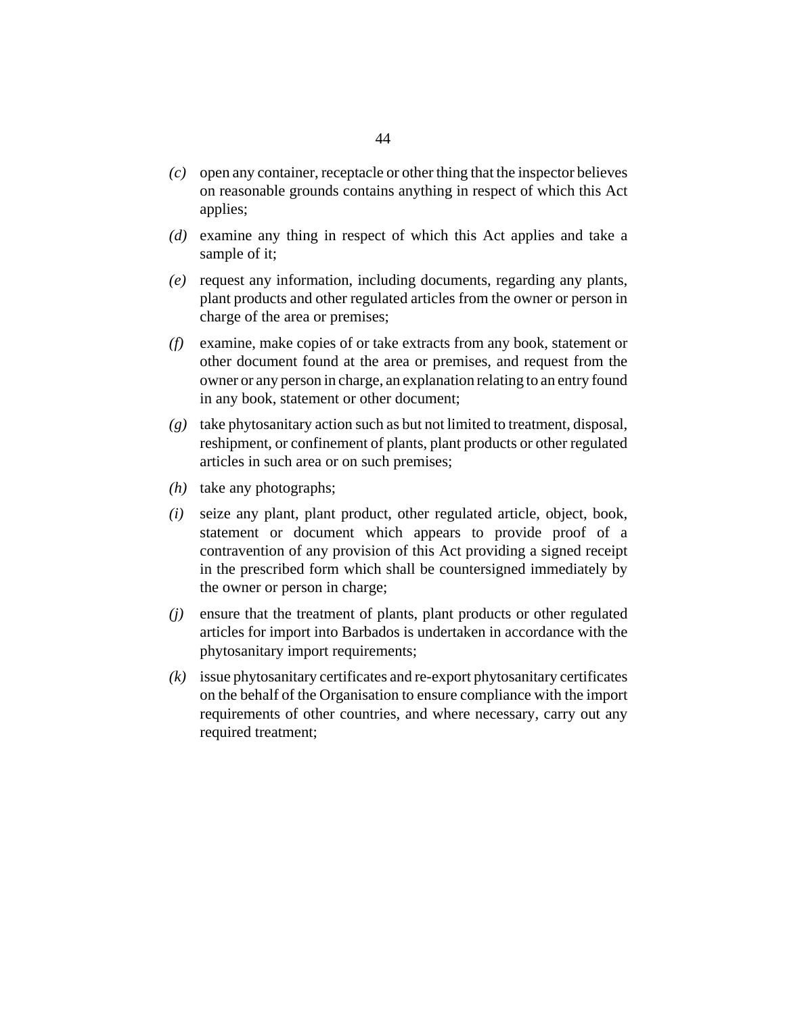- open any container, receptacle or other thing that the inspector believes *(c)* on reasonable grounds contains anything in respect of which this Act applies;
- (d) examine any thing in respect of which this Act applies and take a sample of it;
- request any information, including documents, regarding any plants, *(e)* plant products and other regulated articles from the owner or person in charge of the area or premises;
- examine, make copies of or take extracts from any book, statement or *(f)* other document found at the area or premises, and request from the owner or any person in charge, an explanation relating to an entry found in any book, statement or other document;
- take phytosanitary action such as but not limited to treatment, disposal, *(g)* reshipment, or confinement of plants, plant products or other regulated articles in such area or on such premises;
- $(h)$  take any photographs;
- seize any plant, plant product, other regulated article, object, book, *(i)* statement or document which appears to provide proof of a contravention of any provision of this Act providing a signed receipt in the prescribed form which shall be countersigned immediately by the owner or person in charge;
- ensure that the treatment of plants, plant products or other regulated *(j)* articles for import into Barbados is undertaken in accordance with the phytosanitary import requirements;
- issue phytosanitary certificates and re-export phytosanitary certificates *(k)* on the behalf of the Organisation to ensure compliance with the import requirements of other countries, and where necessary, carry out any required treatment;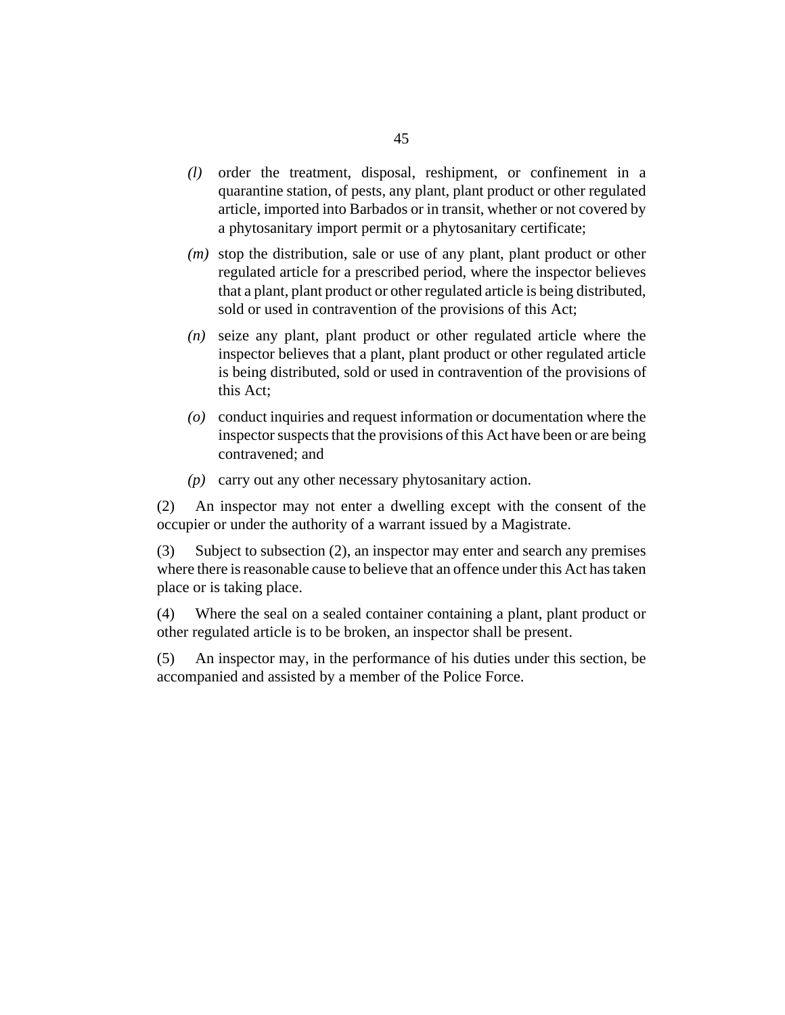- order the treatment, disposal, reshipment, or confinement in a *(l)* quarantine station, of pests, any plant, plant product or other regulated article, imported into Barbados or in transit, whether or not covered by a phytosanitary import permit or a phytosanitary certificate;
- (*m*) stop the distribution, sale or use of any plant, plant product or other regulated article for a prescribed period, where the inspector believes that a plant, plant product or other regulated article is being distributed, sold or used in contravention of the provisions of this Act;
- seize any plant, plant product or other regulated article where the *(n)* inspector believes that a plant, plant product or other regulated article is being distributed, sold or used in contravention of the provisions of this Act;
- conduct inquiries and request information or documentation where the *(o)* inspector suspects that the provisions of this Act have been or are being contravened; and
- carry out any other necessary phytosanitary action. *(p)*

An inspector may not enter a dwelling except with the consent of the occupier or under the authority of a warrant issued by a Magistrate. (2)

Subject to subsection (2), an inspector may enter and search any premises where there is reasonable cause to believe that an offence under this Act has taken place or is taking place. (3)

Where the seal on a sealed container containing a plant, plant product or other regulated article is to be broken, an inspector shall be present. (4)

An inspector may, in the performance of his duties under this section, be accompanied and assisted by a member of the Police Force. (5)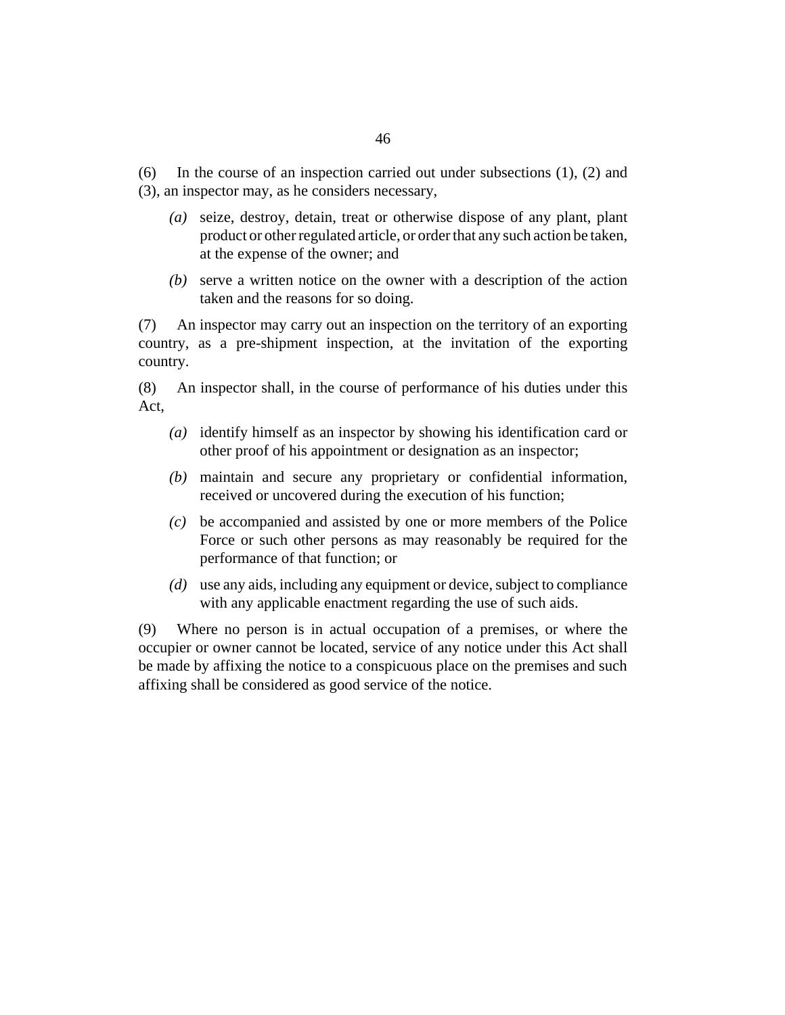In the course of an inspection carried out under subsections (1), (2) and (3), an inspector may, as he considers necessary, (6)

- seize, destroy, detain, treat or otherwise dispose of any plant, plant *(a)* product or other regulated article, or order that any such action be taken, at the expense of the owner; and
- serve a written notice on the owner with a description of the action *(b)* taken and the reasons for so doing.

An inspector may carry out an inspection on the territory of an exporting country, as a pre-shipment inspection, at the invitation of the exporting country. (7)

An inspector shall, in the course of performance of his duties under this Act, (8)

- identify himself as an inspector by showing his identification card or *(a)* other proof of his appointment or designation as an inspector;
- maintain and secure any proprietary or confidential information, *(b)* received or uncovered during the execution of his function;
- be accompanied and assisted by one or more members of the Police *(c)* Force or such other persons as may reasonably be required for the performance of that function; or
- use any aids, including any equipment or device, subject to compliance *(d)* with any applicable enactment regarding the use of such aids.

Where no person is in actual occupation of a premises, or where the occupier or owner cannot be located, service of any notice under this Act shall be made by affixing the notice to a conspicuous place on the premises and such affixing shall be considered as good service of the notice. (9)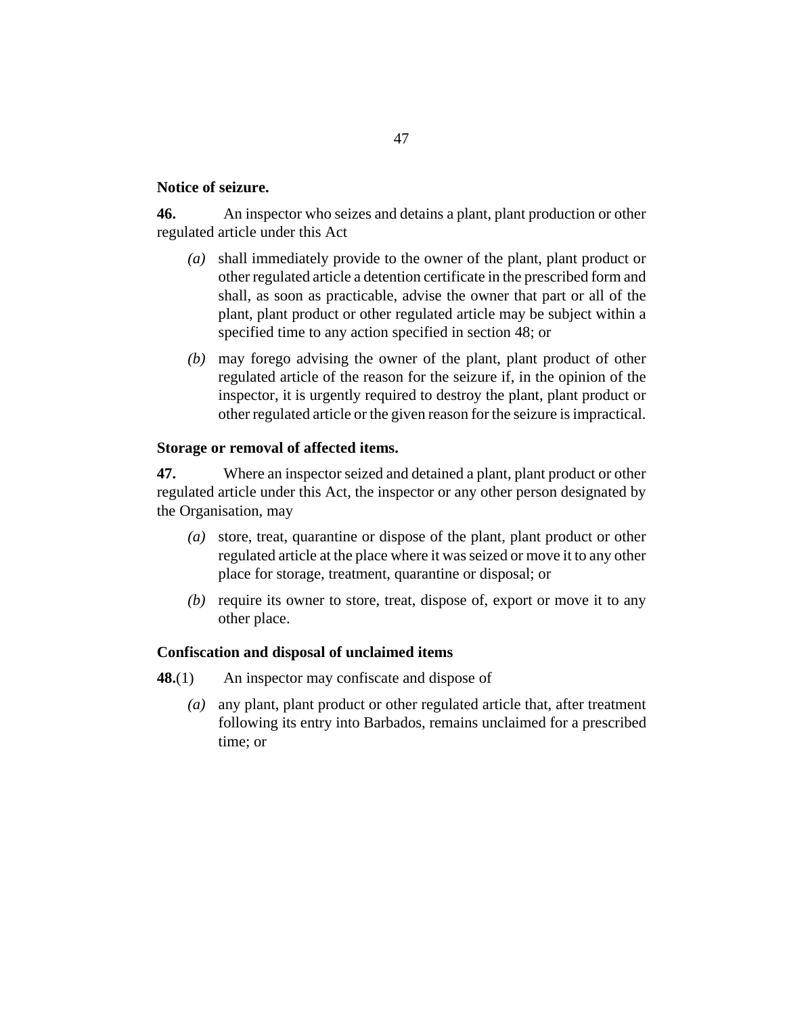#### <span id="page-46-0"></span>**Notice of seizure.**

An inspector who seizes and detains a plant, plant production or other regulated article under this Act **46.**

- shall immediately provide to the owner of the plant, plant product or *(a)* other regulated article a detention certificate in the prescribed form and shall, as soon as practicable, advise the owner that part or all of the plant, plant product or other regulated article may be subject within a specified time to any action specified in section 48; or
- may forego advising the owner of the plant, plant product of other *(b)* regulated article of the reason for the seizure if, in the opinion of the inspector, it is urgently required to destroy the plant, plant product or other regulated article or the given reason for the seizure is impractical.

## **Storage or removal of affected items.**

Where an inspector seized and detained a plant, plant product or other regulated article under this Act, the inspector or any other person designated by the Organisation, may **47.**

- store, treat, quarantine or dispose of the plant, plant product or other *(a)* regulated article at the place where it was seized or move it to any other place for storage, treatment, quarantine or disposal; or
- (b) require its owner to store, treat, dispose of, export or move it to any other place.

# **Confiscation and disposal of unclaimed items**

- An inspector may confiscate and dispose of **48.**(1)
	- any plant, plant product or other regulated article that, after treatment *(a)* following its entry into Barbados, remains unclaimed for a prescribed time; or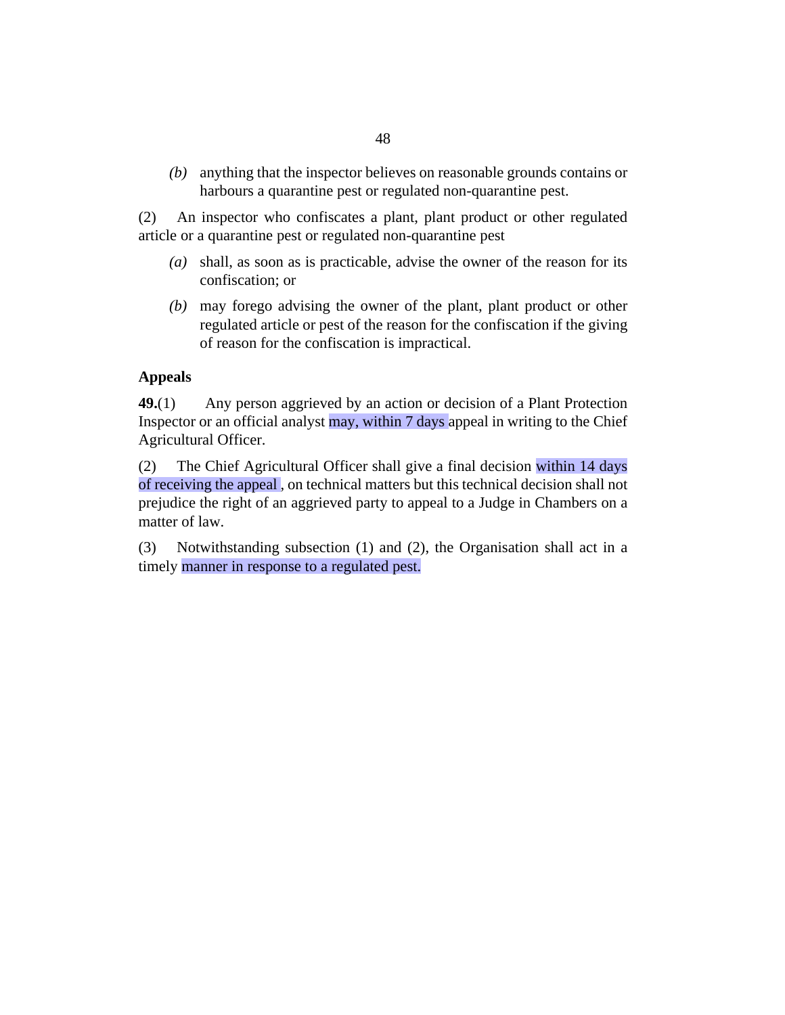<span id="page-47-0"></span>anything that the inspector believes on reasonable grounds contains or *(b)* harbours a quarantine pest or regulated non-quarantine pest.

An inspector who confiscates a plant, plant product or other regulated article or a quarantine pest or regulated non-quarantine pest (2)

- shall, as soon as is practicable, advise the owner of the reason for its *(a)* confiscation; or
- may forego advising the owner of the plant, plant product or other *(b)* regulated article or pest of the reason for the confiscation if the giving of reason for the confiscation is impractical.

## **Appeals**

Any person aggrieved by an action or decision of a Plant Protection Inspector or an official analyst may, within 7 days appeal in writing to the Chief Agricultural Officer. **49.**(1)

The Chief Agricultural Officer shall give a final decision within 14 days of receiving the appeal , on technical matters but this technical decision shall not prejudice the right of an aggrieved party to appeal to a Judge in Chambers on a matter of law. (2)

Notwithstanding subsection (1) and (2), the Organisation shall act in a timely manner in response to a regulated pest. (3)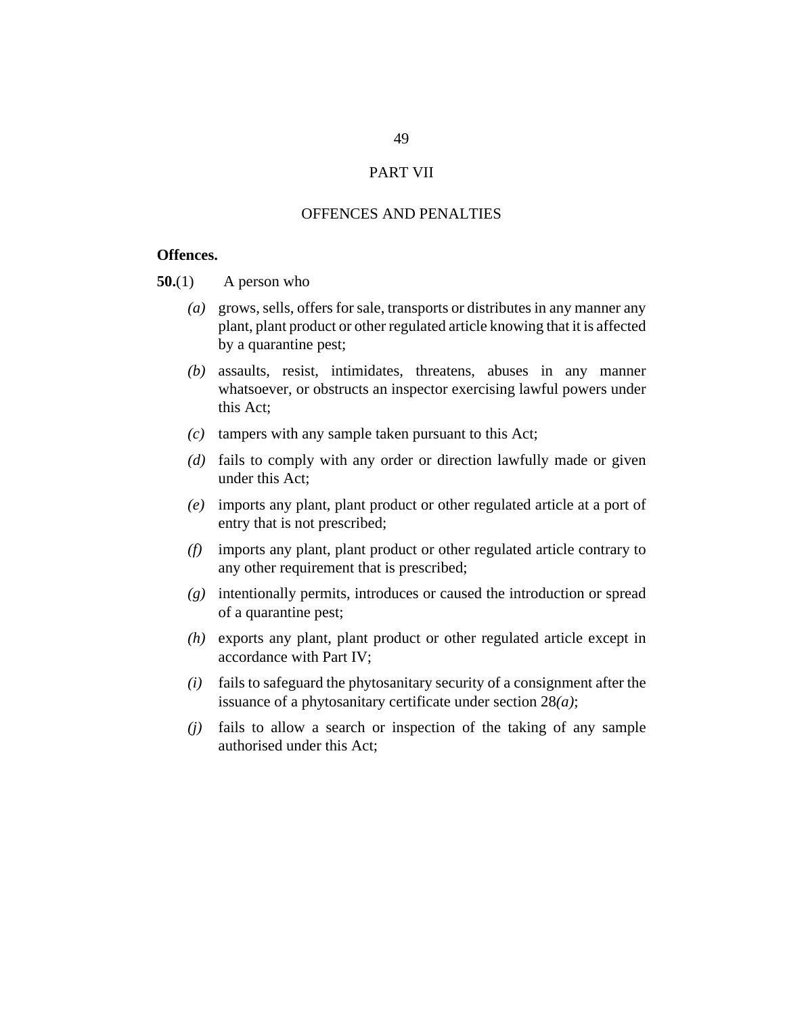#### PART VII

# OFFENCES AND PENALTIES

## <span id="page-48-0"></span>**Offences.**

A person who **50.**(1)

- grows, sells, offers for sale, transports or distributes in any manner any *(a)* plant, plant product or other regulated article knowing that it is affected by a quarantine pest;
- assaults, resist, intimidates, threatens, abuses in any manner *(b)* whatsoever, or obstructs an inspector exercising lawful powers under this Act;
- $(c)$  tampers with any sample taken pursuant to this Act;
- (d) fails to comply with any order or direction lawfully made or given under this Act;
- imports any plant, plant product or other regulated article at a port of *(e)* entry that is not prescribed;
- imports any plant, plant product or other regulated article contrary to *(f)* any other requirement that is prescribed;
- intentionally permits, introduces or caused the introduction or spread *(g)* of a quarantine pest;
- exports any plant, plant product or other regulated article except in *(h)* accordance with Part IV;
- $(i)$  fails to safeguard the phytosanitary security of a consignment after the issuance of a phytosanitary certificate under section 28*(a)*;
- $(j)$  fails to allow a search or inspection of the taking of any sample authorised under this Act;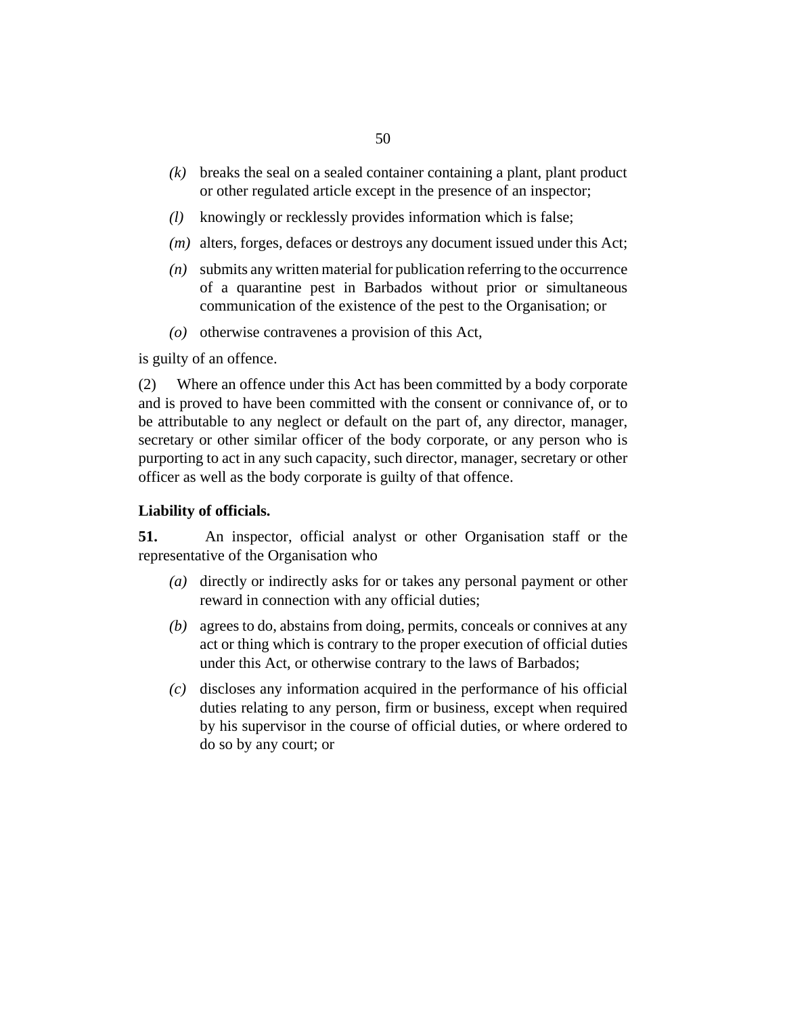- <span id="page-49-0"></span>breaks the seal on a sealed container containing a plant, plant product *(k)* or other regulated article except in the presence of an inspector;
- knowingly or recklessly provides information which is false; *(l)*
- (*m*) alters, forges, defaces or destroys any document issued under this Act;
- submits any written material for publication referring to the occurrence *(n)* of a quarantine pest in Barbados without prior or simultaneous communication of the existence of the pest to the Organisation; or
- $(o)$  otherwise contravenes a provision of this Act,

is guilty of an offence.

Where an offence under this Act has been committed by a body corporate and is proved to have been committed with the consent or connivance of, or to be attributable to any neglect or default on the part of, any director, manager, secretary or other similar officer of the body corporate, or any person who is purporting to act in any such capacity, such director, manager, secretary or other officer as well as the body corporate is guilty of that offence. (2)

#### **Liability of officials.**

An inspector, official analyst or other Organisation staff or the representative of the Organisation who **51.**

- (a) directly or indirectly asks for or takes any personal payment or other reward in connection with any official duties;
- agrees to do, abstains from doing, permits, conceals or connives at any *(b)* act or thing which is contrary to the proper execution of official duties under this Act, or otherwise contrary to the laws of Barbados;
- discloses any information acquired in the performance of his official *(c)* duties relating to any person, firm or business, except when required by his supervisor in the course of official duties, or where ordered to do so by any court; or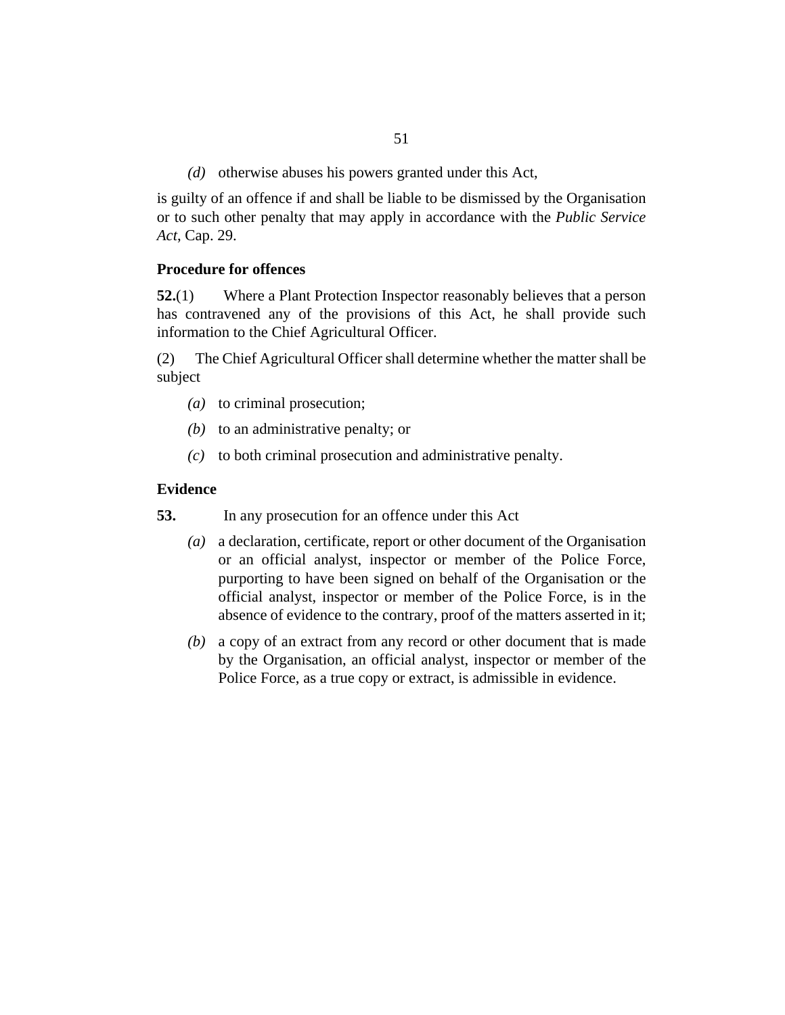(d) otherwise abuses his powers granted under this Act,

<span id="page-50-0"></span>is guilty of an offence if and shall be liable to be dismissed by the Organisation or to such other penalty that may apply in accordance with the *[Public Service](http://barbadosparliament-laws.com/en/showdoc/cs/29) Act*[, Cap. 29.](http://barbadosparliament-laws.com/en/showdoc/cs/29)

#### **Procedure for offences**

Where a Plant Protection Inspector reasonably believes that a person has contravened any of the provisions of this Act, he shall provide such information to the Chief Agricultural Officer. **52.**(1)

The Chief Agricultural Officer shall determine whether the matter shall be subject (2)

- (a) to criminal prosecution;
- (b) to an administrative penalty; or
- to both criminal prosecution and administrative penalty. *(c)*

#### **Evidence**

In any prosecution for an offence under this Act **53.**

- a declaration, certificate, report or other document of the Organisation *(a)* or an official analyst, inspector or member of the Police Force, purporting to have been signed on behalf of the Organisation or the official analyst, inspector or member of the Police Force, is in the absence of evidence to the contrary, proof of the matters asserted in it;
- a copy of an extract from any record or other document that is made *(b)* by the Organisation, an official analyst, inspector or member of the Police Force, as a true copy or extract, is admissible in evidence.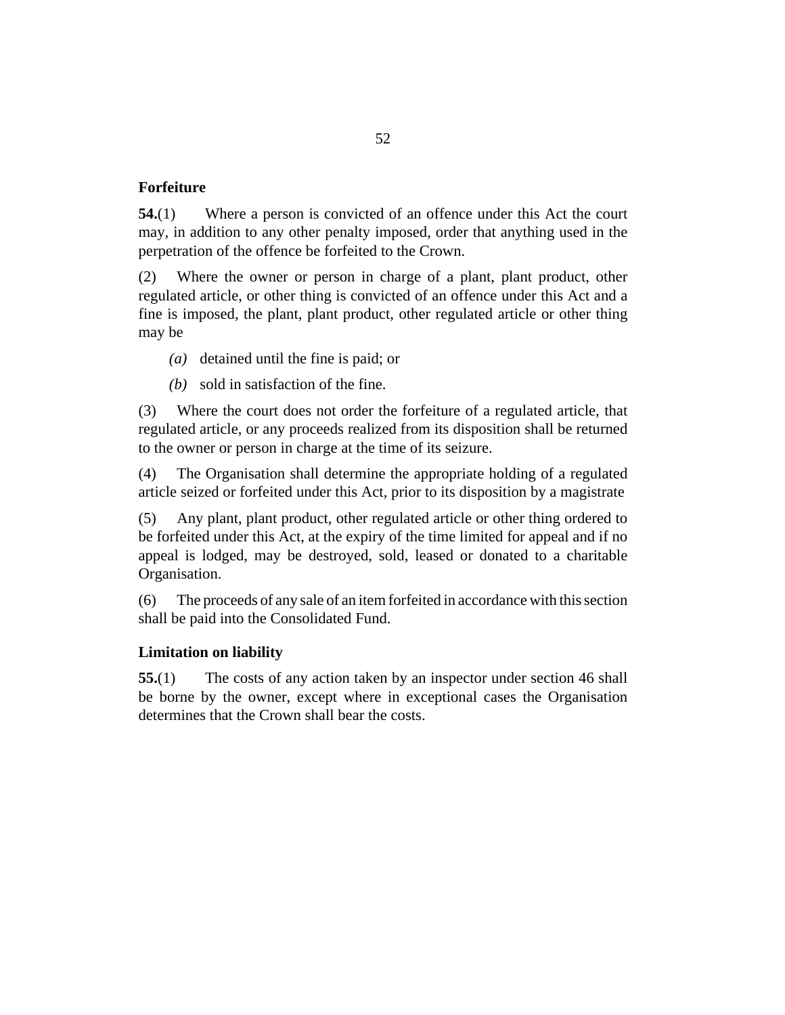# <span id="page-51-0"></span>**Forfeiture**

Where a person is convicted of an offence under this Act the court may, in addition to any other penalty imposed, order that anything used in the perpetration of the offence be forfeited to the Crown. **54.**(1)

Where the owner or person in charge of a plant, plant product, other regulated article, or other thing is convicted of an offence under this Act and a fine is imposed, the plant, plant product, other regulated article or other thing may be (2)

- (a) detained until the fine is paid; or
- sold in satisfaction of the fine. *(b)*

Where the court does not order the forfeiture of a regulated article, that regulated article, or any proceeds realized from its disposition shall be returned to the owner or person in charge at the time of its seizure. (3)

The Organisation shall determine the appropriate holding of a regulated article seized or forfeited under this Act, prior to its disposition by a magistrate (4)

Any plant, plant product, other regulated article or other thing ordered to be forfeited under this Act, at the expiry of the time limited for appeal and if no appeal is lodged, may be destroyed, sold, leased or donated to a charitable Organisation. (5)

The proceeds of any sale of an item forfeited in accordance with this section shall be paid into the Consolidated Fund. (6)

#### **Limitation on liability**

The costs of any action taken by an inspector under section 46 shall be borne by the owner, except where in exceptional cases the Organisation determines that the Crown shall bear the costs. **55.**(1)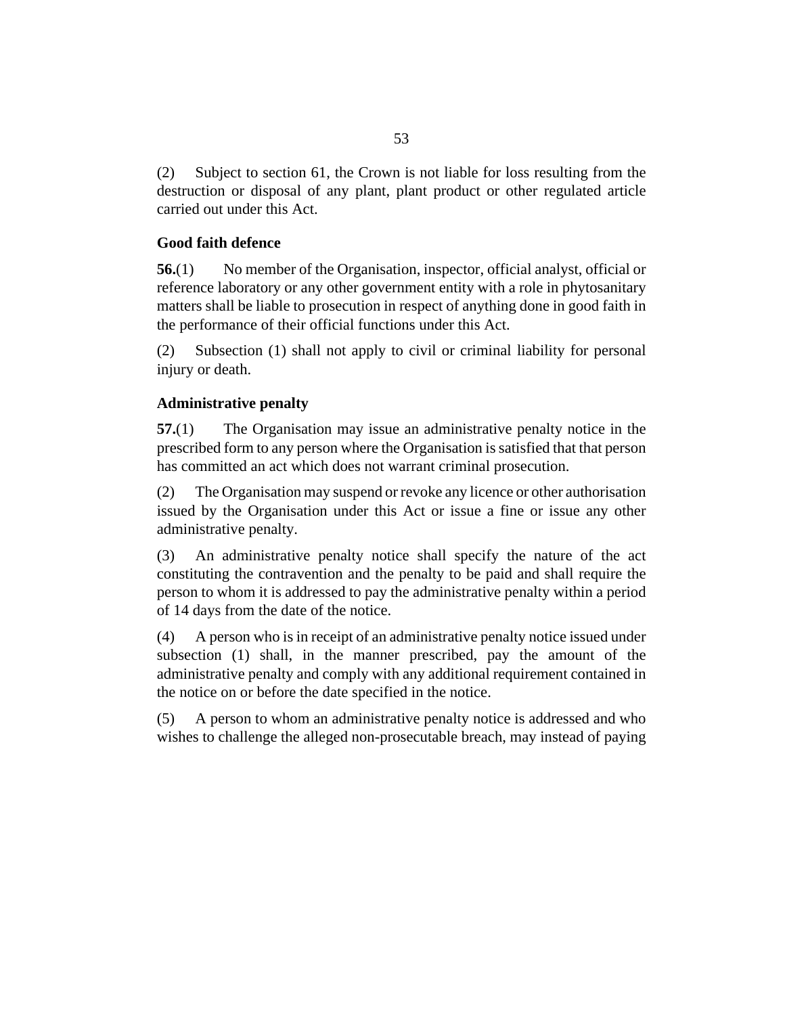<span id="page-52-0"></span>Subject to section 61, the Crown is not liable for loss resulting from the destruction or disposal of any plant, plant product or other regulated article carried out under this Act. (2)

# **Good faith defence**

No member of the Organisation, inspector, official analyst, official or reference laboratory or any other government entity with a role in phytosanitary matters shall be liable to prosecution in respect of anything done in good faith in the performance of their official functions under this Act. **56.**(1)

Subsection (1) shall not apply to civil or criminal liability for personal injury or death. (2)

# **Administrative penalty**

The Organisation may issue an administrative penalty notice in the prescribed form to any person where the Organisation is satisfied that that person has committed an act which does not warrant criminal prosecution. **57.**(1)

The Organisation may suspend or revoke any licence or other authorisation issued by the Organisation under this Act or issue a fine or issue any other administrative penalty. (2)

An administrative penalty notice shall specify the nature of the act constituting the contravention and the penalty to be paid and shall require the person to whom it is addressed to pay the administrative penalty within a period of 14 days from the date of the notice. (3)

A person who is in receipt of an administrative penalty notice issued under subsection (1) shall, in the manner prescribed, pay the amount of the administrative penalty and comply with any additional requirement contained in the notice on or before the date specified in the notice. (4)

A person to whom an administrative penalty notice is addressed and who wishes to challenge the alleged non-prosecutable breach, may instead of paying (5)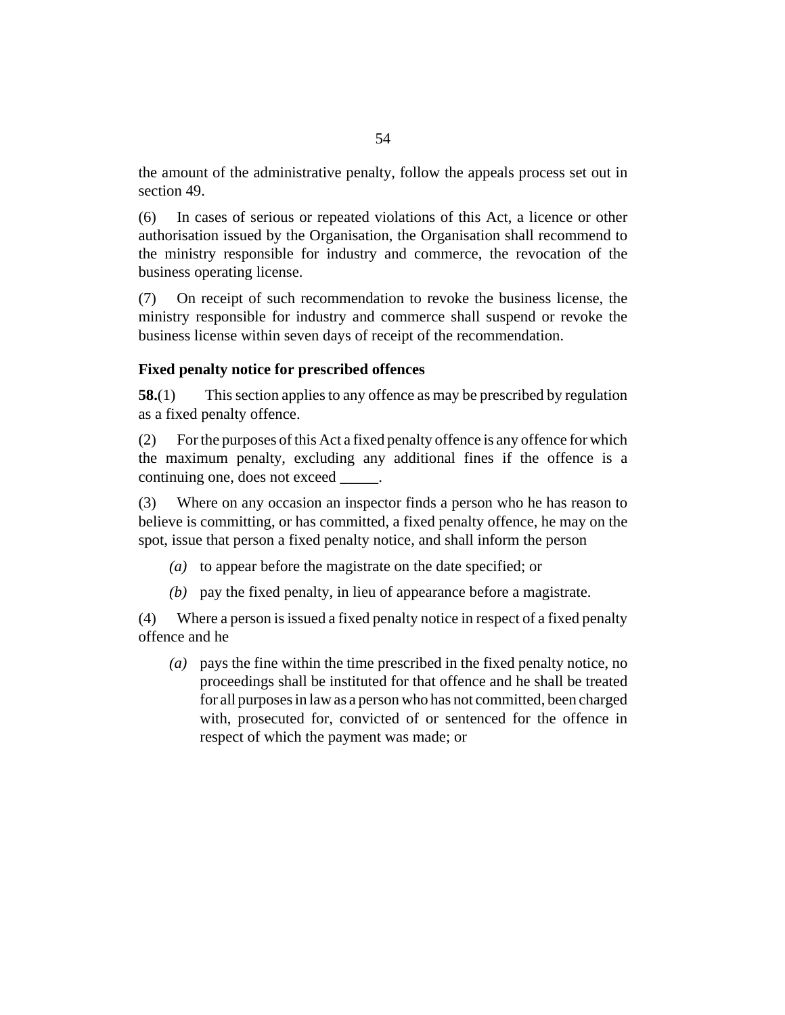<span id="page-53-0"></span>the amount of the administrative penalty, follow the appeals process set out in section 49.

In cases of serious or repeated violations of this Act, a licence or other authorisation issued by the Organisation, the Organisation shall recommend to the ministry responsible for industry and commerce, the revocation of the business operating license. (6)

On receipt of such recommendation to revoke the business license, the ministry responsible for industry and commerce shall suspend or revoke the business license within seven days of receipt of the recommendation. (7)

#### **Fixed penalty notice for prescribed offences**

This section applies to any offence as may be prescribed by regulation as a fixed penalty offence. **58.**(1)

For the purposes of this Act a fixed penalty offence is any offence for which the maximum penalty, excluding any additional fines if the offence is a continuing one, does not exceed \_\_\_\_\_. (2)

Where on any occasion an inspector finds a person who he has reason to believe is committing, or has committed, a fixed penalty offence, he may on the spot, issue that person a fixed penalty notice, and shall inform the person (3)

- (a) to appear before the magistrate on the date specified; or
- $(b)$  pay the fixed penalty, in lieu of appearance before a magistrate.

Where a person is issued a fixed penalty notice in respect of a fixed penalty offence and he (4)

pays the fine within the time prescribed in the fixed penalty notice, no *(a)* proceedings shall be instituted for that offence and he shall be treated for all purposes in law as a person who has not committed, been charged with, prosecuted for, convicted of or sentenced for the offence in respect of which the payment was made; or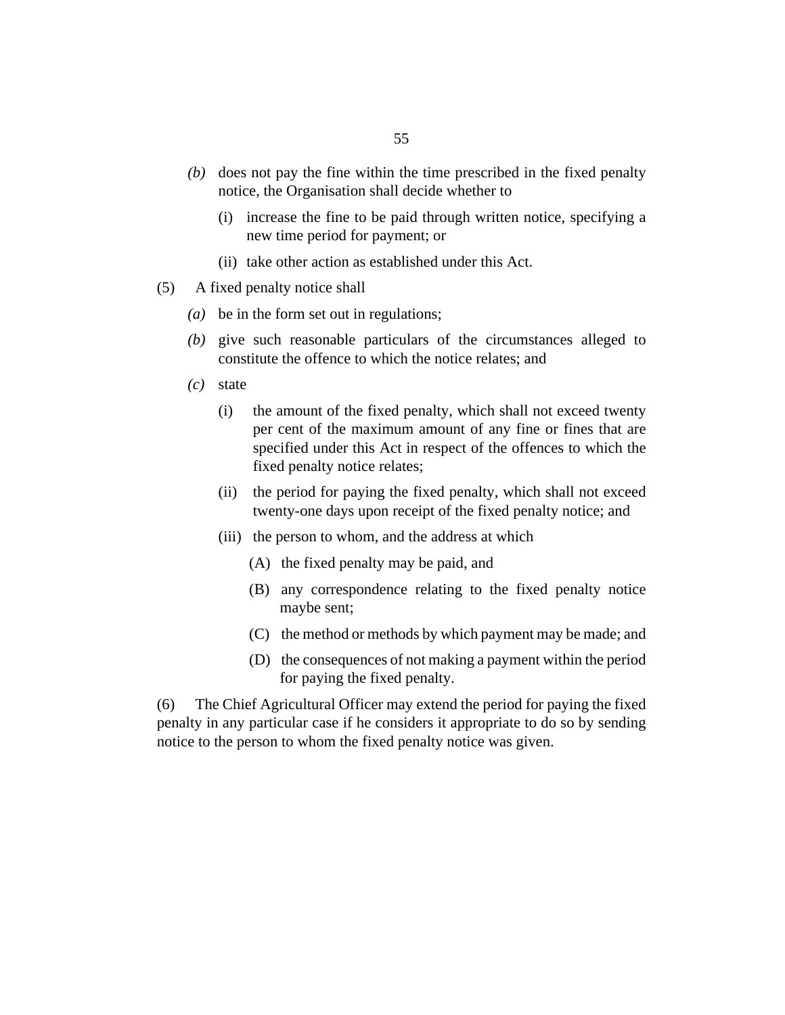- (b) does not pay the fine within the time prescribed in the fixed penalty notice, the Organisation shall decide whether to
	- (i) increase the fine to be paid through written notice, specifying a new time period for payment; or
	- (ii) take other action as established under this Act.
- A fixed penalty notice shall (5)
	- be in the form set out in regulations; *(a)*
	- give such reasonable particulars of the circumstances alleged to *(b)* constitute the offence to which the notice relates; and
	- state *(c)*
		- the amount of the fixed penalty, which shall not exceed twenty per cent of the maximum amount of any fine or fines that are specified under this Act in respect of the offences to which the fixed penalty notice relates; (i)
		- (ii) the period for paying the fixed penalty, which shall not exceed twenty-one days upon receipt of the fixed penalty notice; and
		- (iii) the person to whom, and the address at which
			- (A) the fixed penalty may be paid, and
			- (B) any correspondence relating to the fixed penalty notice maybe sent;
			- (C) the method or methods by which payment may be made; and
			- (D) the consequences of not making a payment within the period for paying the fixed penalty.

The Chief Agricultural Officer may extend the period for paying the fixed penalty in any particular case if he considers it appropriate to do so by sending notice to the person to whom the fixed penalty notice was given. (6)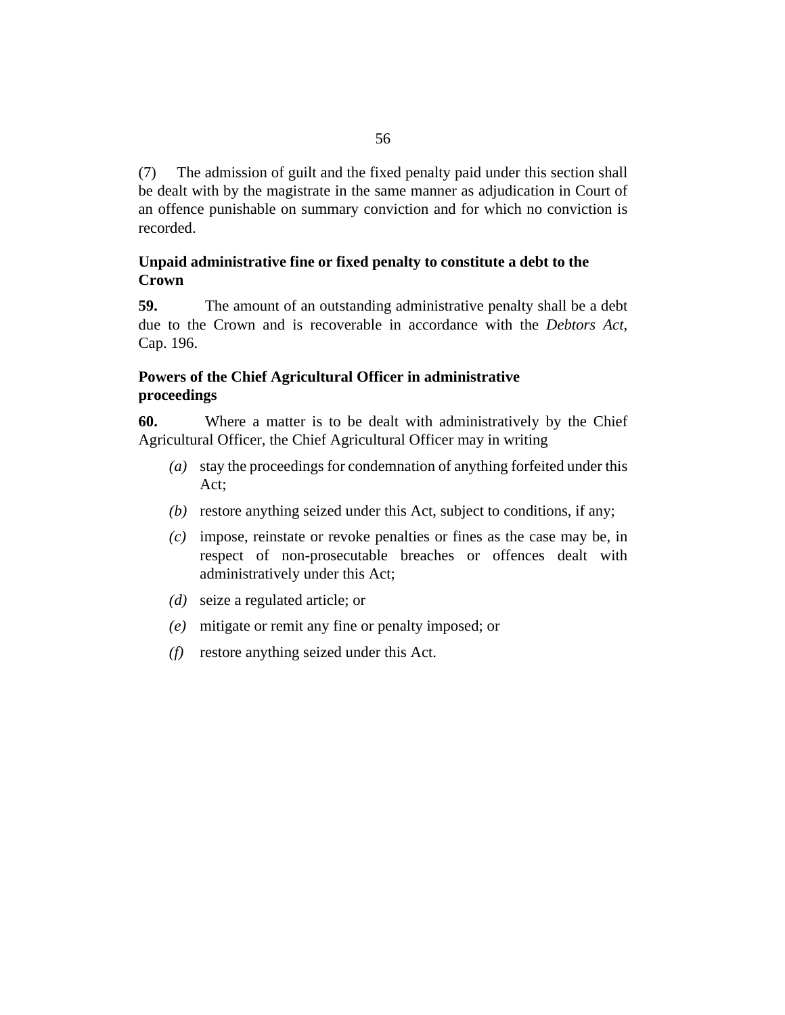<span id="page-55-0"></span>The admission of guilt and the fixed penalty paid under this section shall be dealt with by the magistrate in the same manner as adjudication in Court of an offence punishable on summary conviction and for which no conviction is recorded. (7)

# **Unpaid administrative fine or fixed penalty to constitute a debt to the Crown**

The amount of an outstanding administrative penalty shall be a debt due to the Crown and is recoverable in accordance with the *[Debtors Act](http://barbadosparliament-laws.com/en/showdoc/cs/196)*, [Cap. 196](http://barbadosparliament-laws.com/en/showdoc/cs/196). **59.**

# **Powers of the Chief Agricultural Officer in administrative proceedings**

Where a matter is to be dealt with administratively by the Chief Agricultural Officer, the Chief Agricultural Officer may in writing **60.**

- stay the proceedings for condemnation of anything forfeited under this *(a)* Act;
- (b) restore anything seized under this Act, subject to conditions, if any;
- impose, reinstate or revoke penalties or fines as the case may be, in *(c)* respect of non-prosecutable breaches or offences dealt with administratively under this Act;
- (*d*) seize a regulated article; or
- mitigate or remit any fine or penalty imposed; or *(e)*
- $(f)$  restore anything seized under this Act.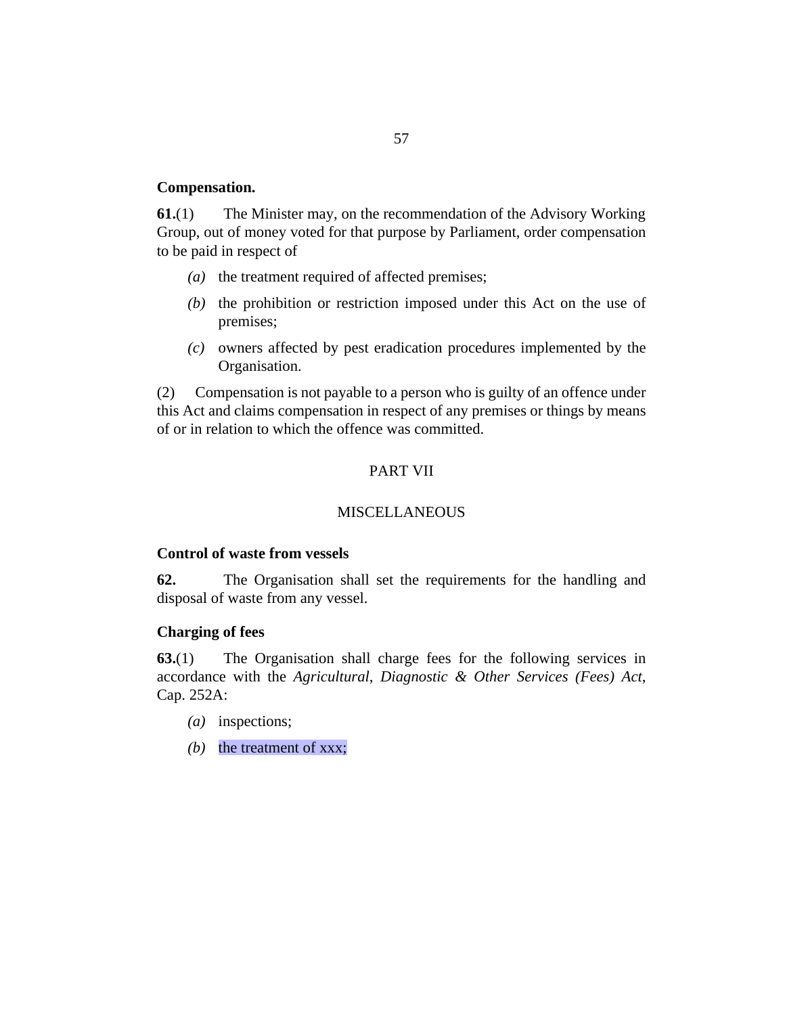#### <span id="page-56-0"></span>**Compensation.**

The Minister may, on the recommendation of the Advisory Working Group, out of money voted for that purpose by Parliament, order compensation to be paid in respect of **61.**(1)

- ( $a$ ) the treatment required of affected premises;
- $(b)$  the prohibition or restriction imposed under this Act on the use of premises;
- owners affected by pest eradication procedures implemented by the *(c)* Organisation.

Compensation is not payable to a person who is guilty of an offence under this Act and claims compensation in respect of any premises or things by means of or in relation to which the offence was committed. (2)

#### PART VII

#### **MISCELLANEOUS**

#### **Control of waste from vessels**

The Organisation shall set the requirements for the handling and disposal of waste from any vessel. **62.**

#### **Charging of fees**

The Organisation shall charge fees for the following services in accordance with the *[Agricultural, Diagnostic & Other Services \(Fees\) Act](http://barbadosparliament-laws.com/en/showdoc/cs/252A)*, [Cap. 252A](http://barbadosparliament-laws.com/en/showdoc/cs/252A): **63.**(1)

- (*a*) inspections;
- (b) the treatment of xxx;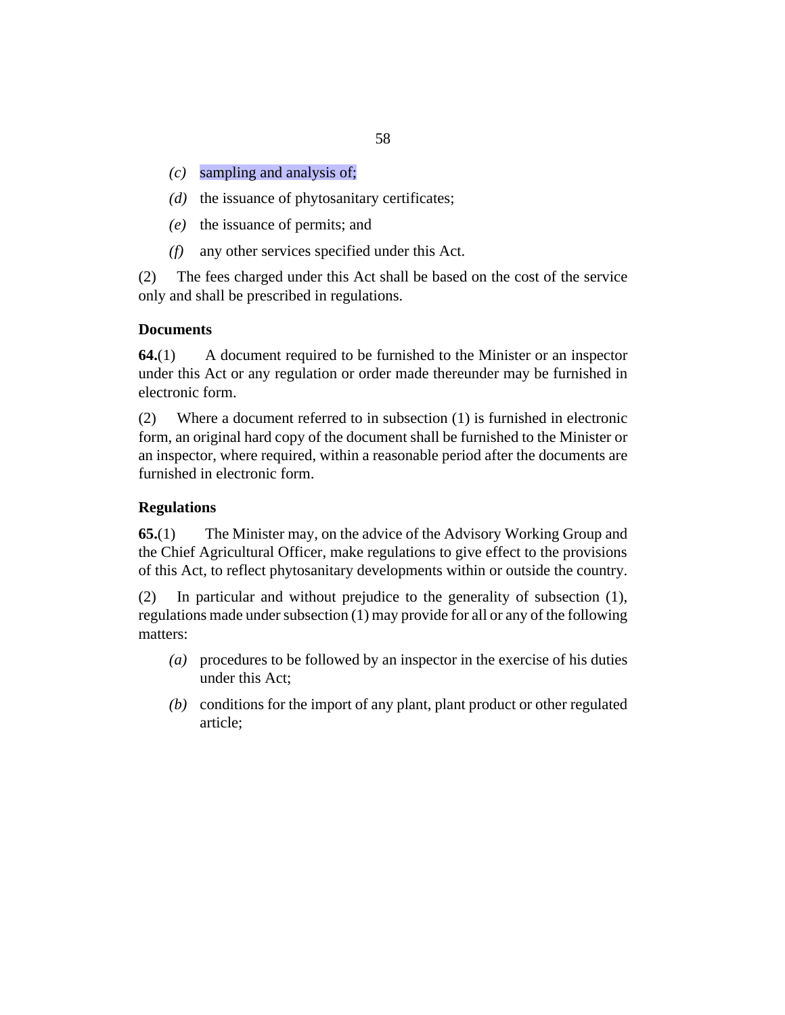- <span id="page-57-0"></span>sampling and analysis of; *(c)*
- (d) the issuance of phytosanitary certificates;
- (e) the issuance of permits; and
- any other services specified under this Act. *(f)*

The fees charged under this Act shall be based on the cost of the service only and shall be prescribed in regulations. (2)

# **Documents**

A document required to be furnished to the Minister or an inspector under this Act or any regulation or order made thereunder may be furnished in electronic form. **64.**(1)

Where a document referred to in subsection (1) is furnished in electronic form, an original hard copy of the document shall be furnished to the Minister or an inspector, where required, within a reasonable period after the documents are furnished in electronic form. (2)

# **Regulations**

The Minister may, on the advice of the Advisory Working Group and the Chief Agricultural Officer, make regulations to give effect to the provisions of this Act, to reflect phytosanitary developments within or outside the country. **65.**(1)

In particular and without prejudice to the generality of subsection (1), regulations made under subsection (1) may provide for all or any of the following matters: (2)

- procedures to be followed by an inspector in the exercise of his duties *(a)* under this Act;
- (b) conditions for the import of any plant, plant product or other regulated article;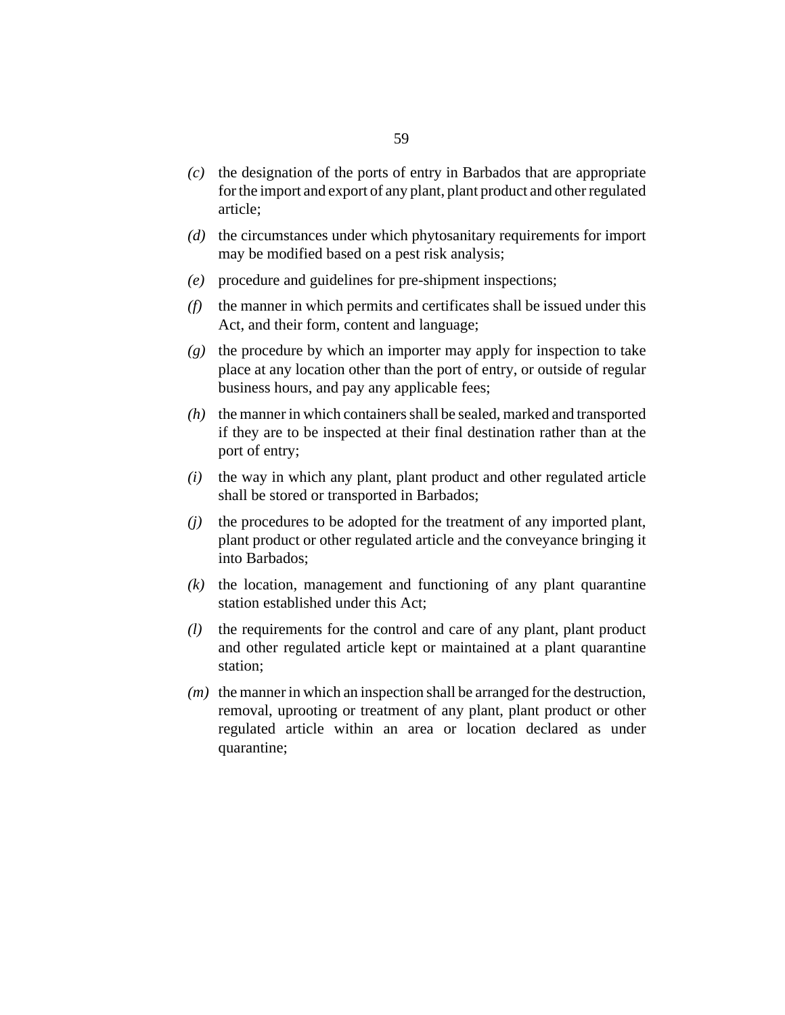- $\alpha$  the designation of the ports of entry in Barbados that are appropriate for the import and export of any plant, plant product and other regulated article;
- (d) the circumstances under which phytosanitary requirements for import may be modified based on a pest risk analysis;
- procedure and guidelines for pre-shipment inspections; *(e)*
- $(f)$  the manner in which permits and certificates shall be issued under this Act, and their form, content and language;
- (g) the procedure by which an importer may apply for inspection to take place at any location other than the port of entry, or outside of regular business hours, and pay any applicable fees;
- (h) the manner in which containers shall be sealed, marked and transported if they are to be inspected at their final destination rather than at the port of entry;
- $(i)$  the way in which any plant, plant product and other regulated article shall be stored or transported in Barbados;
- the procedures to be adopted for the treatment of any imported plant, plant product or other regulated article and the conveyance bringing it into Barbados; *(j)*
- $(k)$  the location, management and functioning of any plant quarantine station established under this Act;
- the requirements for the control and care of any plant, plant product and other regulated article kept or maintained at a plant quarantine station; *(l)*
- $(m)$  the manner in which an inspection shall be arranged for the destruction, removal, uprooting or treatment of any plant, plant product or other regulated article within an area or location declared as under quarantine;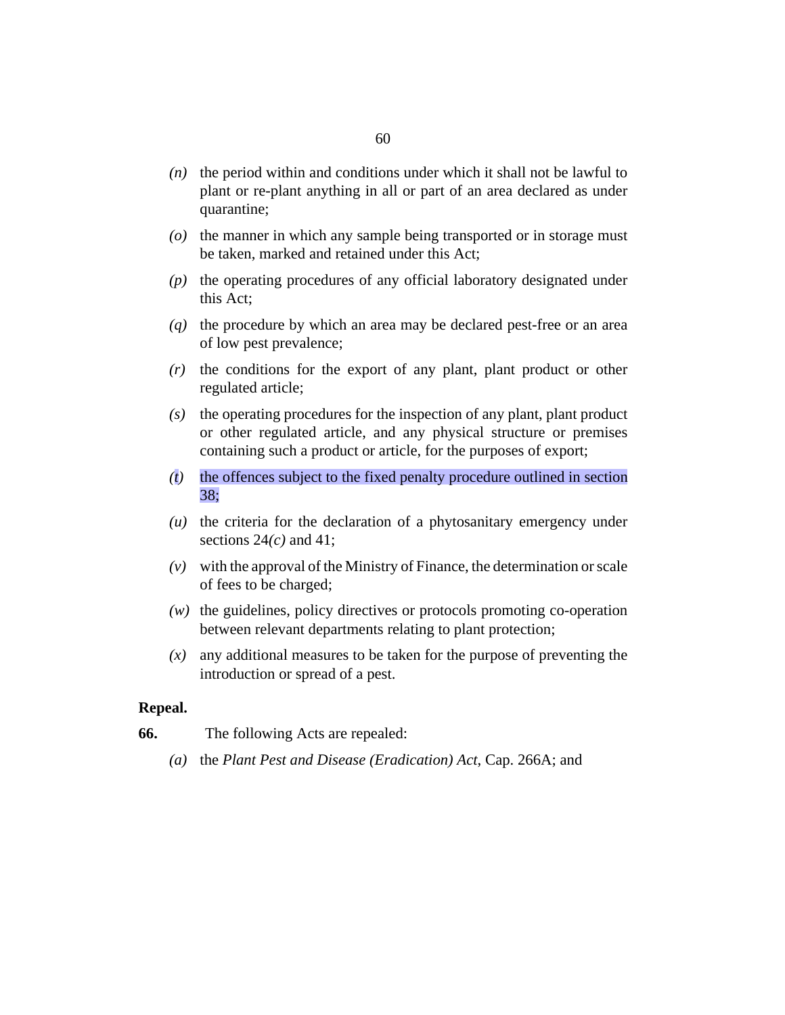- <span id="page-59-0"></span> $(n)$  the period within and conditions under which it shall not be lawful to plant or re-plant anything in all or part of an area declared as under quarantine;
- (o) the manner in which any sample being transported or in storage must be taken, marked and retained under this Act;
- (p) the operating procedures of any official laboratory designated under this Act;
- (q) the procedure by which an area may be declared pest-free or an area of low pest prevalence;
- $(r)$  the conditions for the export of any plant, plant product or other regulated article;
- (s) the operating procedures for the inspection of any plant, plant product or other regulated article, and any physical structure or premises containing such a product or article, for the purposes of export;
- the offences subject to the fixed penalty procedure outlined in section *(t)* 38;
- $(u)$  the criteria for the declaration of a phytosanitary emergency under sections 24*(c)* and 41;
- with the approval of the Ministry of Finance, the determination or scale *(v)* of fees to be charged;
- (w) the guidelines, policy directives or protocols promoting co-operation between relevant departments relating to plant protection;
- any additional measures to be taken for the purpose of preventing the *(x)* introduction or spread of a pest.

#### **Repeal.**

- The following Acts are repealed: **66.**
	- the *[Plant Pest and Disease \(Eradication\) Act](http://barbadosparliament-laws.com/en/showdoc/cs/266A)*, Cap. 266A; and *(a)*